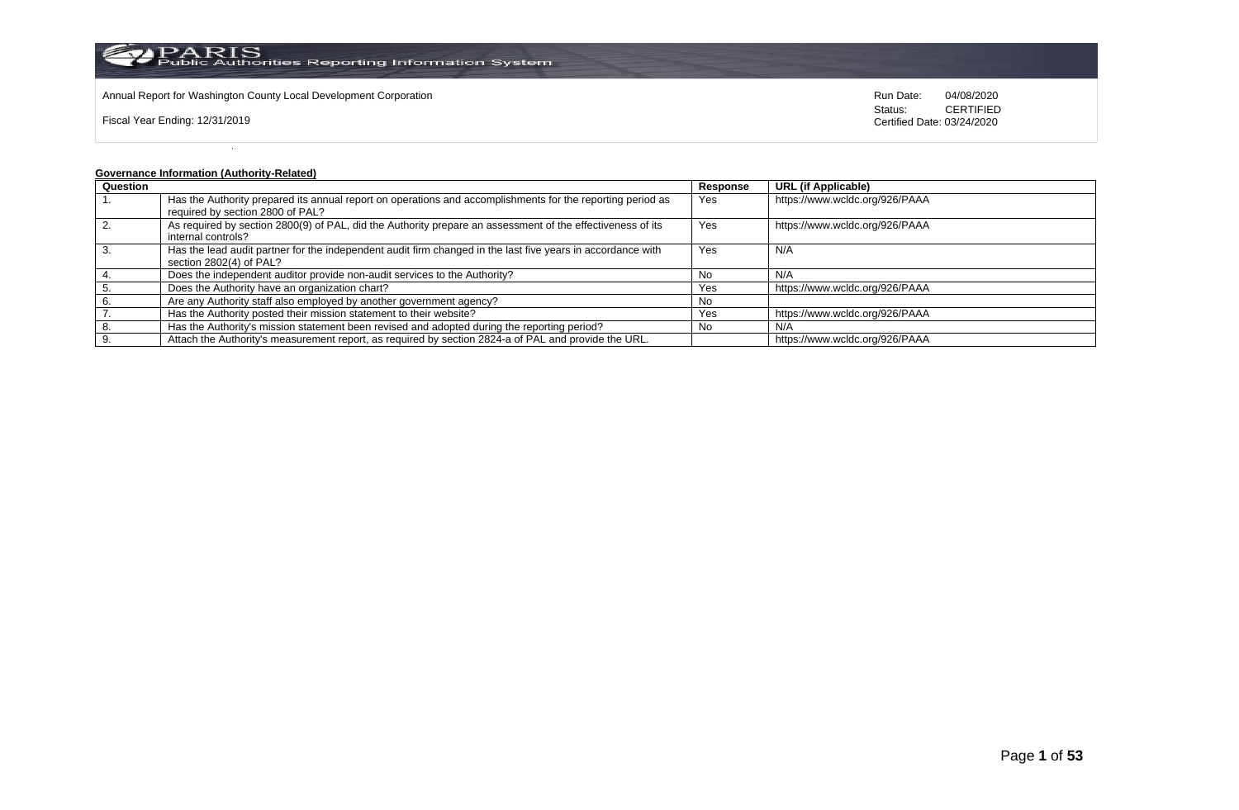

Annual Report for Washington County Local Development Corporation Run Date: 04/08/2020 Run Date: 04/08/2020

Fiscal Year Ending: 12/31/2019

Status: **CERTIFIED** Certified Date: 03/24/2020

## **Governance Information (Authority-Related)**

| Question |                                                                                                             | Response | <b>URL (if Applicable)</b>     |
|----------|-------------------------------------------------------------------------------------------------------------|----------|--------------------------------|
|          | Has the Authority prepared its annual report on operations and accomplishments for the reporting period as  | Yes      | https://www.wcldc.org/926/PAAA |
|          | required by section 2800 of PAL?                                                                            |          |                                |
|          | As required by section 2800(9) of PAL, did the Authority prepare an assessment of the effectiveness of its  | Yes      | https://www.wcldc.org/926/PAAA |
|          | internal controls?                                                                                          |          |                                |
|          | Has the lead audit partner for the independent audit firm changed in the last five years in accordance with | Yes      | N/A                            |
|          | section 2802(4) of PAL?                                                                                     |          |                                |
|          | Does the independent auditor provide non-audit services to the Authority?                                   | No       | N/A                            |
|          | Does the Authority have an organization chart?                                                              | Yes      | https://www.wcldc.org/926/PAAA |
|          | Are any Authority staff also employed by another government agency?                                         | No       |                                |
|          | Has the Authority posted their mission statement to their website?                                          | Yes      | https://www.wcldc.org/926/PAAA |
| -8.      | Has the Authority's mission statement been revised and adopted during the reporting period?                 | No       | N/A                            |
|          | Attach the Authority's measurement report, as required by section 2824-a of PAL and provide the URL.        |          | https://www.wcldc.org/926/PAAA |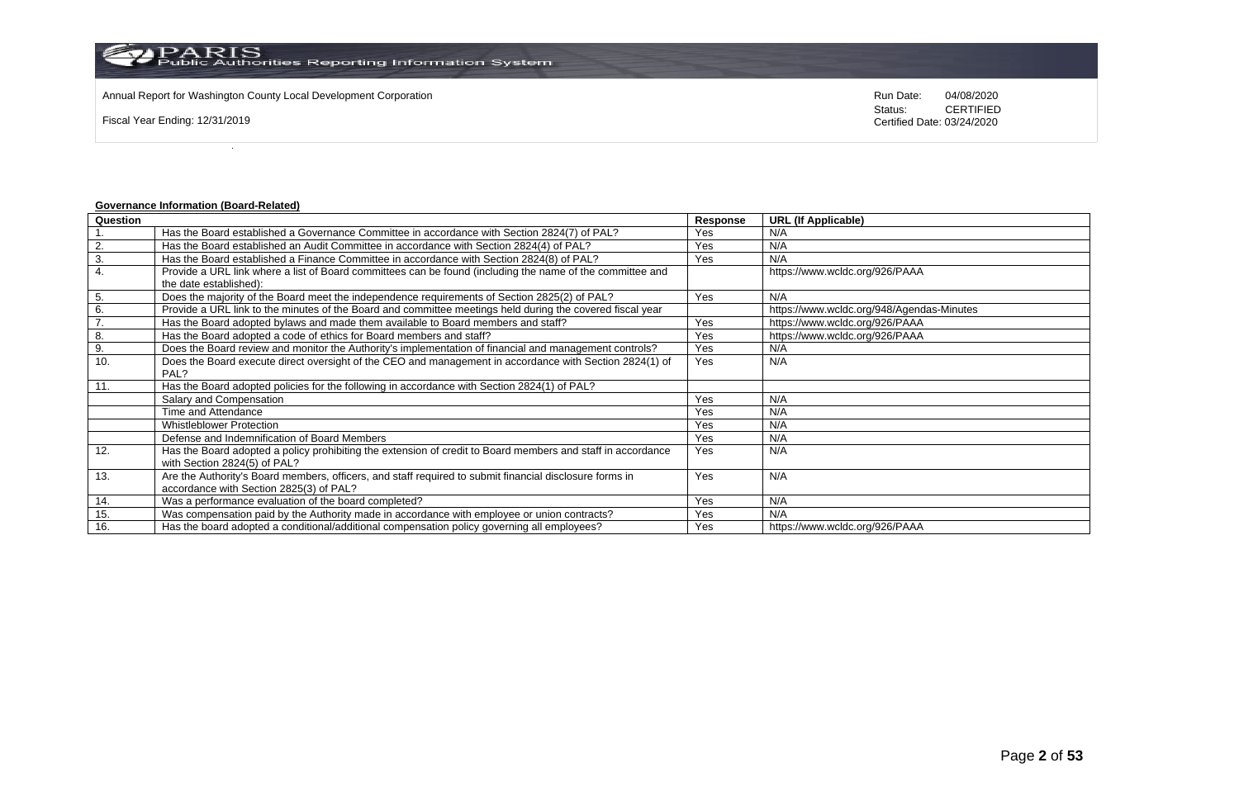Annual Report for Washington County Local Development Corporation Run Date: 04/08/2020 Run Date: 04/08/2020

Fiscal Year Ending: 12/31/2019

Status: **CERTIFIED** Certified Date: 03/24/2020

## **Governance Information (Board-Related)**

| Question |                                                                                                             | Response | <b>URL (If Applicable)</b>                |
|----------|-------------------------------------------------------------------------------------------------------------|----------|-------------------------------------------|
|          | Has the Board established a Governance Committee in accordance with Section 2824(7) of PAL?                 | Yes      | N/A                                       |
| 2.       | Has the Board established an Audit Committee in accordance with Section 2824(4) of PAL?                     | Yes      | N/A                                       |
| 3.       | Has the Board established a Finance Committee in accordance with Section 2824(8) of PAL?                    | Yes      | N/A                                       |
| 4.       | Provide a URL link where a list of Board committees can be found (including the name of the committee and   |          | https://www.wcldc.org/926/PAAA            |
|          | the date established):                                                                                      |          |                                           |
| 5.       | Does the majority of the Board meet the independence requirements of Section 2825(2) of PAL?                | Yes      | N/A                                       |
| 6.       | Provide a URL link to the minutes of the Board and committee meetings held during the covered fiscal year   |          | https://www.wcldc.org/948/Agendas-Minutes |
| 7.       | Has the Board adopted bylaws and made them available to Board members and staff?                            | Yes      | https://www.wcldc.org/926/PAAA            |
| 8.       | Has the Board adopted a code of ethics for Board members and staff?                                         | Yes      | https://www.wcldc.org/926/PAAA            |
| 9.       | Does the Board review and monitor the Authority's implementation of financial and management controls?      | Yes      | N/A                                       |
| 10.      | Does the Board execute direct oversight of the CEO and management in accordance with Section 2824(1) of     | Yes      | N/A                                       |
|          | PAL?                                                                                                        |          |                                           |
| 11.      | Has the Board adopted policies for the following in accordance with Section 2824(1) of PAL?                 |          |                                           |
|          | Salary and Compensation                                                                                     | Yes      | N/A                                       |
|          | Time and Attendance                                                                                         | Yes      | N/A                                       |
|          | <b>Whistleblower Protection</b>                                                                             | Yes      | N/A                                       |
|          | Defense and Indemnification of Board Members                                                                | Yes      | N/A                                       |
| 12.      | Has the Board adopted a policy prohibiting the extension of credit to Board members and staff in accordance | Yes      | N/A                                       |
|          | with Section 2824(5) of PAL?                                                                                |          |                                           |
| 13.      | Are the Authority's Board members, officers, and staff required to submit financial disclosure forms in     | Yes      | N/A                                       |
|          | accordance with Section 2825(3) of PAL?                                                                     |          |                                           |
| 14.      | Was a performance evaluation of the board completed?                                                        | Yes      | N/A                                       |
| 15.      | Was compensation paid by the Authority made in accordance with employee or union contracts?                 | Yes      | N/A                                       |
| 16.      | Has the board adopted a conditional/additional compensation policy governing all employees?                 | Yes      | https://www.wcldc.org/926/PAAA            |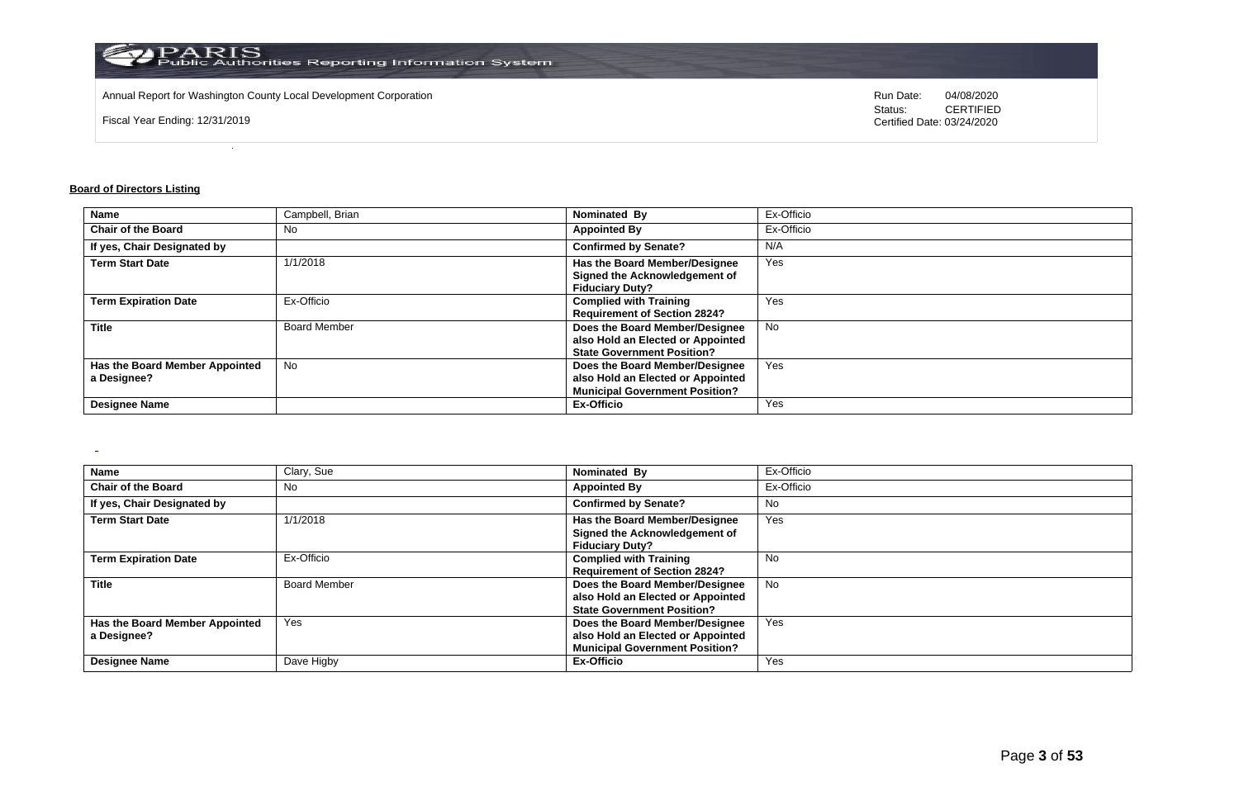

Annual Report for Washington County Local Development Corporation Run Date: 04/08/2020 Run Date: 04/08/2020

Fiscal Year Ending: 12/31/2019

Status: **CERTIFIED** Certified Date: 03/24/2020

## **Board of Directors Listing**

 $\overline{a}$ 

| <b>Name</b>                    | Campbell, Brian     | Nominated By                          | Ex-Officio |
|--------------------------------|---------------------|---------------------------------------|------------|
| <b>Chair of the Board</b>      | No                  | <b>Appointed By</b>                   | Ex-Officio |
| If yes, Chair Designated by    |                     | <b>Confirmed by Senate?</b>           | N/A        |
| <b>Term Start Date</b>         | 1/1/2018            | Has the Board Member/Designee         | Yes        |
|                                |                     | Signed the Acknowledgement of         |            |
|                                |                     | <b>Fiduciary Duty?</b>                |            |
| <b>Term Expiration Date</b>    | Ex-Officio          | <b>Complied with Training</b>         | Yes        |
|                                |                     | <b>Requirement of Section 2824?</b>   |            |
| <b>Title</b>                   | <b>Board Member</b> | Does the Board Member/Designee        | <b>No</b>  |
|                                |                     | also Hold an Elected or Appointed     |            |
|                                |                     | <b>State Government Position?</b>     |            |
| Has the Board Member Appointed | <b>No</b>           | Does the Board Member/Designee        | Yes        |
| a Designee?                    |                     | also Hold an Elected or Appointed     |            |
|                                |                     | <b>Municipal Government Position?</b> |            |
| <b>Designee Name</b>           |                     | <b>Ex-Officio</b>                     | Yes        |

| Name                           | Clary, Sue          | Nominated By                          | Ex-Officio |
|--------------------------------|---------------------|---------------------------------------|------------|
| <b>Chair of the Board</b>      | <b>No</b>           | <b>Appointed By</b>                   | Ex-Officio |
| If yes, Chair Designated by    |                     | <b>Confirmed by Senate?</b>           | No         |
| <b>Term Start Date</b>         | 1/1/2018            | Has the Board Member/Designee         | Yes        |
|                                |                     | Signed the Acknowledgement of         |            |
|                                |                     | <b>Fiduciary Duty?</b>                |            |
| <b>Term Expiration Date</b>    | Ex-Officio          | <b>Complied with Training</b>         | No         |
|                                |                     | <b>Requirement of Section 2824?</b>   |            |
| <b>Title</b>                   | <b>Board Member</b> | Does the Board Member/Designee        | <b>No</b>  |
|                                |                     | also Hold an Elected or Appointed     |            |
|                                |                     | <b>State Government Position?</b>     |            |
| Has the Board Member Appointed | Yes                 | Does the Board Member/Designee        | Yes        |
| a Designee?                    |                     | also Hold an Elected or Appointed     |            |
|                                |                     | <b>Municipal Government Position?</b> |            |
| <b>Designee Name</b>           | Dave Higby          | Ex-Officio                            | Yes        |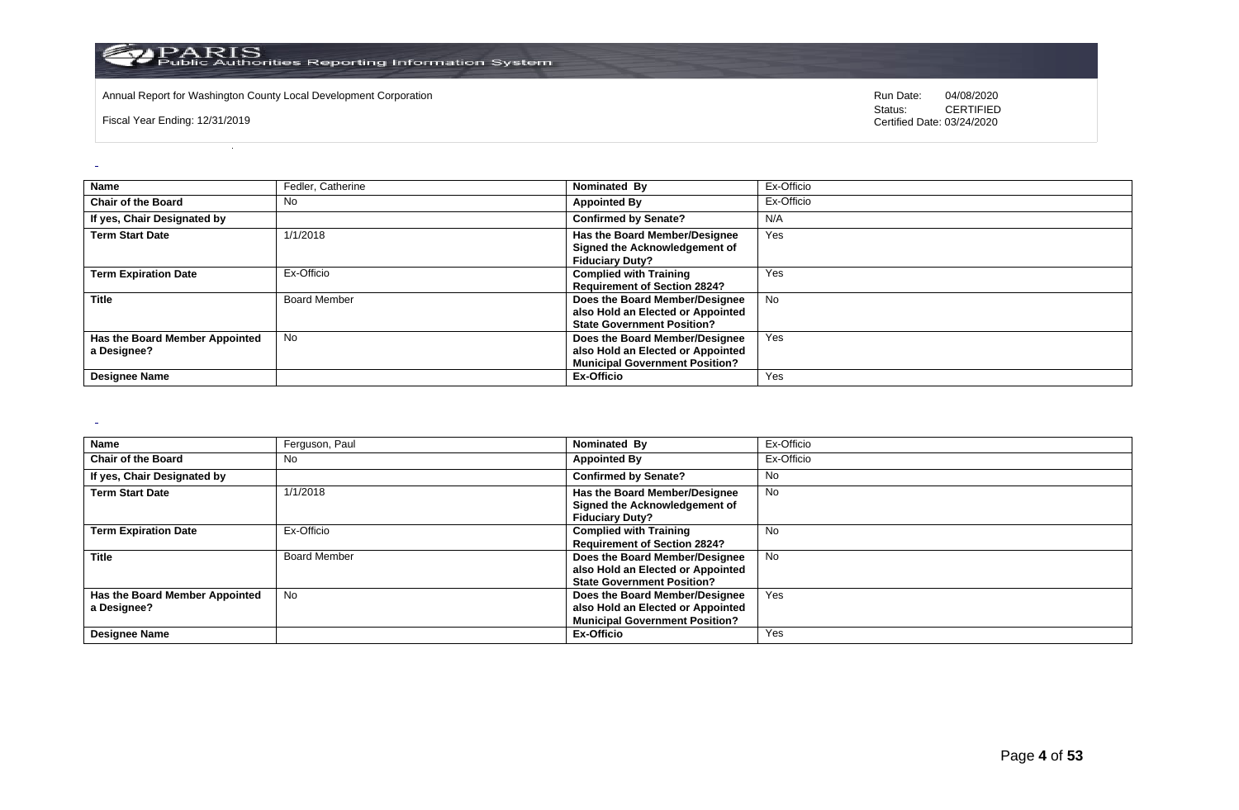

Annual Report for Washington County Local Development Corporation **Computer Computer Computer Computer Computer** Run Date: 04/08/2020<br>
Status: CERTIFIED

Fiscal Year Ending: 12/31/2019

CERTIFIED Certified Date: 03/24/2020

| <b>Name</b>                                   | Fedler, Catherine   | Nominated By                                                                                                 | Ex-Officio |
|-----------------------------------------------|---------------------|--------------------------------------------------------------------------------------------------------------|------------|
| <b>Chair of the Board</b>                     | No                  | <b>Appointed By</b>                                                                                          | Ex-Officio |
| If yes, Chair Designated by                   |                     | <b>Confirmed by Senate?</b>                                                                                  | N/A        |
| <b>Term Start Date</b>                        | 1/1/2018            | Has the Board Member/Designee<br>Signed the Acknowledgement of<br><b>Fiduciary Duty?</b>                     | Yes        |
| <b>Term Expiration Date</b>                   | Ex-Officio          | <b>Complied with Training</b><br><b>Requirement of Section 2824?</b>                                         | Yes        |
| <b>Title</b>                                  | <b>Board Member</b> | Does the Board Member/Designee<br>also Hold an Elected or Appointed<br><b>State Government Position?</b>     | <b>No</b>  |
| Has the Board Member Appointed<br>a Designee? | <b>No</b>           | Does the Board Member/Designee<br>also Hold an Elected or Appointed<br><b>Municipal Government Position?</b> | Yes        |
| <b>Designee Name</b>                          |                     | Ex-Officio                                                                                                   | Yes        |

 $\sim$ 

 $\overline{a}$ 

| Name                           | Ferguson, Paul      | Nominated By                          | Ex-Officio |
|--------------------------------|---------------------|---------------------------------------|------------|
| <b>Chair of the Board</b>      | No                  | <b>Appointed By</b>                   | Ex-Officio |
| If yes, Chair Designated by    |                     | <b>Confirmed by Senate?</b>           | No.        |
| <b>Term Start Date</b>         | 1/1/2018            | Has the Board Member/Designee         | No         |
|                                |                     | Signed the Acknowledgement of         |            |
|                                |                     | <b>Fiduciary Duty?</b>                |            |
| <b>Term Expiration Date</b>    | Ex-Officio          | <b>Complied with Training</b>         | <b>No</b>  |
|                                |                     | <b>Requirement of Section 2824?</b>   |            |
| <b>Title</b>                   | <b>Board Member</b> | Does the Board Member/Designee        | No.        |
|                                |                     | also Hold an Elected or Appointed     |            |
|                                |                     | <b>State Government Position?</b>     |            |
| Has the Board Member Appointed | No                  | Does the Board Member/Designee        | Yes        |
| a Designee?                    |                     | also Hold an Elected or Appointed     |            |
|                                |                     | <b>Municipal Government Position?</b> |            |
| <b>Designee Name</b>           |                     | Ex-Officio                            | Yes        |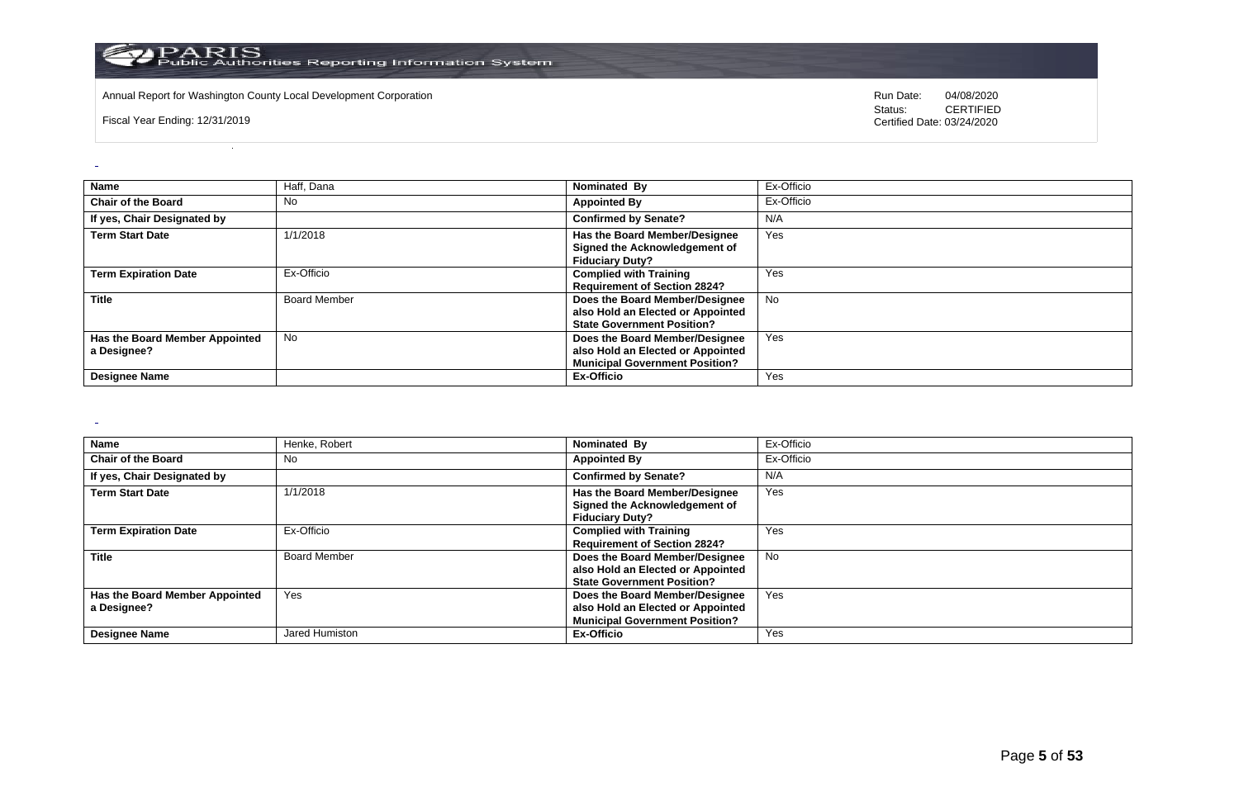

Annual Report for Washington County Local Development Corporation **Computer Computer Computer Computer Computer** Run Date: 04/08/2020<br>
Status: CERTIFIED

Fiscal Year Ending: 12/31/2019

CERTIFIED Certified Date: 03/24/2020

| <b>Name</b>                                   | Haff, Dana          | Nominated By                                                                                                 | Ex-Officio |
|-----------------------------------------------|---------------------|--------------------------------------------------------------------------------------------------------------|------------|
| <b>Chair of the Board</b>                     | No                  | <b>Appointed By</b>                                                                                          | Ex-Officio |
| If yes, Chair Designated by                   |                     | <b>Confirmed by Senate?</b>                                                                                  | N/A        |
| <b>Term Start Date</b>                        | 1/1/2018            | <b>Has the Board Member/Designee</b><br>Signed the Acknowledgement of<br><b>Fiduciary Duty?</b>              | Yes        |
| <b>Term Expiration Date</b>                   | Ex-Officio          | <b>Complied with Training</b><br><b>Requirement of Section 2824?</b>                                         | Yes        |
| <b>Title</b>                                  | <b>Board Member</b> | Does the Board Member/Designee<br>also Hold an Elected or Appointed<br><b>State Government Position?</b>     | No         |
| Has the Board Member Appointed<br>a Designee? | <b>No</b>           | Does the Board Member/Designee<br>also Hold an Elected or Appointed<br><b>Municipal Government Position?</b> | Yes        |
| <b>Designee Name</b>                          |                     | Ex-Officio                                                                                                   | Yes        |

 $\sim$ 

 $\omega$ 

| <b>Name</b>                                   | Henke, Robert       | Nominated By                                                                                                 | Ex-Officio |
|-----------------------------------------------|---------------------|--------------------------------------------------------------------------------------------------------------|------------|
| <b>Chair of the Board</b>                     | No                  | <b>Appointed By</b>                                                                                          | Ex-Officio |
| If yes, Chair Designated by                   |                     | <b>Confirmed by Senate?</b>                                                                                  | N/A        |
| <b>Term Start Date</b>                        | 1/1/2018            | Has the Board Member/Designee<br>Signed the Acknowledgement of<br><b>Fiduciary Duty?</b>                     | Yes        |
| <b>Term Expiration Date</b>                   | Ex-Officio          | <b>Complied with Training</b><br><b>Requirement of Section 2824?</b>                                         | Yes        |
| <b>Title</b>                                  | <b>Board Member</b> | Does the Board Member/Designee<br>also Hold an Elected or Appointed<br><b>State Government Position?</b>     | <b>No</b>  |
| Has the Board Member Appointed<br>a Designee? | Yes                 | Does the Board Member/Designee<br>also Hold an Elected or Appointed<br><b>Municipal Government Position?</b> | Yes        |
| <b>Designee Name</b>                          | Jared Humiston      | <b>Ex-Officio</b>                                                                                            | Yes        |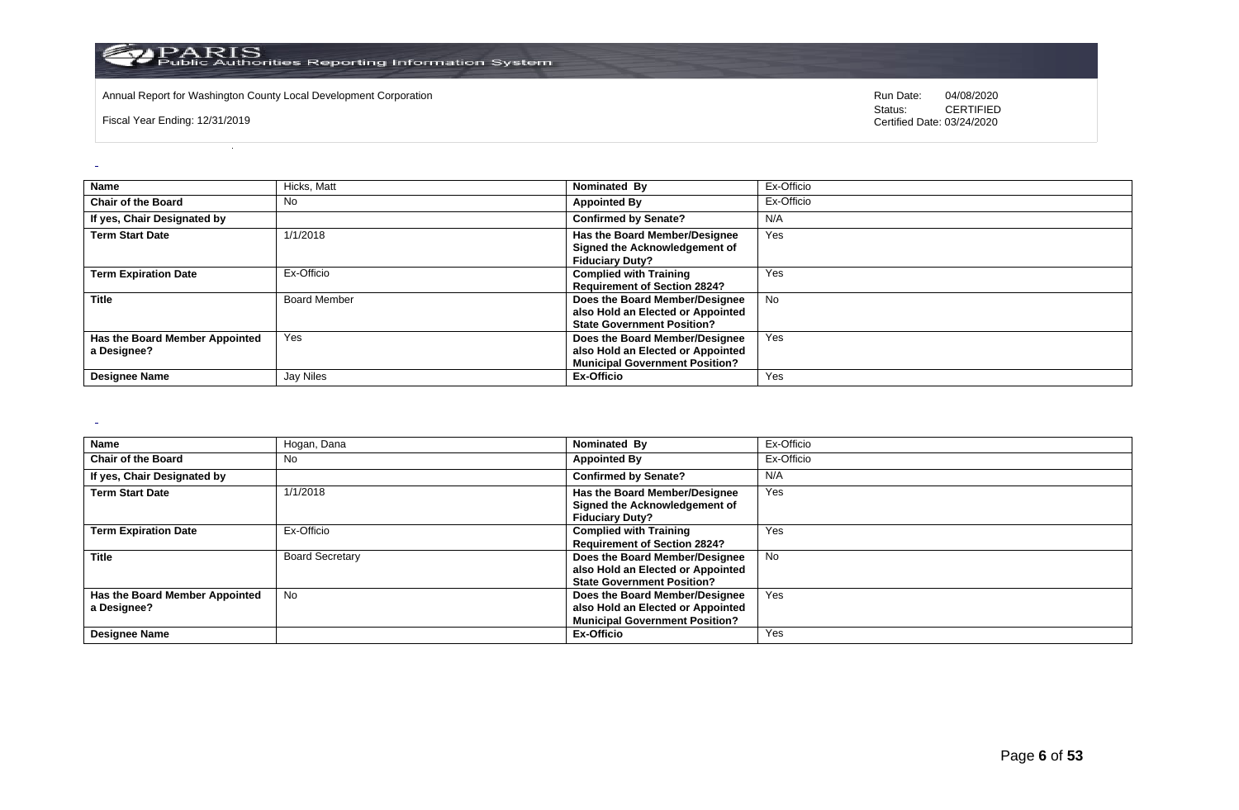

Annual Report for Washington County Local Development Corporation **Computer Computer Computer Computer Computer** Run Date: 04/08/2020<br>
Status: CERTIFIED

Fiscal Year Ending: 12/31/2019

CERTIFIED Certified Date: 03/24/2020

| Name                                          | Hicks, Matt         | Nominated By                                                                                                 | Ex-Officio |
|-----------------------------------------------|---------------------|--------------------------------------------------------------------------------------------------------------|------------|
| <b>Chair of the Board</b>                     | No                  | <b>Appointed By</b>                                                                                          | Ex-Officio |
| If yes, Chair Designated by                   |                     | <b>Confirmed by Senate?</b>                                                                                  | N/A        |
| <b>Term Start Date</b>                        | 1/1/2018            | Has the Board Member/Designee<br>Signed the Acknowledgement of<br><b>Fiduciary Duty?</b>                     | Yes        |
| <b>Term Expiration Date</b>                   | Ex-Officio          | <b>Complied with Training</b><br><b>Requirement of Section 2824?</b>                                         | Yes        |
| <b>Title</b>                                  | <b>Board Member</b> | Does the Board Member/Designee<br>also Hold an Elected or Appointed<br><b>State Government Position?</b>     | <b>No</b>  |
| Has the Board Member Appointed<br>a Designee? | Yes                 | Does the Board Member/Designee<br>also Hold an Elected or Appointed<br><b>Municipal Government Position?</b> | Yes        |
| <b>Designee Name</b>                          | Jay Niles           | Ex-Officio                                                                                                   | Yes        |

 $\sim$ 

 $\omega$ 

| Name                                          | Hogan, Dana            | Nominated By                                                                                                 | Ex-Officio |
|-----------------------------------------------|------------------------|--------------------------------------------------------------------------------------------------------------|------------|
| <b>Chair of the Board</b>                     | No                     | <b>Appointed By</b>                                                                                          | Ex-Officio |
| If yes, Chair Designated by                   |                        | <b>Confirmed by Senate?</b>                                                                                  | N/A        |
| <b>Term Start Date</b>                        | 1/1/2018               | <b>Has the Board Member/Designee</b><br>Signed the Acknowledgement of<br><b>Fiduciary Duty?</b>              | Yes        |
| <b>Term Expiration Date</b>                   | Ex-Officio             | <b>Complied with Training</b><br><b>Requirement of Section 2824?</b>                                         | Yes        |
| <b>Title</b>                                  | <b>Board Secretary</b> | Does the Board Member/Designee<br>also Hold an Elected or Appointed<br><b>State Government Position?</b>     | No         |
| Has the Board Member Appointed<br>a Designee? | No.                    | Does the Board Member/Designee<br>also Hold an Elected or Appointed<br><b>Municipal Government Position?</b> | Yes        |
| <b>Designee Name</b>                          |                        | Ex-Officio                                                                                                   | Yes        |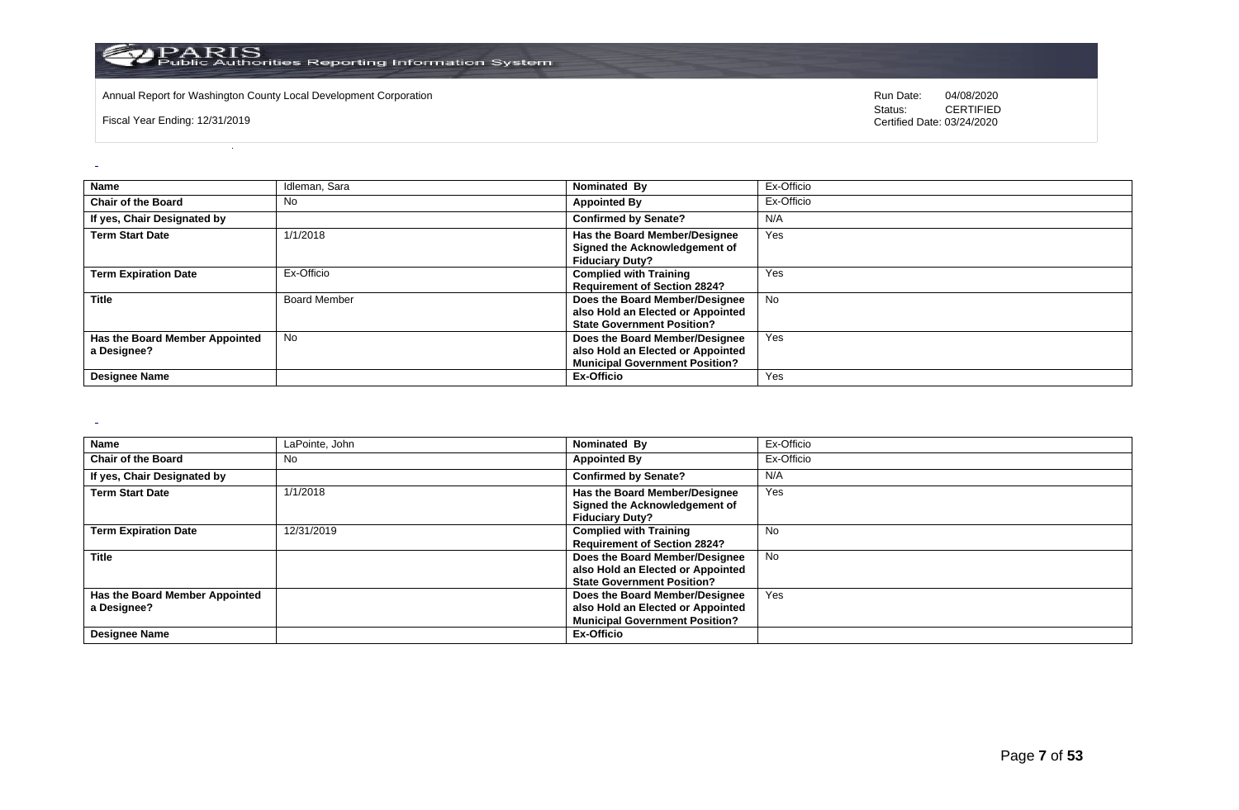

Annual Report for Washington County Local Development Corporation **Computer Computer Construction** Run Date: 04/08/2020<br>
Status: CERTIFIED

Fiscal Year Ending: 12/31/2019

CERTIFIED Certified Date: 03/24/2020

| <b>Name</b>                                   | Idleman, Sara       | Nominated By                                                                                                 | Ex-Officio |
|-----------------------------------------------|---------------------|--------------------------------------------------------------------------------------------------------------|------------|
| <b>Chair of the Board</b>                     | No                  | <b>Appointed By</b>                                                                                          | Ex-Officio |
| If yes, Chair Designated by                   |                     | <b>Confirmed by Senate?</b>                                                                                  | N/A        |
| <b>Term Start Date</b>                        | 1/1/2018            | Has the Board Member/Designee<br>Signed the Acknowledgement of<br><b>Fiduciary Duty?</b>                     | Yes        |
| <b>Term Expiration Date</b>                   | Ex-Officio          | <b>Complied with Training</b><br><b>Requirement of Section 2824?</b>                                         | Yes        |
| <b>Title</b>                                  | <b>Board Member</b> | Does the Board Member/Designee<br>also Hold an Elected or Appointed<br><b>State Government Position?</b>     | <b>No</b>  |
| Has the Board Member Appointed<br>a Designee? | <b>No</b>           | Does the Board Member/Designee<br>also Hold an Elected or Appointed<br><b>Municipal Government Position?</b> | Yes        |
| <b>Designee Name</b>                          |                     | Ex-Officio                                                                                                   | Yes        |

 $\sim$ 

 $\overline{a}$ 

| Name                           | LaPointe, John | Nominated By                          | Ex-Officio |
|--------------------------------|----------------|---------------------------------------|------------|
| <b>Chair of the Board</b>      | No             | <b>Appointed By</b>                   | Ex-Officio |
| If yes, Chair Designated by    |                | <b>Confirmed by Senate?</b>           | N/A        |
| <b>Term Start Date</b>         | 1/1/2018       | Has the Board Member/Designee         | Yes        |
|                                |                | Signed the Acknowledgement of         |            |
|                                |                | <b>Fiduciary Duty?</b>                |            |
| <b>Term Expiration Date</b>    | 12/31/2019     | <b>Complied with Training</b>         | <b>No</b>  |
|                                |                | <b>Requirement of Section 2824?</b>   |            |
| <b>Title</b>                   |                | Does the Board Member/Designee        | No         |
|                                |                | also Hold an Elected or Appointed     |            |
|                                |                | <b>State Government Position?</b>     |            |
| Has the Board Member Appointed |                | Does the Board Member/Designee        | Yes        |
| a Designee?                    |                | also Hold an Elected or Appointed     |            |
|                                |                | <b>Municipal Government Position?</b> |            |
| <b>Designee Name</b>           |                | Ex-Officio                            |            |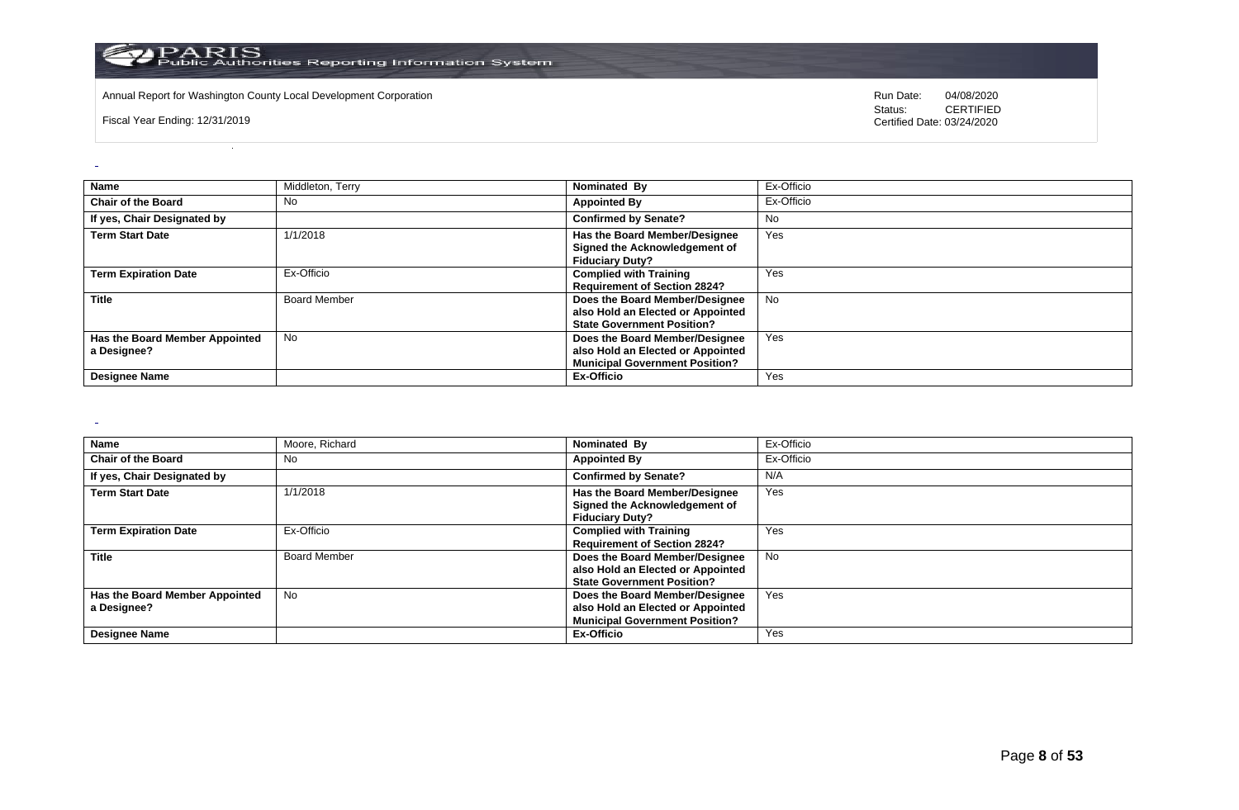

Annual Report for Washington County Local Development Corporation **Computer Computer Computer Computer Computer** Run Date: 04/08/2020<br>
Status: CERTIFIED

Fiscal Year Ending: 12/31/2019

CERTIFIED Certified Date: 03/24/2020

| <b>Name</b>                                   | Middleton, Terry    | Nominated By                                                                                                 | Ex-Officio |
|-----------------------------------------------|---------------------|--------------------------------------------------------------------------------------------------------------|------------|
| <b>Chair of the Board</b>                     | No                  | <b>Appointed By</b>                                                                                          | Ex-Officio |
| If yes, Chair Designated by                   |                     | <b>Confirmed by Senate?</b>                                                                                  | No         |
| <b>Term Start Date</b>                        | 1/1/2018            | Has the Board Member/Designee<br>Signed the Acknowledgement of<br><b>Fiduciary Duty?</b>                     | Yes        |
| <b>Term Expiration Date</b>                   | Ex-Officio          | <b>Complied with Training</b><br><b>Requirement of Section 2824?</b>                                         | Yes        |
| <b>Title</b>                                  | <b>Board Member</b> | Does the Board Member/Designee<br>also Hold an Elected or Appointed<br><b>State Government Position?</b>     | <b>No</b>  |
| Has the Board Member Appointed<br>a Designee? | <b>No</b>           | Does the Board Member/Designee<br>also Hold an Elected or Appointed<br><b>Municipal Government Position?</b> | Yes        |
| <b>Designee Name</b>                          |                     | Ex-Officio                                                                                                   | Yes        |

 $\sim$ 

 $\omega$ 

| Name                                          | Moore, Richard      | Nominated By                                                                                                 | Ex-Officio |
|-----------------------------------------------|---------------------|--------------------------------------------------------------------------------------------------------------|------------|
| <b>Chair of the Board</b>                     | No                  | <b>Appointed By</b>                                                                                          | Ex-Officio |
| If yes, Chair Designated by                   |                     | <b>Confirmed by Senate?</b>                                                                                  | N/A        |
| <b>Term Start Date</b>                        | 1/1/2018            | <b>Has the Board Member/Designee</b><br>Signed the Acknowledgement of<br><b>Fiduciary Duty?</b>              | Yes        |
| <b>Term Expiration Date</b>                   | Ex-Officio          | <b>Complied with Training</b><br><b>Requirement of Section 2824?</b>                                         | Yes        |
| <b>Title</b>                                  | <b>Board Member</b> | Does the Board Member/Designee<br>also Hold an Elected or Appointed<br><b>State Government Position?</b>     | No         |
| Has the Board Member Appointed<br>a Designee? | No.                 | Does the Board Member/Designee<br>also Hold an Elected or Appointed<br><b>Municipal Government Position?</b> | Yes        |
| <b>Designee Name</b>                          |                     | Ex-Officio                                                                                                   | Yes        |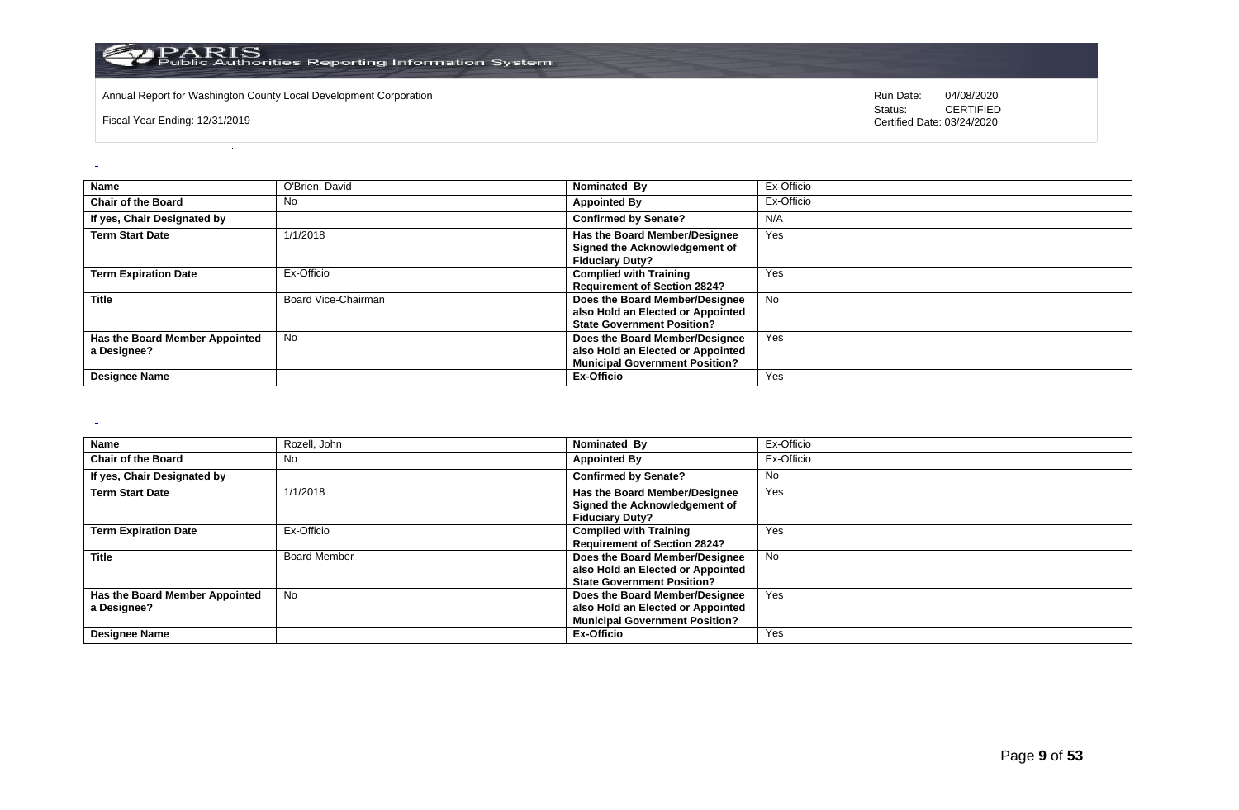

Annual Report for Washington County Local Development Corporation **Computer Computer Computer Computer Computer** Run Date: 04/08/2020<br>
Status: CERTIFIED

Fiscal Year Ending: 12/31/2019

CERTIFIED Certified Date: 03/24/2020

| <b>Name</b>                                   | O'Brien, David      | Nominated By                                                                                                 | Ex-Officio |
|-----------------------------------------------|---------------------|--------------------------------------------------------------------------------------------------------------|------------|
| <b>Chair of the Board</b>                     | No                  | <b>Appointed By</b>                                                                                          | Ex-Officio |
| If yes, Chair Designated by                   |                     | <b>Confirmed by Senate?</b>                                                                                  | N/A        |
| <b>Term Start Date</b>                        | 1/1/2018            | Has the Board Member/Designee<br>Signed the Acknowledgement of<br><b>Fiduciary Duty?</b>                     | Yes        |
| <b>Term Expiration Date</b>                   | Ex-Officio          | <b>Complied with Training</b><br><b>Requirement of Section 2824?</b>                                         | Yes        |
| Title                                         | Board Vice-Chairman | Does the Board Member/Designee<br>also Hold an Elected or Appointed<br><b>State Government Position?</b>     | <b>No</b>  |
| Has the Board Member Appointed<br>a Designee? | <b>No</b>           | Does the Board Member/Designee<br>also Hold an Elected or Appointed<br><b>Municipal Government Position?</b> | Yes        |
| <b>Designee Name</b>                          |                     | Ex-Officio                                                                                                   | Yes        |

 $\sim$ 

 $\omega$ 

| Name                           | Rozell, John        | Nominated By                          | Ex-Officio |
|--------------------------------|---------------------|---------------------------------------|------------|
| <b>Chair of the Board</b>      | No                  | <b>Appointed By</b>                   | Ex-Officio |
| If yes, Chair Designated by    |                     | <b>Confirmed by Senate?</b>           | No.        |
| <b>Term Start Date</b>         | 1/1/2018            | Has the Board Member/Designee         | Yes        |
|                                |                     | Signed the Acknowledgement of         |            |
|                                |                     | <b>Fiduciary Duty?</b>                |            |
| <b>Term Expiration Date</b>    | Ex-Officio          | <b>Complied with Training</b>         | Yes        |
|                                |                     | <b>Requirement of Section 2824?</b>   |            |
| <b>Title</b>                   | <b>Board Member</b> | Does the Board Member/Designee        | No.        |
|                                |                     | also Hold an Elected or Appointed     |            |
|                                |                     | <b>State Government Position?</b>     |            |
| Has the Board Member Appointed | No                  | Does the Board Member/Designee        | Yes        |
| a Designee?                    |                     | also Hold an Elected or Appointed     |            |
|                                |                     | <b>Municipal Government Position?</b> |            |
| <b>Designee Name</b>           |                     | Ex-Officio                            | Yes        |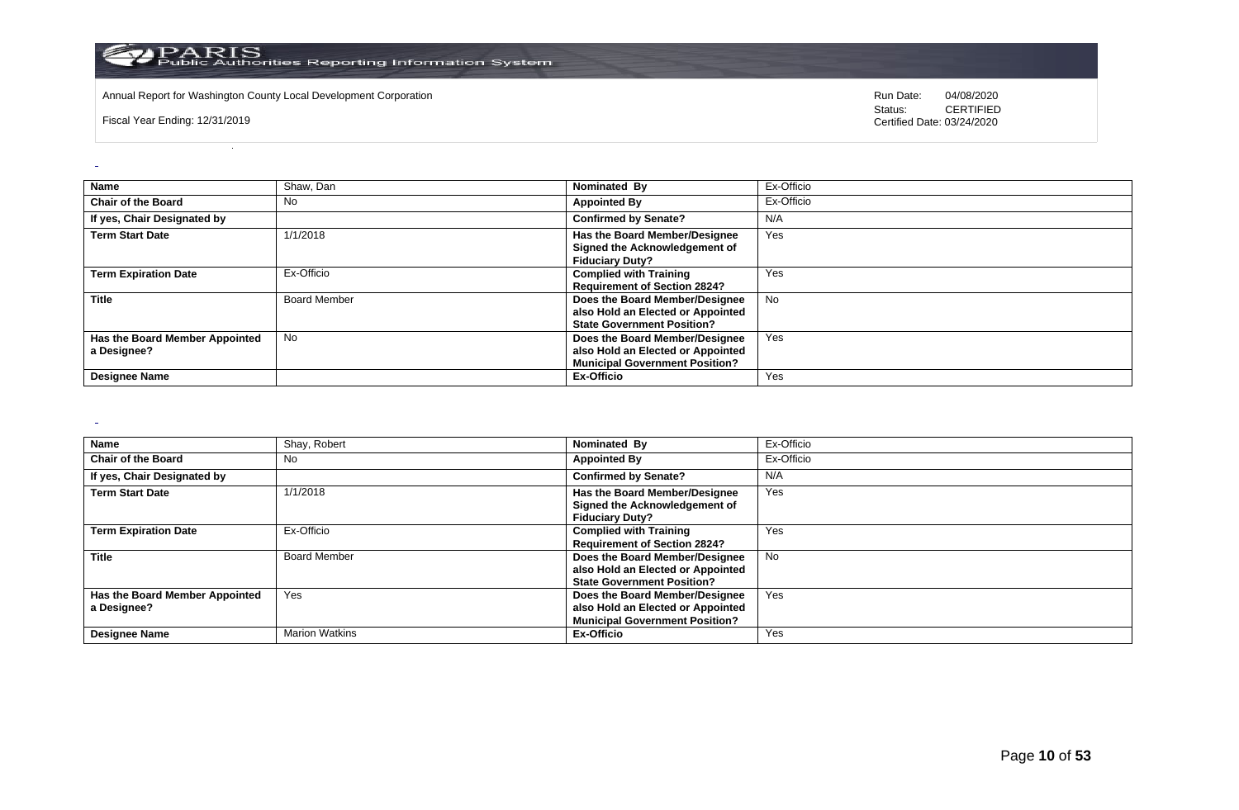

Annual Report for Washington County Local Development Corporation **Computer Computer Computer Computer Computer** Run Date: 04/08/2020<br>
Status: CERTIFIED

Fiscal Year Ending: 12/31/2019

CERTIFIED Certified Date: 03/24/2020

| Name                                          | Shaw, Dan           | Nominated By                                                                                                 | Ex-Officio |
|-----------------------------------------------|---------------------|--------------------------------------------------------------------------------------------------------------|------------|
| <b>Chair of the Board</b>                     | No                  | <b>Appointed By</b>                                                                                          | Ex-Officio |
| If yes, Chair Designated by                   |                     | <b>Confirmed by Senate?</b>                                                                                  | N/A        |
| <b>Term Start Date</b>                        | 1/1/2018            | Has the Board Member/Designee<br>Signed the Acknowledgement of<br><b>Fiduciary Duty?</b>                     | Yes        |
| <b>Term Expiration Date</b>                   | Ex-Officio          | <b>Complied with Training</b><br><b>Requirement of Section 2824?</b>                                         | Yes        |
| <b>Title</b>                                  | <b>Board Member</b> | Does the Board Member/Designee<br>also Hold an Elected or Appointed<br><b>State Government Position?</b>     | No         |
| Has the Board Member Appointed<br>a Designee? | <b>No</b>           | Does the Board Member/Designee<br>also Hold an Elected or Appointed<br><b>Municipal Government Position?</b> | Yes        |
| <b>Designee Name</b>                          |                     | Ex-Officio                                                                                                   | Yes        |

 $\sim$ 

 $\overline{a}$ 

| Name                                          | Shay, Robert          | Nominated By                                                                                                 | Ex-Officio |
|-----------------------------------------------|-----------------------|--------------------------------------------------------------------------------------------------------------|------------|
| <b>Chair of the Board</b>                     | No                    | <b>Appointed By</b>                                                                                          | Ex-Officio |
| If yes, Chair Designated by                   |                       | <b>Confirmed by Senate?</b>                                                                                  | N/A        |
| <b>Term Start Date</b>                        | 1/1/2018              | <b>Has the Board Member/Designee</b><br>Signed the Acknowledgement of<br><b>Fiduciary Duty?</b>              | Yes        |
| <b>Term Expiration Date</b>                   | Ex-Officio            | <b>Complied with Training</b><br><b>Requirement of Section 2824?</b>                                         | Yes        |
| <b>Title</b>                                  | <b>Board Member</b>   | Does the Board Member/Designee<br>also Hold an Elected or Appointed<br><b>State Government Position?</b>     | No         |
| Has the Board Member Appointed<br>a Designee? | Yes                   | Does the Board Member/Designee<br>also Hold an Elected or Appointed<br><b>Municipal Government Position?</b> | Yes        |
| <b>Designee Name</b>                          | <b>Marion Watkins</b> | Ex-Officio                                                                                                   | Yes        |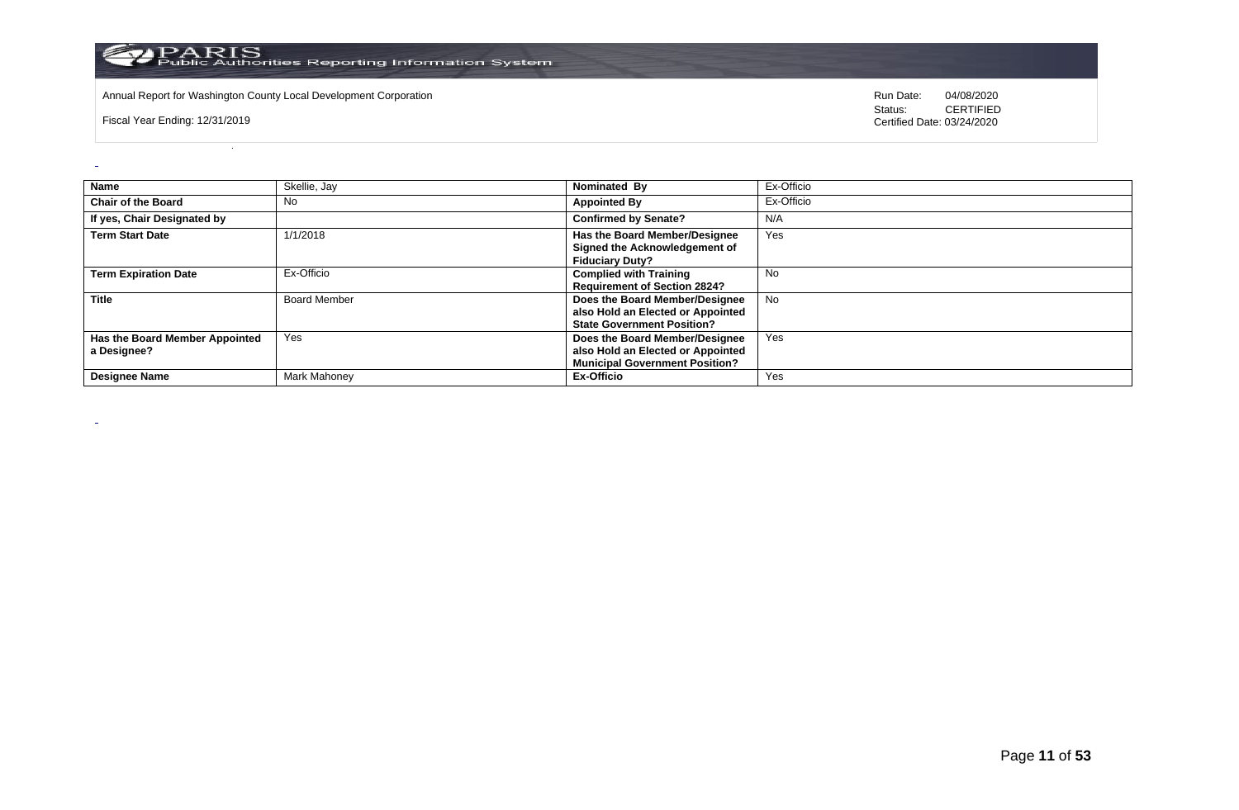

Annual Report for Washington County Local Development Corporation **Computer Computer Computer Computer Computer** Run Date: 04/08/2020<br>
Status: CERTIFIED

Fiscal Year Ending: 12/31/2019

 $\overline{a}$ 

 $\sim$ 

CERTIFIED Certified Date: 03/24/2020

| Name                                          | Skellie, Jay        | Nominated By                                                                                                 | Ex-Officio |
|-----------------------------------------------|---------------------|--------------------------------------------------------------------------------------------------------------|------------|
| <b>Chair of the Board</b>                     | No                  | <b>Appointed By</b>                                                                                          | Ex-Officio |
| If yes, Chair Designated by                   |                     | <b>Confirmed by Senate?</b>                                                                                  | N/A        |
| <b>Term Start Date</b>                        | 1/1/2018            | <b>Has the Board Member/Designee</b><br>Signed the Acknowledgement of<br><b>Fiduciary Duty?</b>              | Yes        |
| <b>Term Expiration Date</b>                   | Ex-Officio          | <b>Complied with Training</b><br><b>Requirement of Section 2824?</b>                                         | No         |
| <b>Title</b>                                  | <b>Board Member</b> | Does the Board Member/Designee<br>also Hold an Elected or Appointed<br><b>State Government Position?</b>     | <b>No</b>  |
| Has the Board Member Appointed<br>a Designee? | Yes                 | Does the Board Member/Designee<br>also Hold an Elected or Appointed<br><b>Municipal Government Position?</b> | Yes        |
| <b>Designee Name</b>                          | Mark Mahoney        | Ex-Officio                                                                                                   | Yes        |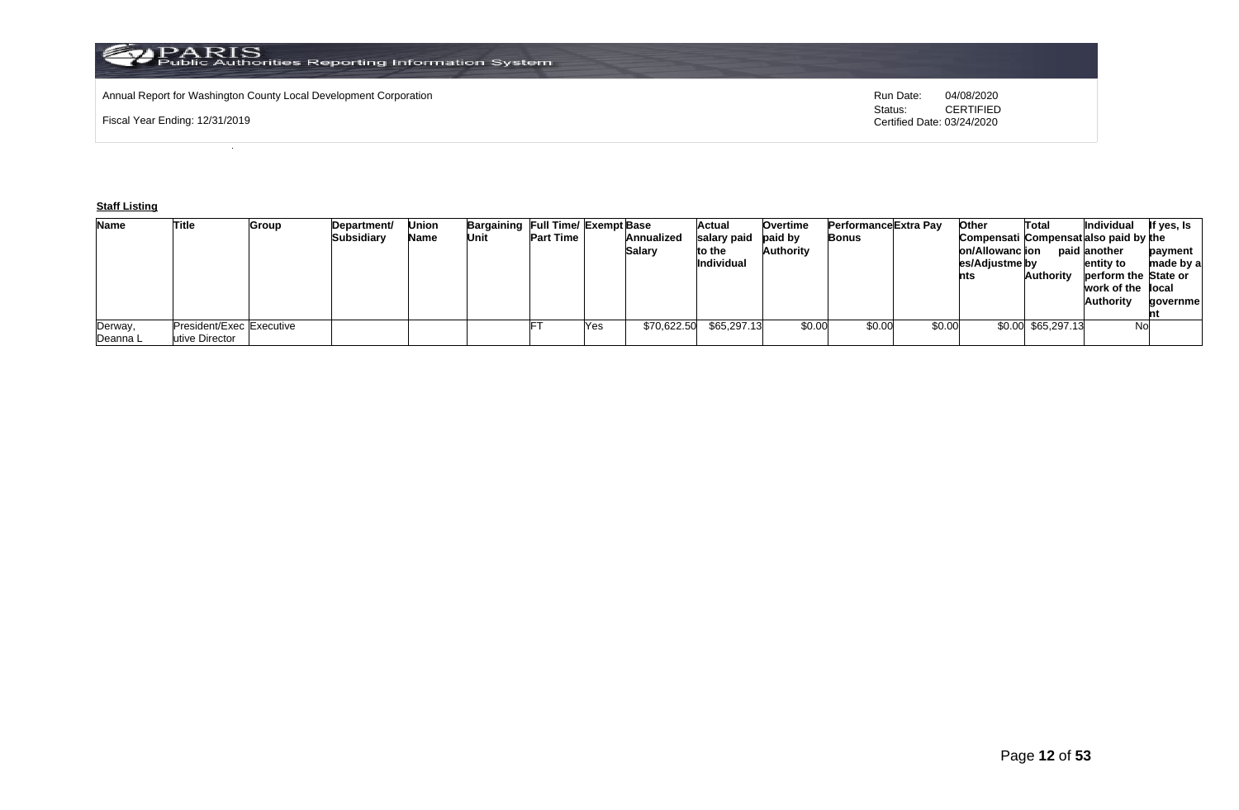## Annual Report for Washington County Local Development Corporation **Run Date:** Annual Report for Washington County Local Development Corporation Run Date: 04/08/2020<br>Status: CERTIFIED

Fiscal Year Ending: 12/31/2019

CERTIFIED Certified Date: 03/24/2020

## **Staff Listing**

| <b>Name</b> | Title                    | Group | Department/ | Union | Bargaining Full Time/ Exempt Base |                  |     |               | Actual            | <b>Overtime</b> | Performance Extra Pay |        | Other                                 | Total              | Individual           | If yes, Is |
|-------------|--------------------------|-------|-------------|-------|-----------------------------------|------------------|-----|---------------|-------------------|-----------------|-----------------------|--------|---------------------------------------|--------------------|----------------------|------------|
|             |                          |       | Subsidiary  | Name  | Unit                              | <b>Part Time</b> |     | Annualized    | salary paid       | paid by         | Bonus                 |        | Compensati Compensatialso paid by the |                    |                      |            |
|             |                          |       |             |       |                                   |                  |     | <b>Salary</b> | to the            | Authority       |                       |        | on/Allowanc ion                       |                    | paid another         | payment    |
|             |                          |       |             |       |                                   |                  |     |               | <b>Individual</b> |                 |                       |        | es/Adjustme by                        |                    | entity to            | made by a  |
|             |                          |       |             |       |                                   |                  |     |               |                   |                 |                       |        | nts                                   | <b>Authority</b>   | perform the State or |            |
|             |                          |       |             |       |                                   |                  |     |               |                   |                 |                       |        |                                       |                    | work of the llocal   |            |
|             |                          |       |             |       |                                   |                  |     |               |                   |                 |                       |        |                                       |                    | <b>Authority</b>     | qovernmel  |
|             |                          |       |             |       |                                   |                  |     |               |                   |                 |                       |        |                                       |                    |                      |            |
| Derway,     | President/Exec Executive |       |             |       |                                   |                  | Yes | \$70,622.50   | \$65,297.13       | \$0.00          | \$0.00                | \$0.00 |                                       | \$0.00 \$65,297.13 | <b>No</b>            |            |
| Deanna L    | utive Director           |       |             |       |                                   |                  |     |               |                   |                 |                       |        |                                       |                    |                      |            |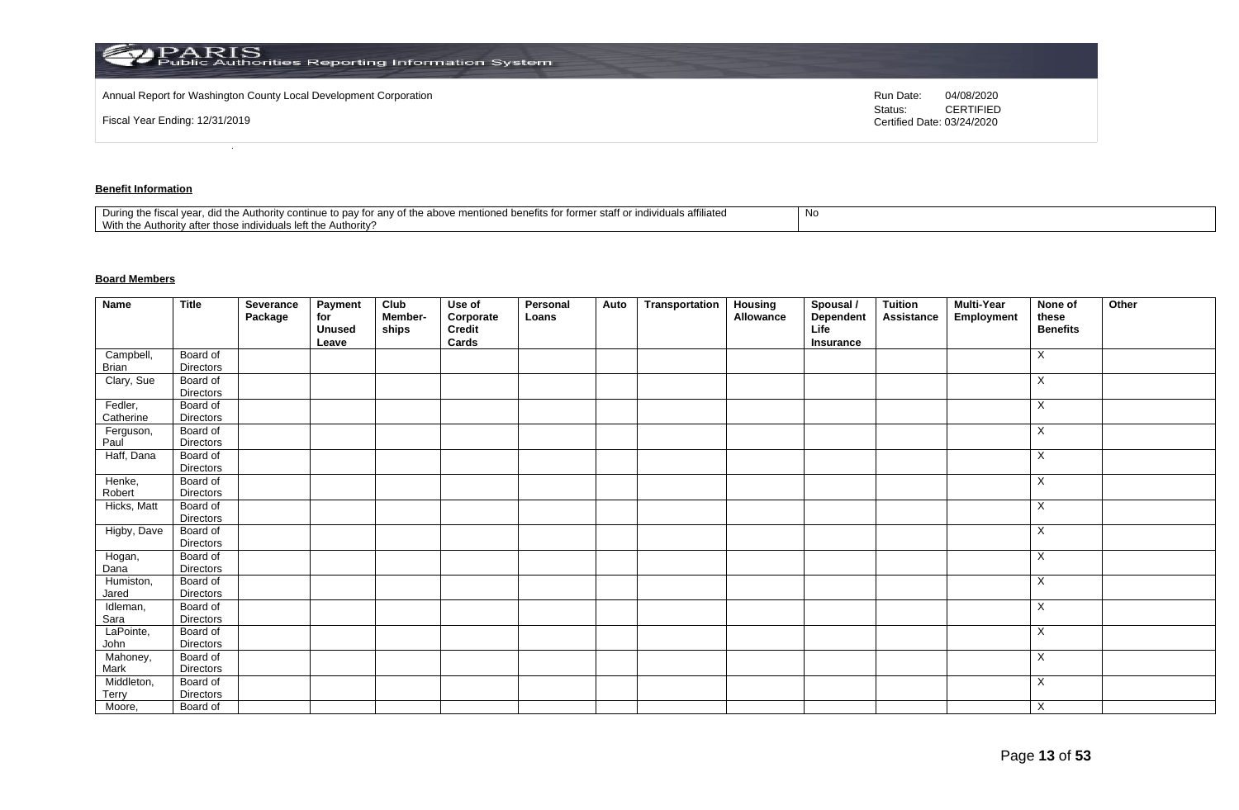| Annual Report for Washington County Local Development Corporation |                                       |            |
|-------------------------------------------------------------------|---------------------------------------|------------|
|                                                                   | Run Date:                             | 04/08/2020 |
| Fiscal Year Ending: 12/31/2019                                    | Status:<br>Certified Date: 03/24/2020 | CERTIFIED  |

## **Benefit Information**

| affiliated<br>staff o<br>$+$<br>During the fiscal<br>the above<br>าฑทนค<br>the Authority cor<br>r anv oi<br>individuais en<br>ונזד עי<br>to dav<br>101111 <del>0</del><br>iloneg benems ion<br>1 Y U<br>.<br>With the<br>Authority?<br>uthori<br>.v atte<br>∴ ייטו בווסו∨וסטו forr^ |  |
|-------------------------------------------------------------------------------------------------------------------------------------------------------------------------------------------------------------------------------------------------------------------------------------|--|
|-------------------------------------------------------------------------------------------------------------------------------------------------------------------------------------------------------------------------------------------------------------------------------------|--|

## **Board Members**

| Name                  | <b>Title</b>          | Severance<br>Package | Payment<br>for<br><b>Unused</b><br>Leave | Club<br>Member-<br>ships | Use of<br>Corporate<br>Credit<br>Cards | Personal<br>Loans | Auto | <b>Transportation</b> | <b>Housing</b><br>Allowance | Spousal /<br><b>Dependent</b><br>Life<br>Insurance | <b>Tuition</b><br>Assistance | <b>Multi-Year</b><br>Employment | None of<br>these<br><b>Benefits</b> | Other |
|-----------------------|-----------------------|----------------------|------------------------------------------|--------------------------|----------------------------------------|-------------------|------|-----------------------|-----------------------------|----------------------------------------------------|------------------------------|---------------------------------|-------------------------------------|-------|
| Campbell,             | Board of              |                      |                                          |                          |                                        |                   |      |                       |                             |                                                    |                              |                                 | X                                   |       |
| Brian                 | <b>Directors</b>      |                      |                                          |                          |                                        |                   |      |                       |                             |                                                    |                              |                                 |                                     |       |
| Clary, Sue            | Board of              |                      |                                          |                          |                                        |                   |      |                       |                             |                                                    |                              |                                 | X                                   |       |
|                       | Directors             |                      |                                          |                          |                                        |                   |      |                       |                             |                                                    |                              |                                 |                                     |       |
| Fedler,               | Board of              |                      |                                          |                          |                                        |                   |      |                       |                             |                                                    |                              |                                 | Χ                                   |       |
| Catherine             | Directors             |                      |                                          |                          |                                        |                   |      |                       |                             |                                                    |                              |                                 |                                     |       |
| Ferguson,             | Board of              |                      |                                          |                          |                                        |                   |      |                       |                             |                                                    |                              |                                 | X                                   |       |
| Paul                  | <b>Directors</b>      |                      |                                          |                          |                                        |                   |      |                       |                             |                                                    |                              |                                 |                                     |       |
| Haff, Dana            | Board of              |                      |                                          |                          |                                        |                   |      |                       |                             |                                                    |                              |                                 | X                                   |       |
|                       | Directors             |                      |                                          |                          |                                        |                   |      |                       |                             |                                                    |                              |                                 |                                     |       |
| Henke,                | Board of              |                      |                                          |                          |                                        |                   |      |                       |                             |                                                    |                              |                                 | X                                   |       |
| Robert<br>Hicks, Matt | Directors             |                      |                                          |                          |                                        |                   |      |                       |                             |                                                    |                              |                                 | X                                   |       |
|                       | Board of<br>Directors |                      |                                          |                          |                                        |                   |      |                       |                             |                                                    |                              |                                 |                                     |       |
| Higby, Dave           | Board of              |                      |                                          |                          |                                        |                   |      |                       |                             |                                                    |                              |                                 | X                                   |       |
|                       | <b>Directors</b>      |                      |                                          |                          |                                        |                   |      |                       |                             |                                                    |                              |                                 |                                     |       |
| Hogan,                | Board of              |                      |                                          |                          |                                        |                   |      |                       |                             |                                                    |                              |                                 | X                                   |       |
| Dana                  | <b>Directors</b>      |                      |                                          |                          |                                        |                   |      |                       |                             |                                                    |                              |                                 |                                     |       |
| Humiston,             | Board of              |                      |                                          |                          |                                        |                   |      |                       |                             |                                                    |                              |                                 | X                                   |       |
| Jared                 | Directors             |                      |                                          |                          |                                        |                   |      |                       |                             |                                                    |                              |                                 |                                     |       |
| Idleman,              | Board of              |                      |                                          |                          |                                        |                   |      |                       |                             |                                                    |                              |                                 | X                                   |       |
| Sara                  | Directors             |                      |                                          |                          |                                        |                   |      |                       |                             |                                                    |                              |                                 |                                     |       |
| LaPointe,             | Board of              |                      |                                          |                          |                                        |                   |      |                       |                             |                                                    |                              |                                 | X                                   |       |
| John                  | <b>Directors</b>      |                      |                                          |                          |                                        |                   |      |                       |                             |                                                    |                              |                                 |                                     |       |
| Mahoney,              | Board of              |                      |                                          |                          |                                        |                   |      |                       |                             |                                                    |                              |                                 | X                                   |       |
| Mark                  | Directors             |                      |                                          |                          |                                        |                   |      |                       |                             |                                                    |                              |                                 |                                     |       |
| Middleton,<br>Terry   | Board of<br>Directors |                      |                                          |                          |                                        |                   |      |                       |                             |                                                    |                              |                                 | X                                   |       |
| Moore,                | Board of              |                      |                                          |                          |                                        |                   |      |                       |                             |                                                    |                              |                                 | X                                   |       |
|                       |                       |                      |                                          |                          |                                        |                   |      |                       |                             |                                                    |                              |                                 |                                     |       |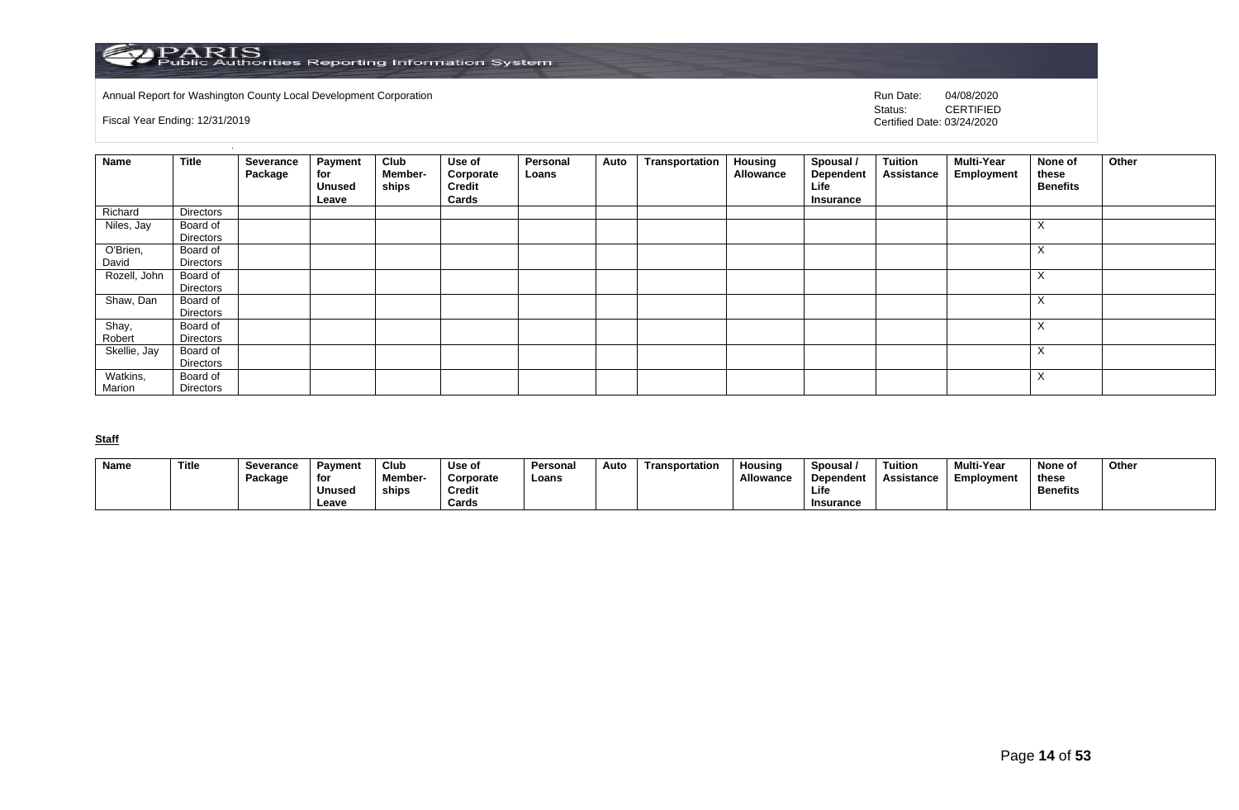

Annual Report for Washington County Local Development Corporation **Computer Computer Construction** Run Date: 04/08/2020<br>Status: CERTIFIED

Fiscal Year Ending: 12/31/2019

CERTIFIED Certified Date: 03/24/2020

| <b>Name</b>        | <b>Title</b>          | Severance<br>Package | <b>Payment</b><br>for<br><b>Unused</b><br>Leave | Club<br>Member-<br>ships | Use of<br>Corporate<br><b>Credit</b><br>Cards | Personal<br>Loans | Auto | Transportation | <b>Housing</b><br>Allowance | Spousal /<br><b>Dependent</b><br>Life<br>Insurance | <b>Tuition</b><br><b>Assistance</b> | <b>Multi-Year</b><br>Employment | None of<br>these<br><b>Benefits</b> | Other |
|--------------------|-----------------------|----------------------|-------------------------------------------------|--------------------------|-----------------------------------------------|-------------------|------|----------------|-----------------------------|----------------------------------------------------|-------------------------------------|---------------------------------|-------------------------------------|-------|
| Richard            | Directors             |                      |                                                 |                          |                                               |                   |      |                |                             |                                                    |                                     |                                 |                                     |       |
| Niles, Jay         | Board of<br>Directors |                      |                                                 |                          |                                               |                   |      |                |                             |                                                    |                                     |                                 | $\checkmark$<br>$\lambda$           |       |
| O'Brien,<br>David  | Board of<br>Directors |                      |                                                 |                          |                                               |                   |      |                |                             |                                                    |                                     |                                 | $\lambda$<br>$\lambda$              |       |
| Rozell, John       | Board of<br>Directors |                      |                                                 |                          |                                               |                   |      |                |                             |                                                    |                                     |                                 | $\lambda$<br>$\lambda$              |       |
| Shaw, Dan          | Board of<br>Directors |                      |                                                 |                          |                                               |                   |      |                |                             |                                                    |                                     |                                 | $\lambda$<br>$\lambda$              |       |
| Shay,<br>Robert    | Board of<br>Directors |                      |                                                 |                          |                                               |                   |      |                |                             |                                                    |                                     |                                 | $\lambda$<br>$\lambda$              |       |
| Skellie, Jay       | Board of<br>Directors |                      |                                                 |                          |                                               |                   |      |                |                             |                                                    |                                     |                                 | $\checkmark$<br>⋏                   |       |
| Watkins,<br>Marion | Board of<br>Directors |                      |                                                 |                          |                                               |                   |      |                |                             |                                                    |                                     |                                 | $\boldsymbol{\mathsf{X}}$           |       |

## **Staff**

| Name | Title | <b>Severance</b> | Pavment       | Club    | Use of        | Persona | Auto | Transportation | Housing   | Spousal          | Tuition    | <b>Multi-Year</b> | None of         | Other |
|------|-------|------------------|---------------|---------|---------------|---------|------|----------------|-----------|------------------|------------|-------------------|-----------------|-------|
|      |       | Package          | for           | Member- | Corporate     | Loans   |      |                | Allowance | Dependent        | Assistance | Emplovment        | these           |       |
|      |       |                  | <b>Unused</b> | ships   | <b>Credit</b> |         |      |                |           | Life             |            |                   | <b>Benefits</b> |       |
|      |       |                  | Leave         |         | Cards         |         |      |                |           | <b>Insurance</b> |            |                   |                 |       |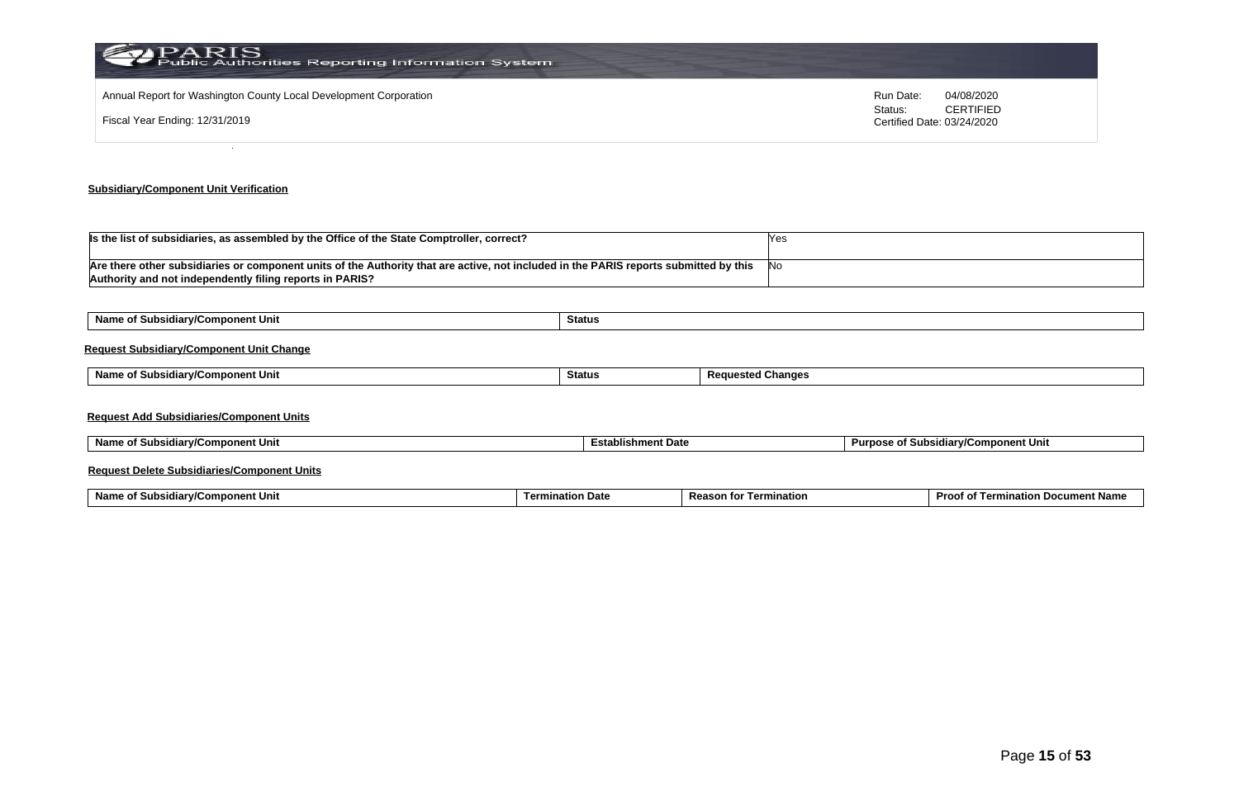| PARIS<br>Public Authorities Reporting Information System          |                                       |                  |
|-------------------------------------------------------------------|---------------------------------------|------------------|
| Annual Report for Washington County Local Development Corporation | Run Date:                             | 04/08/2020       |
| Fiscal Year Ending: 12/31/2019                                    | Status:<br>Certified Date: 03/24/2020 | <b>CERTIFIED</b> |
|                                                                   |                                       |                  |

## **Subsidiary/Component Unit Verification**

| Is the list of subsidiaries, as assembled by the Office of the State Comptroller, correct?                                            |      |
|---------------------------------------------------------------------------------------------------------------------------------------|------|
|                                                                                                                                       |      |
| Are there other subsidiaries or component units of the Authority that are active, not included in the PARIS reports submitted by this | .INC |
| Authority and not independently filing reports in PARIS?                                                                              |      |

| Name of Subsidiary/Component Unit               | Status        |                          |        |   |   |  |
|-------------------------------------------------|---------------|--------------------------|--------|---|---|--|
| <b>Request Subsidiary/Component Unit Change</b> |               |                          |        |   |   |  |
| Name of Subsidiary/Component Unit               | <b>Status</b> | <b>Requested Changes</b> |        |   |   |  |
|                                                 |               |                          |        |   |   |  |
| <b>Request Add Subsidiaries/Component Units</b> |               |                          |        |   |   |  |
| .                                               | .             |                          | $\sim$ | . | . |  |

| ubsidiarv/Component Unit<br>Nam<br>. от | ำment Date<br>Establishm | $\overline{\phantom{a}}$<br>sidiarv/Component Unit،<br>Purnose<br>0t<br>$\sim$ |
|-----------------------------------------|--------------------------|--------------------------------------------------------------------------------|
|                                         |                          |                                                                                |

#### **Request Delete Subsidiaries/Component Units**

| Name o<br>omponent Unit<br>. .<br><b>∍idiar</b> w‴<br><b>SUDSK</b> | tion Date<br>Termi | Reaso<br>mination<br>τοι | Proc.<br>. Docur<br>າent Name<br>natioi.<br>$\overline{a}$<br>ന |
|--------------------------------------------------------------------|--------------------|--------------------------|-----------------------------------------------------------------|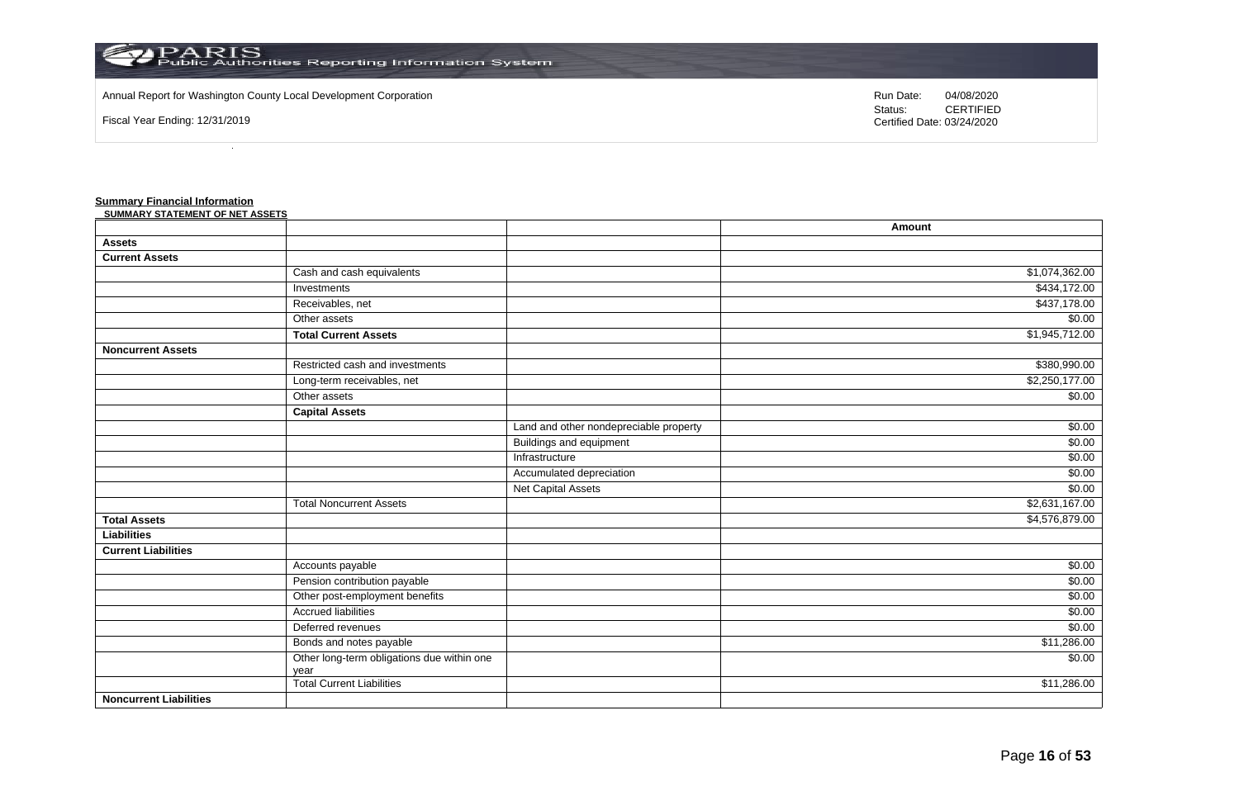

#### Annual Report for Washington County Local Development Corporation Run Date: 04/08/2020 Run Date: 04/08/2020

Fiscal Year Ending: 12/31/2019

Status: **CERTIFIED** Certified Date: 03/24/2020

#### **Summary Financial Information**

| <u>Gammary + manolal lingthiation</u><br>SUMMARY STATEMENT OF NET ASSETS |                                            |                                        |                |
|--------------------------------------------------------------------------|--------------------------------------------|----------------------------------------|----------------|
|                                                                          |                                            |                                        | Amount         |
| <b>Assets</b>                                                            |                                            |                                        |                |
| <b>Current Assets</b>                                                    |                                            |                                        |                |
|                                                                          | Cash and cash equivalents                  |                                        | \$1,074,362.00 |
|                                                                          | Investments                                |                                        | \$434,172.00   |
|                                                                          | Receivables, net                           |                                        | \$437,178.00   |
|                                                                          | Other assets                               |                                        | \$0.00         |
|                                                                          | <b>Total Current Assets</b>                |                                        | \$1,945,712.00 |
| <b>Noncurrent Assets</b>                                                 |                                            |                                        |                |
|                                                                          | Restricted cash and investments            |                                        | \$380,990.00   |
|                                                                          | Long-term receivables, net                 |                                        | \$2,250,177.00 |
|                                                                          | Other assets                               |                                        | \$0.00         |
|                                                                          | <b>Capital Assets</b>                      |                                        |                |
|                                                                          |                                            | Land and other nondepreciable property | \$0.00         |
|                                                                          |                                            | <b>Buildings and equipment</b>         | \$0.00         |
|                                                                          |                                            | Infrastructure                         | \$0.00         |
|                                                                          |                                            | Accumulated depreciation               | \$0.00         |
|                                                                          |                                            | Net Capital Assets                     | \$0.00         |
|                                                                          | <b>Total Noncurrent Assets</b>             |                                        | \$2,631,167.00 |
| <b>Total Assets</b>                                                      |                                            |                                        | \$4,576,879.00 |
| <b>Liabilities</b>                                                       |                                            |                                        |                |
| <b>Current Liabilities</b>                                               |                                            |                                        |                |
|                                                                          | Accounts payable                           |                                        | \$0.00         |
|                                                                          | Pension contribution payable               |                                        | \$0.00         |
|                                                                          | Other post-employment benefits             |                                        | \$0.00         |
|                                                                          | <b>Accrued liabilities</b>                 |                                        | \$0.00         |
|                                                                          | Deferred revenues                          |                                        | \$0.00         |
|                                                                          | Bonds and notes payable                    |                                        | \$11,286.00    |
|                                                                          | Other long-term obligations due within one |                                        | \$0.00         |
|                                                                          | year<br><b>Total Current Liabilities</b>   |                                        | \$11,286.00    |
| <b>Noncurrent Liabilities</b>                                            |                                            |                                        |                |

\$0.00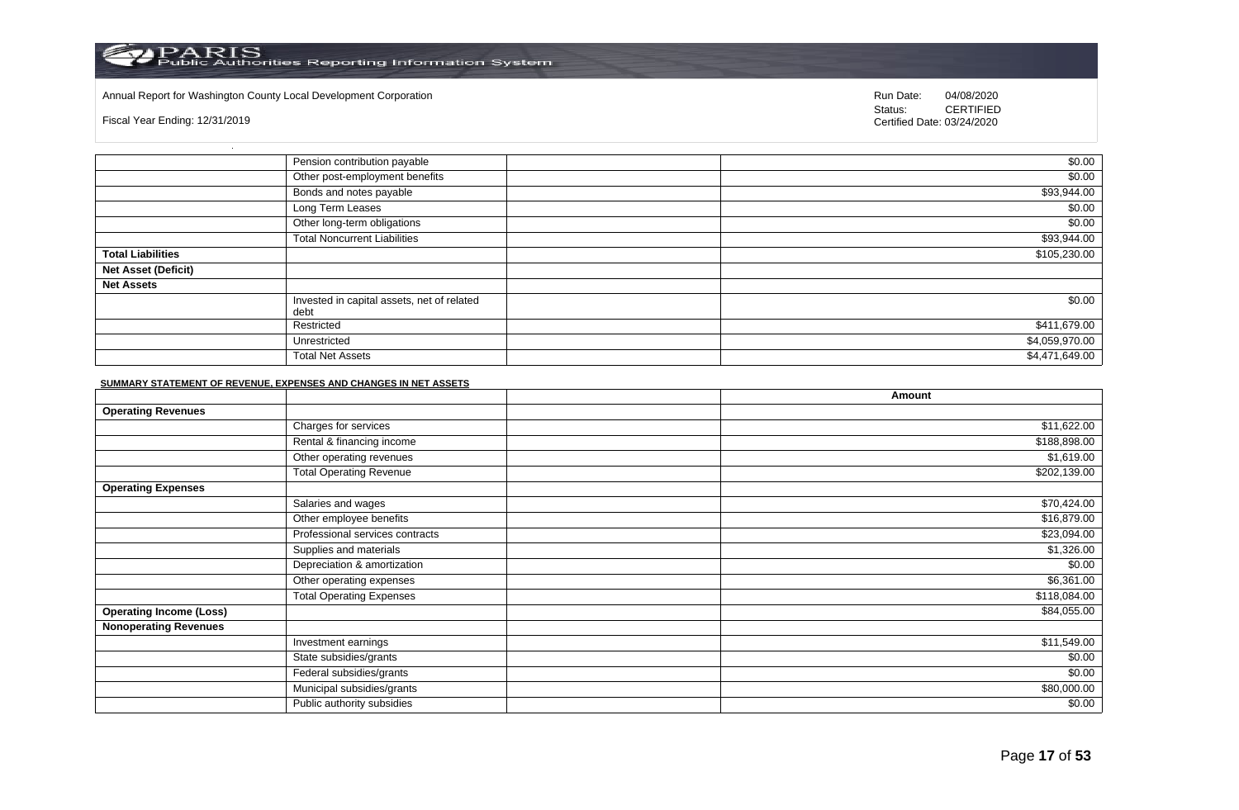#### Annual Report for Washington County Local Development Corporation Run Date: 04/08/2020 Run Date: 04/08/2020

Fiscal Year Ending: 12/31/2019

Status: **CERTIFIED** Certified Date: 03/24/2020

|                            | Pension contribution payable                       | \$0.00         |
|----------------------------|----------------------------------------------------|----------------|
|                            | Other post-employment benefits                     | \$0.00         |
|                            | Bonds and notes payable                            | \$93,944.00    |
|                            | Long Term Leases                                   | \$0.00         |
|                            | Other long-term obligations                        | \$0.00         |
|                            | <b>Total Noncurrent Liabilities</b>                | \$93,944.00    |
| <b>Total Liabilities</b>   |                                                    | \$105,230.00   |
| <b>Net Asset (Deficit)</b> |                                                    |                |
| <b>Net Assets</b>          |                                                    |                |
|                            | Invested in capital assets, net of related<br>debt | \$0.00         |
|                            | Restricted                                         | \$411,679.00   |
|                            | Unrestricted                                       | \$4,059,970.00 |
|                            | <b>Total Net Assets</b>                            | \$4,471,649.00 |

#### **SUMMARY STATEMENT OF REVENUE, EXPENSES AND CHANGES IN NET ASSETS**

|                                |                                 | Amount       |
|--------------------------------|---------------------------------|--------------|
| <b>Operating Revenues</b>      |                                 |              |
|                                | Charges for services            | \$11,622.00  |
|                                | Rental & financing income       | \$188,898.00 |
|                                | Other operating revenues        | \$1,619.00   |
|                                | <b>Total Operating Revenue</b>  | \$202,139.00 |
| <b>Operating Expenses</b>      |                                 |              |
|                                | Salaries and wages              | \$70,424.00  |
|                                | Other employee benefits         | \$16,879.00  |
|                                | Professional services contracts | \$23,094.00  |
|                                | Supplies and materials          | \$1,326.00   |
|                                | Depreciation & amortization     | \$0.00       |
|                                | Other operating expenses        | \$6,361.00   |
|                                | <b>Total Operating Expenses</b> | \$118,084.00 |
| <b>Operating Income (Loss)</b> |                                 | \$84,055.00  |
| <b>Nonoperating Revenues</b>   |                                 |              |
|                                | Investment earnings             | \$11,549.00  |
|                                | State subsidies/grants          | \$0.00       |
|                                | Federal subsidies/grants        | \$0.00       |
|                                | Municipal subsidies/grants      | \$80,000.00  |
|                                | Public authority subsidies      | \$0.00       |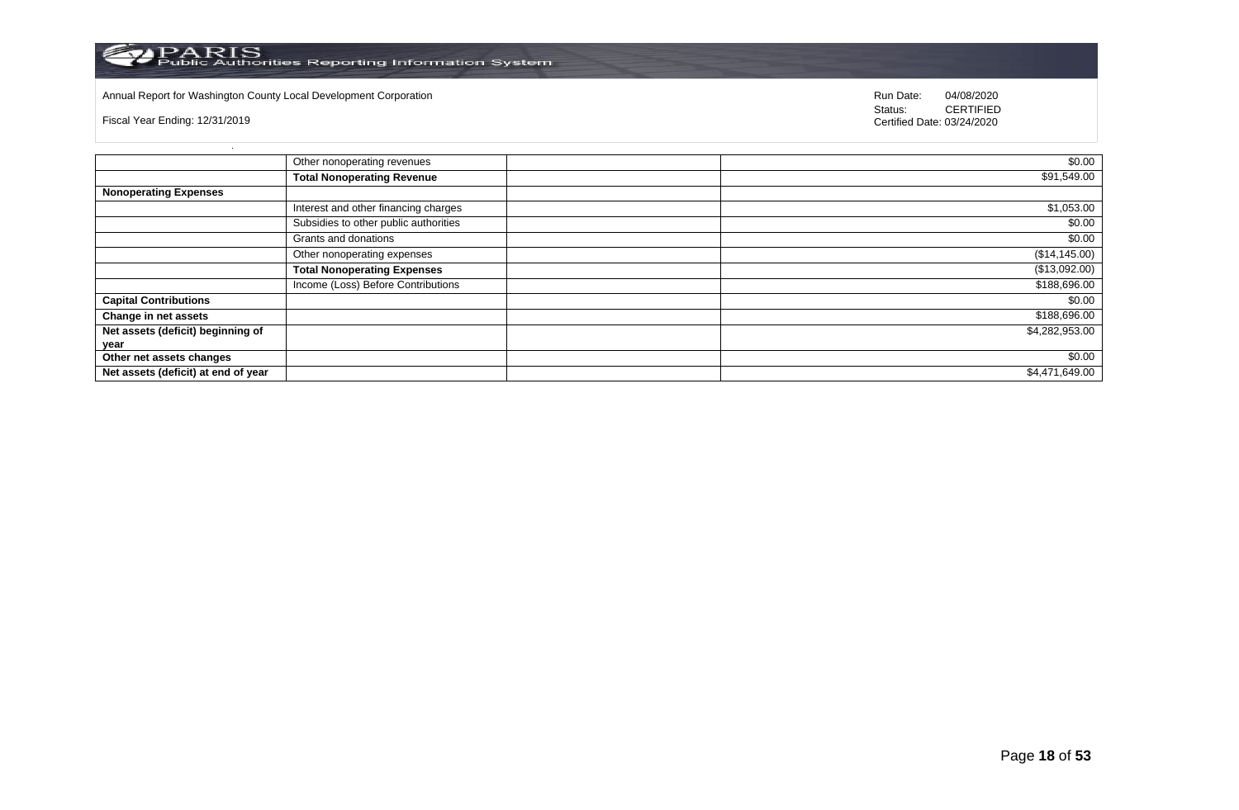

## Annual Report for Washington County Local Development Corporation **Run Date:** 04/08/2020 Run Date: 04/08/2020

Fiscal Year Ending: 12/31/2019

Status: **CERTIFIED** Certified Date: 03/24/2020

|                                     | Other nonoperating revenues           | \$0.00         |
|-------------------------------------|---------------------------------------|----------------|
|                                     | <b>Total Nonoperating Revenue</b>     | \$91,549.00    |
| <b>Nonoperating Expenses</b>        |                                       |                |
|                                     | Interest and other financing charges  | \$1,053.00     |
|                                     | Subsidies to other public authorities | \$0.00         |
|                                     | Grants and donations                  | \$0.00         |
|                                     | Other nonoperating expenses           | (\$14, 145.00) |
|                                     | <b>Total Nonoperating Expenses</b>    | (\$13,092.00)  |
|                                     | Income (Loss) Before Contributions    | \$188,696.00   |
| <b>Capital Contributions</b>        |                                       | \$0.00         |
| Change in net assets                |                                       | \$188,696.00   |
| Net assets (deficit) beginning of   |                                       | \$4,282,953.00 |
| year                                |                                       |                |
| Other net assets changes            |                                       | \$0.00         |
| Net assets (deficit) at end of year |                                       | \$4,471,649.00 |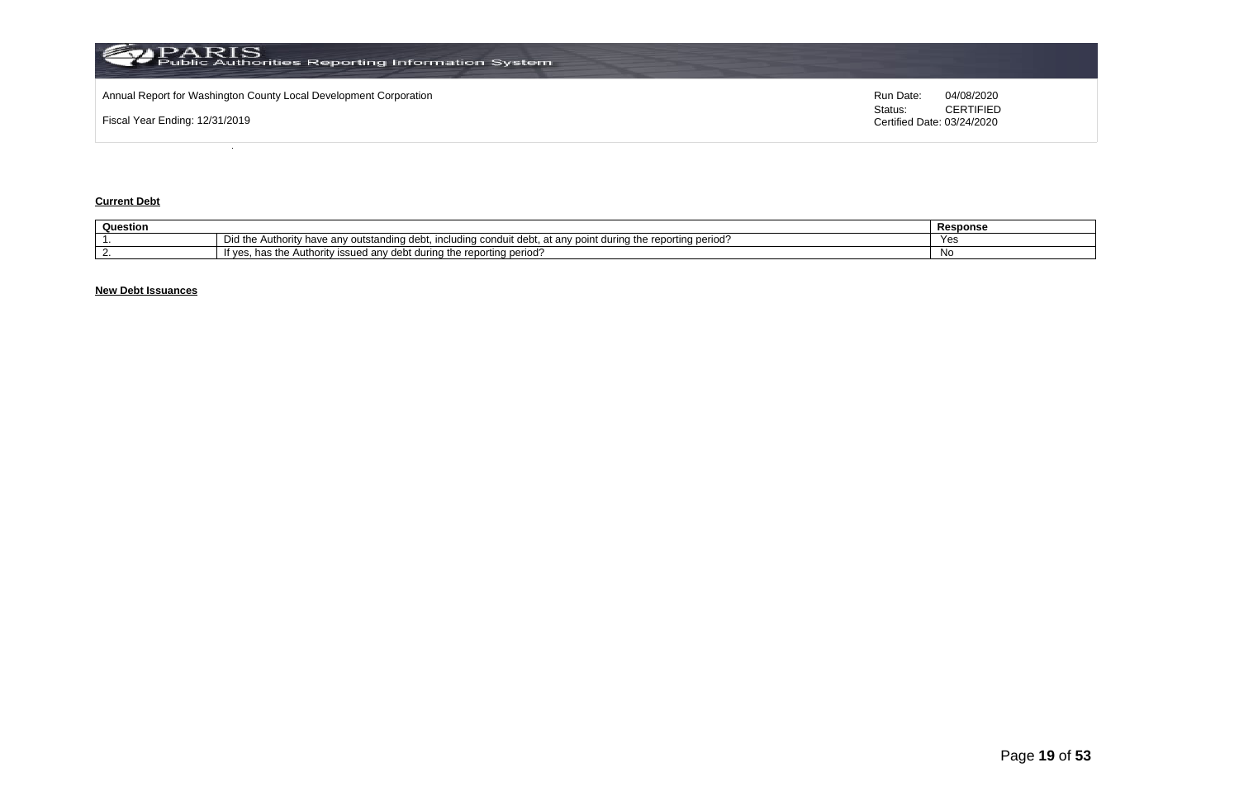

## **Current Debt**

| Question |                                                                                                                                                | Response |
|----------|------------------------------------------------------------------------------------------------------------------------------------------------|----------|
|          | Did the<br>Authority<br>i the reporting period'<br>i durina tr<br>v have anv outstanding debt. i<br>including condui<br>at any point<br>. uebr | Yes      |
|          | : reportina period'<br>during the<br>∵issued anv debt.<br>Autr<br>ority<br>"T Ves.<br>1163 US                                                  | Νo       |

## **New Debt Issuances**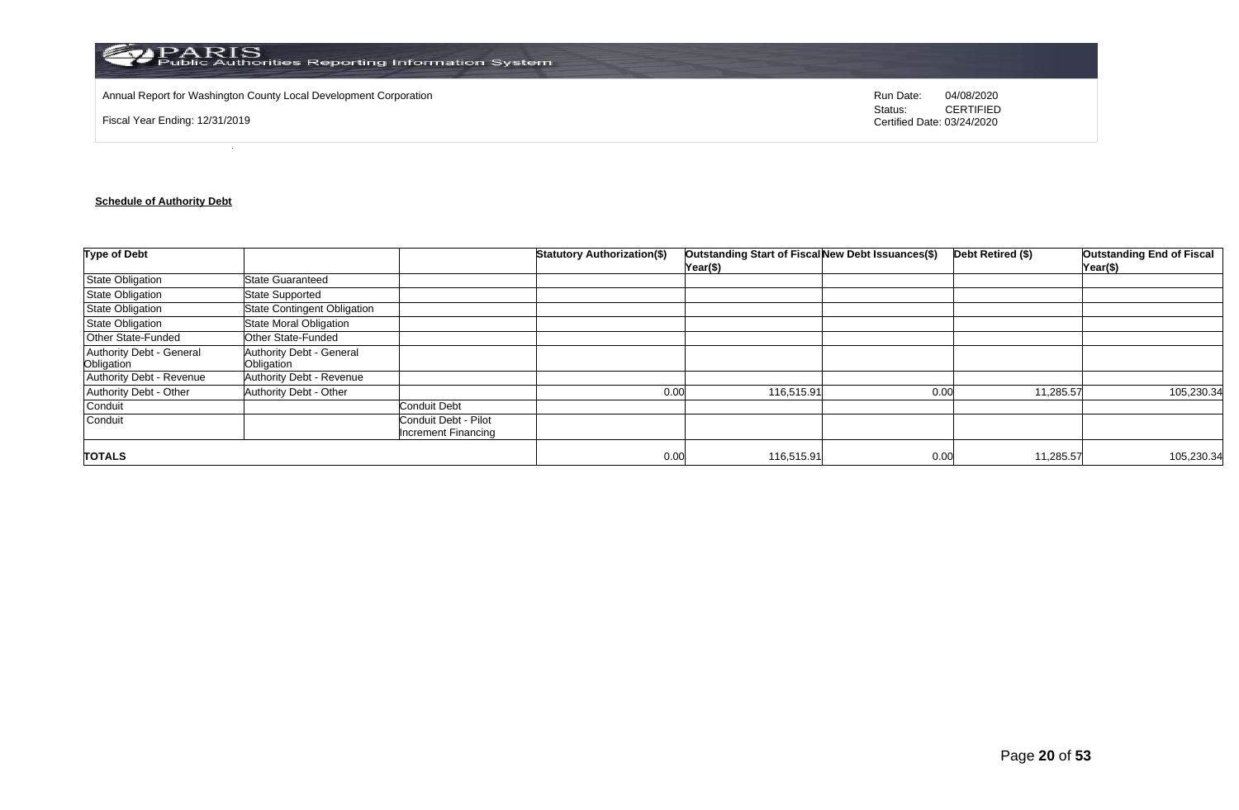

Annual Report for Washington County Local Development Corporation **Run Date:** 04/08/2020 Run Date: 04/08/2020

Fiscal Year Ending: 12/31/2019

Status: **CERTIFIED** Certified Date: 03/24/2020

## **Schedule of Authority Debt**

| <b>Type of Debt</b>                    |                                        |                                                    | <b>Statutory Authorization(\$)</b> | Outstanding Start of Fiscal New Debt Issuances(\$)<br>Year(\$) |      | Debt Retired (\$) | <b>Outstanding End of Fiscal</b><br>Year(\$) |
|----------------------------------------|----------------------------------------|----------------------------------------------------|------------------------------------|----------------------------------------------------------------|------|-------------------|----------------------------------------------|
| <b>State Obligation</b>                | <b>State Guaranteed</b>                |                                                    |                                    |                                                                |      |                   |                                              |
| State Obligation                       | <b>State Supported</b>                 |                                                    |                                    |                                                                |      |                   |                                              |
| <b>State Obligation</b>                | <b>State Contingent Obligation</b>     |                                                    |                                    |                                                                |      |                   |                                              |
| State Obligation                       | State Moral Obligation                 |                                                    |                                    |                                                                |      |                   |                                              |
| Other State-Funded                     | Other State-Funded                     |                                                    |                                    |                                                                |      |                   |                                              |
| Authority Debt - General<br>Obligation | Authority Debt - General<br>Obligation |                                                    |                                    |                                                                |      |                   |                                              |
| Authority Debt - Revenue               | Authority Debt - Revenue               |                                                    |                                    |                                                                |      |                   |                                              |
| Authority Debt - Other                 | Authority Debt - Other                 |                                                    | 0.00                               | 116,515.91                                                     | 0.00 | 11,285.57         | 105,230.34                                   |
| Conduit                                |                                        | <b>Conduit Debt</b>                                |                                    |                                                                |      |                   |                                              |
| Conduit                                |                                        | Conduit Debt - Pilot<br><b>Increment Financing</b> |                                    |                                                                |      |                   |                                              |
| <b>TOTALS</b>                          |                                        |                                                    | 0.00                               | 116,515.91                                                     | 0.00 | 11,285.57         | 105,230.34                                   |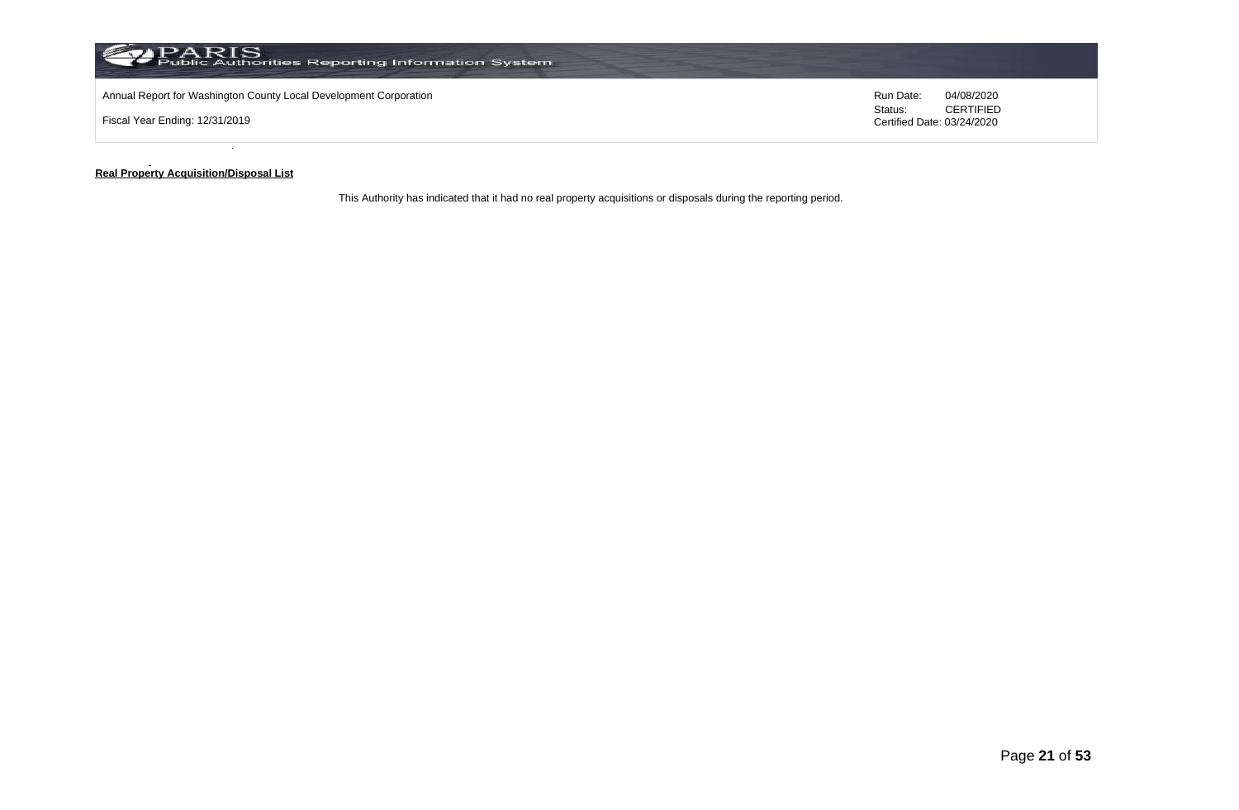

#### **Real Property Acquisition/Disposal List**

This Authority has indicated that it had no real property acquisitions or disposals during the reporting period.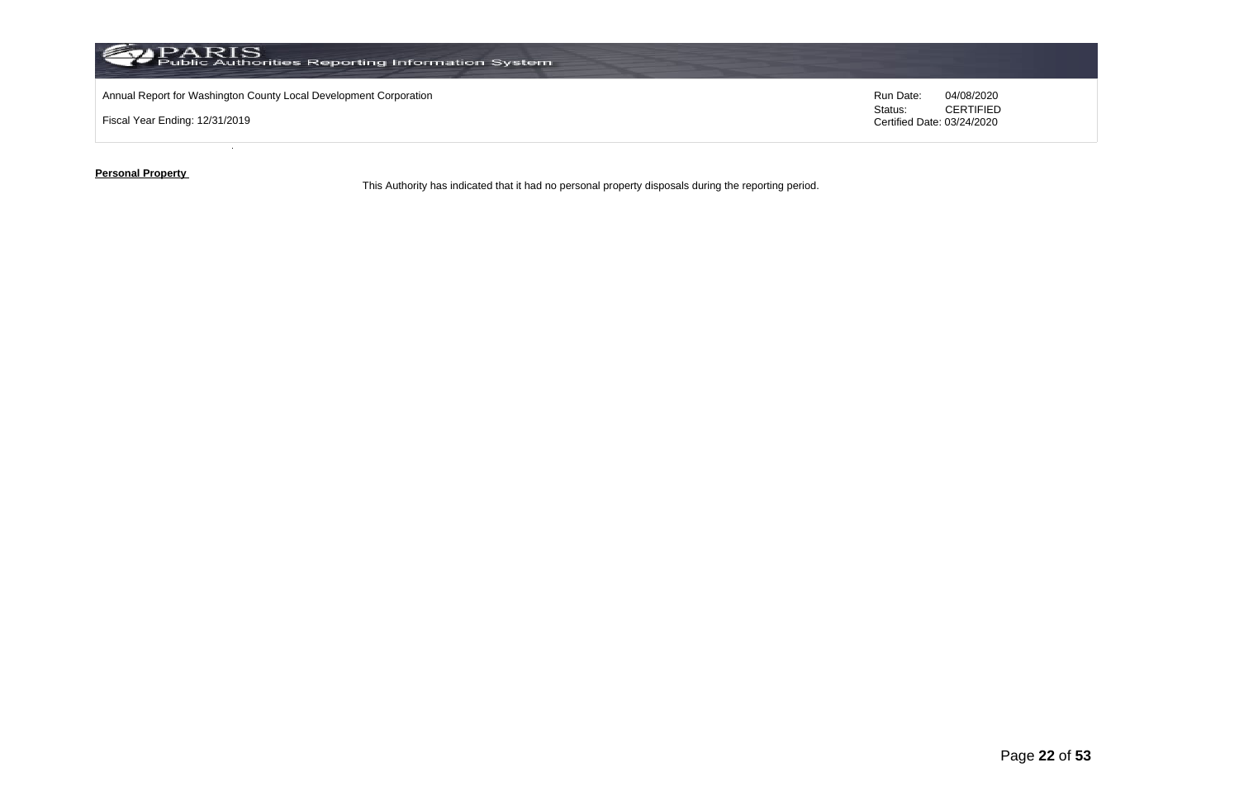

**Personal Property** 

This Authority has indicated that it had no personal property disposals during the reporting period.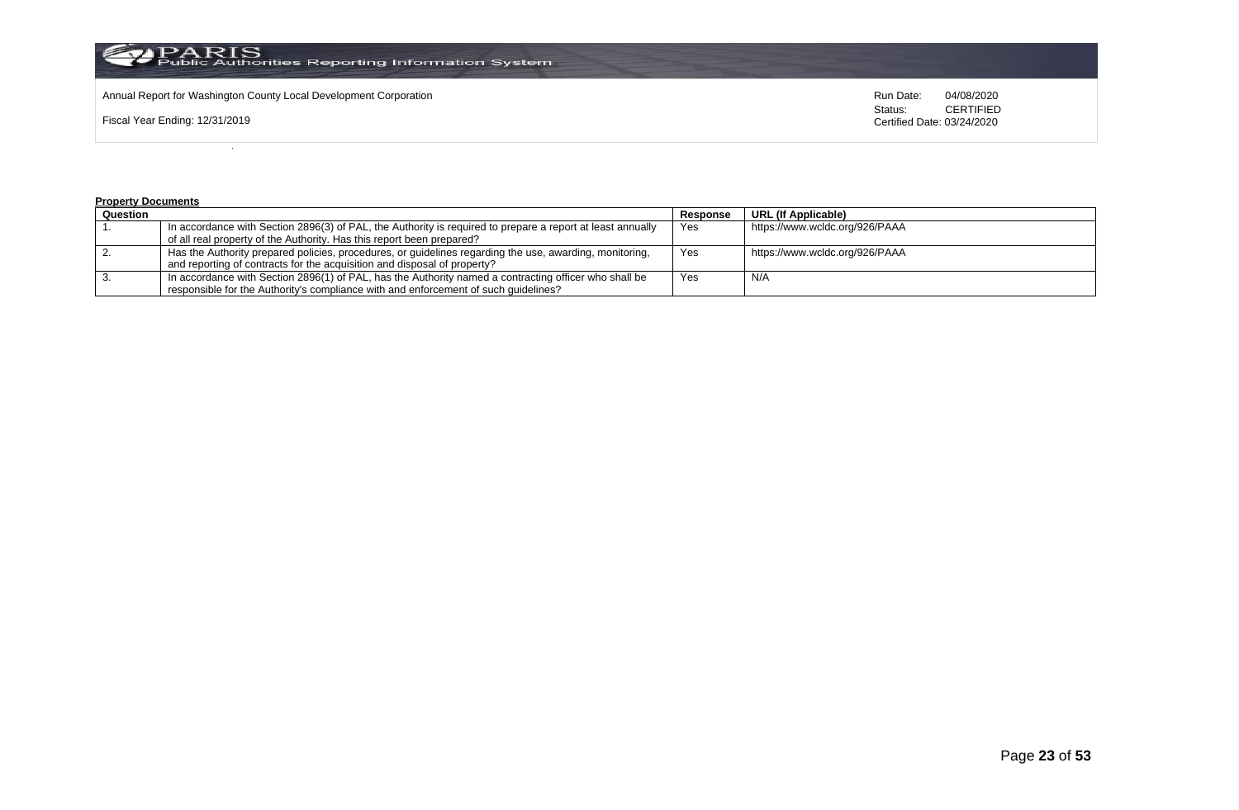

Annual Report for Washington County Local Development Corporation **Run Date:** Annual Report for Washington County Local Development Corporation Run Date: 04/08/2020<br>Status: CERTIFIED

Fiscal Year Ending: 12/31/2019

CERTIFIED Certified Date: 03/24/2020

#### **Property Documents**

| Question |                                                                                                            | Response | URL (If Applicable)            |
|----------|------------------------------------------------------------------------------------------------------------|----------|--------------------------------|
|          | In accordance with Section 2896(3) of PAL, the Authority is required to prepare a report at least annually | Yes      | https://www.wcldc.org/926/PAAA |
|          | of all real property of the Authority. Has this report been prepared?                                      |          |                                |
|          | Has the Authority prepared policies, procedures, or guidelines regarding the use, awarding, monitoring,    | Yes      | https://www.wcldc.org/926/PAAA |
|          | and reporting of contracts for the acquisition and disposal of property?                                   |          |                                |
|          | In accordance with Section 2896(1) of PAL, has the Authority named a contracting officer who shall be      | Yes      | N/A                            |
|          | responsible for the Authority's compliance with and enforcement of such quidelines?                        |          |                                |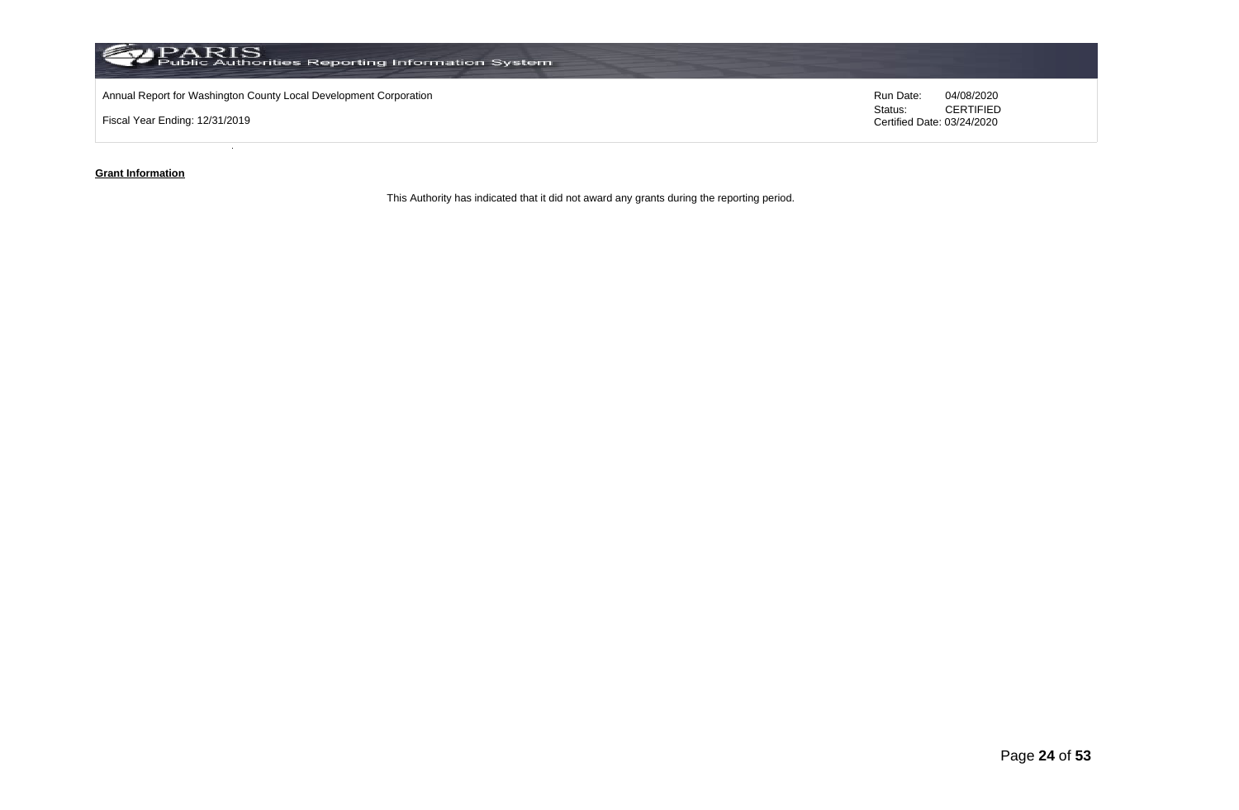

#### **Grant Information**

This Authority has indicated that it did not award any grants during the reporting period.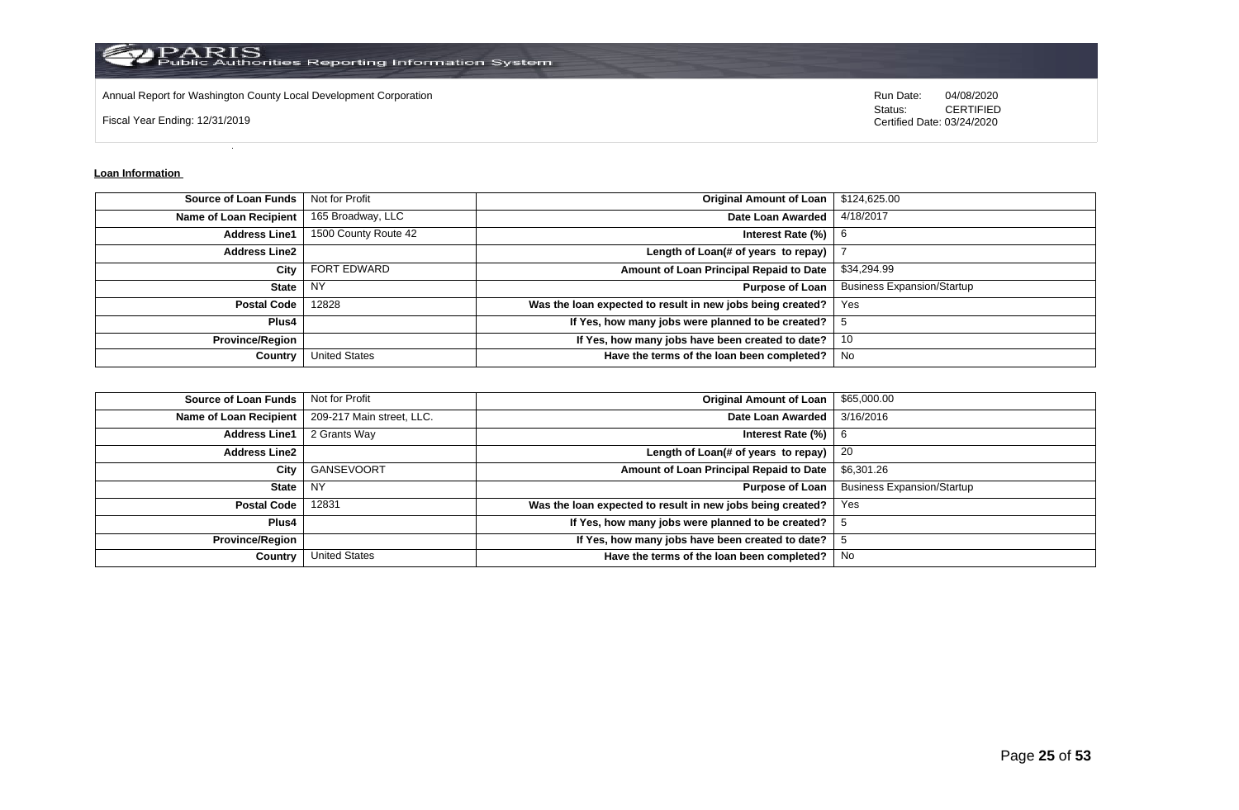

Annual Report for Washington County Local Development Corporation **Run Date:** 04/08/2020 Run Date: 04/08/2020

Fiscal Year Ending: 12/31/2019

Status: **CERTIFIED** Certified Date: 03/24/2020

#### **Loan Information**

| <b>Source of Loan Funds</b>   | Not for Profit       | <b>Original Amount of Loan</b>                             | \$124,625.00                      |
|-------------------------------|----------------------|------------------------------------------------------------|-----------------------------------|
| <b>Name of Loan Recipient</b> | 165 Broadway, LLC    | Date Loan Awarded                                          | 4/18/2017                         |
| <b>Address Line1</b>          | 1500 County Route 42 | Interest Rate (%)                                          | -6                                |
| <b>Address Line2</b>          |                      | Length of Loan(# of years to repay)                        |                                   |
| City                          | <b>FORT EDWARD</b>   | Amount of Loan Principal Repaid to Date                    | \$34,294.99                       |
| <b>State</b>                  | NY.                  | <b>Purpose of Loan</b>                                     | <b>Business Expansion/Startup</b> |
| <b>Postal Code</b>            | 12828                | Was the loan expected to result in new jobs being created? | Yes                               |
| Plus4                         |                      | If Yes, how many jobs were planned to be created?          |                                   |
| <b>Province/Region</b>        |                      | If Yes, how many jobs have been created to date?           | 10                                |
| Country                       | <b>United States</b> | Have the terms of the loan been completed?                 | No.                               |

| <b>Source of Loan Funds</b> | Not for Profit            | <b>Original Amount of Loan</b>                             | \$65,000.00                       |
|-----------------------------|---------------------------|------------------------------------------------------------|-----------------------------------|
| Name of Loan Recipient      | 209-217 Main street, LLC. | Date Loan Awarded                                          | 3/16/2016                         |
| <b>Address Line1</b>        | 2 Grants Way              | Interest Rate $(\%)$   6                                   |                                   |
| <b>Address Line2</b>        |                           | Length of Loan(# of years to repay)                        | 20                                |
| City                        | GANSEVOORT                | Amount of Loan Principal Repaid to Date                    | \$6,301.26                        |
| <b>State</b>                | NY.                       | <b>Purpose of Loan</b>                                     | <b>Business Expansion/Startup</b> |
| <b>Postal Code</b>          | 12831                     | Was the loan expected to result in new jobs being created? | Yes                               |
| Plus4                       |                           | If Yes, how many jobs were planned to be created?          |                                   |
| <b>Province/Region</b>      |                           | If Yes, how many jobs have been created to date?           |                                   |
| Country                     | <b>United States</b>      | Have the terms of the loan been completed?                 | <b>No</b>                         |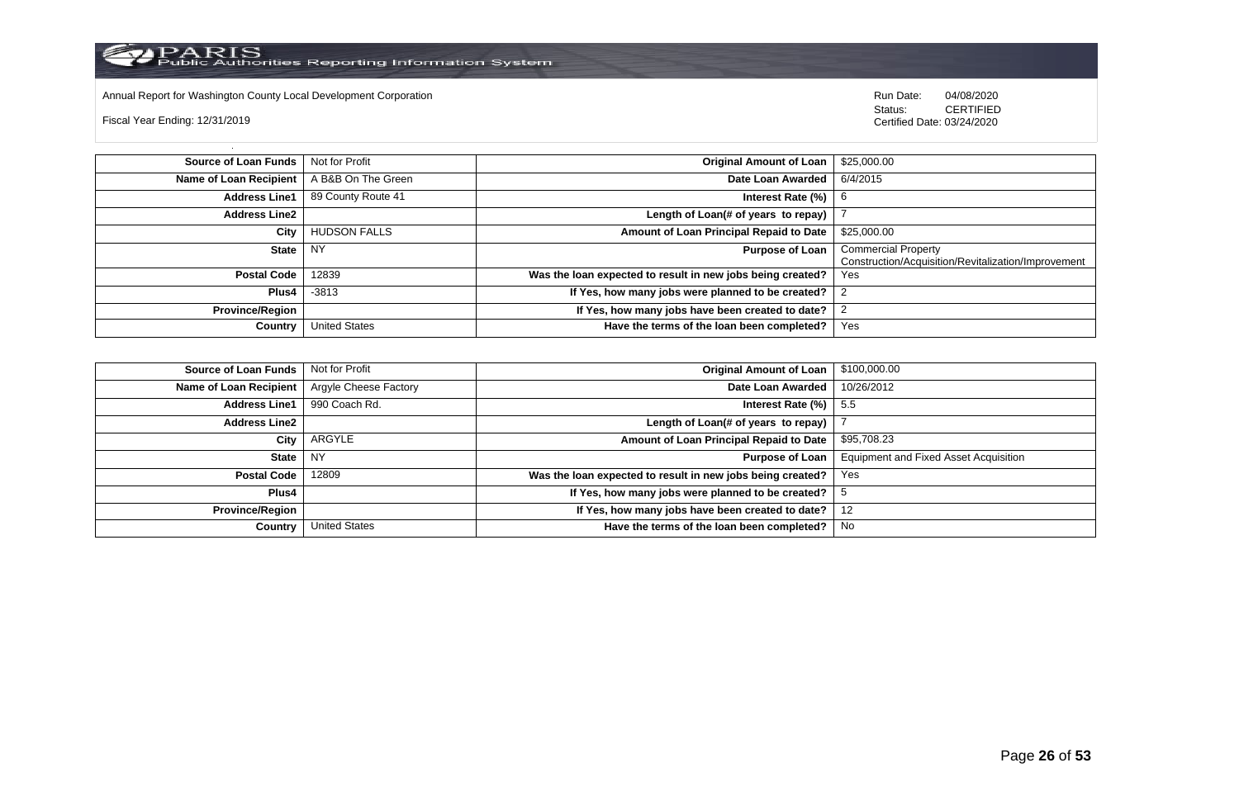Annual Report for Washington County Local Development Corporation Run Date: 04/08/2020 Run Date: 04/08/2020

Fiscal Year Ending: 12/31/2019

 Status: CERTIFIED Certified Date: 03/24/2020

**Source of Loan Funds** Not for Profit **Company of Loan 1 and 25,000.00 Original Amount of Loan** 325,000.00 **Name of Loan Recipient** A B&B On The Green **Date Loan Awarded** 6/4/2015 **Address Line1** 89 County Route 41 **Interest Rate (%)** 6 **Address Line2 Length of Loan(# of years to repay)** 7 **City** HUDSON FALLS **Amount of Loan Principal Repaid to Date** \$25,000.00 **State** NY **Purpose of Loan** Commercial Property Construction/Acquisition/Revitalization/Improvement **Postal Code** 12839 **Was the loan expected to result in new jobs being created? Plus4** -3813 **If Yes, how many jobs were planned to be created?** 2 **Province/Region If Yes, how many jobs have been created to date?** 2 **Country** United States **Have the terms of the loan been completed?** Yes

| Source of Loan Funds   | Not for Profit        | <b>Original Amount of Loan</b>                             | \$100,000.00                          |
|------------------------|-----------------------|------------------------------------------------------------|---------------------------------------|
| Name of Loan Recipient | Argyle Cheese Factory | Date Loan Awarded                                          | 10/26/2012                            |
| <b>Address Line1</b>   | 990 Coach Rd.         | Interest Rate (%)                                          | - 5.5                                 |
| <b>Address Line2</b>   |                       | Length of Loan(# of years to repay)                        |                                       |
| City                   | ARGYLE                | Amount of Loan Principal Repaid to Date                    | \$95,708.23                           |
| <b>State</b>           | I NY                  | <b>Purpose of Loan</b>                                     | Equipment and Fixed Asset Acquisition |
| <b>Postal Code</b>     | 12809                 | Was the loan expected to result in new jobs being created? | Yes                                   |
| Plus4                  |                       | If Yes, how many jobs were planned to be created?          |                                       |
| <b>Province/Region</b> |                       | If Yes, how many jobs have been created to date?           | 12                                    |
| Country                | <b>United States</b>  | Have the terms of the loan been completed?                 | No                                    |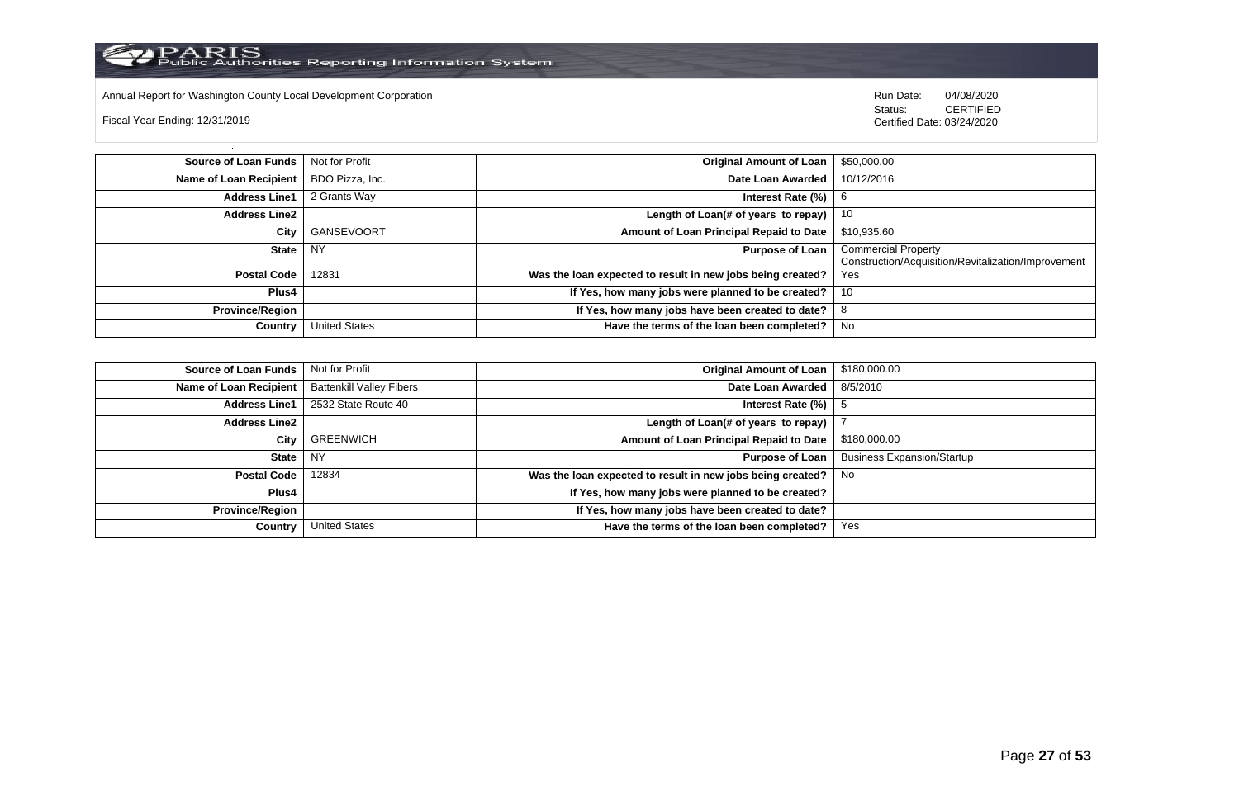Annual Report for Washington County Local Development Corporation Run Date: 04/08/2020 Run Date: 04/08/2020

Fiscal Year Ending: 12/31/2019

 Status: CERTIFIED Certified Date: 03/24/2020

**Source of Loan Funds** Not for Profit **Community 1 and 2010 12:00 Community 1 and 2010 12:00 Driginal Amount of Loan** \$50,000.00 **Name of Loan Recipient** BDO Pizza, Inc. **Date Loan Awarded** 10/12/2016 **Address Line1** 2 Grants Way **Interest Rate (%)** 6 **Address Line2 Length of Loan(# of years to repay)** 10 **City** GANSEVOORT **Amount of Loan Principal Repaid to Date** \$10,935.60 **State** NY **Purpose of Loan** Commercial Property Construction/Acquisition/Revitalization/Improvement **Postal Code** 12831 **Was the loan expected to result in new jobs being created? Plus4 If Yes, how many jobs were planned to be created?** | 10 **Province/Region If Yes, how many jobs have been created to date?** 8 **Country** United States **Have the terms of the loan been completed?** No

| <b>Source of Loan Funds</b>   | Not for Profit                  | <b>Original Amount of Loan</b>                             | \$180,000.00                      |
|-------------------------------|---------------------------------|------------------------------------------------------------|-----------------------------------|
| <b>Name of Loan Recipient</b> | <b>Battenkill Valley Fibers</b> | Date Loan Awarded                                          | 8/5/2010                          |
| <b>Address Line1</b>          | 2532 State Route 40             | Interest Rate (%)                                          |                                   |
| <b>Address Line2</b>          |                                 | Length of Loan(# of years to repay)                        |                                   |
| City                          | <b>GREENWICH</b>                | Amount of Loan Principal Repaid to Date                    | \$180,000.00                      |
| <b>State</b>                  | NY                              | <b>Purpose of Loan</b>                                     | <b>Business Expansion/Startup</b> |
| <b>Postal Code</b>            | 12834                           | Was the loan expected to result in new jobs being created? | No                                |
| Plus4                         |                                 | If Yes, how many jobs were planned to be created?          |                                   |
| <b>Province/Region</b>        |                                 | If Yes, how many jobs have been created to date?           |                                   |
| Country                       | <b>United States</b>            | Have the terms of the loan been completed?                 | Yes                               |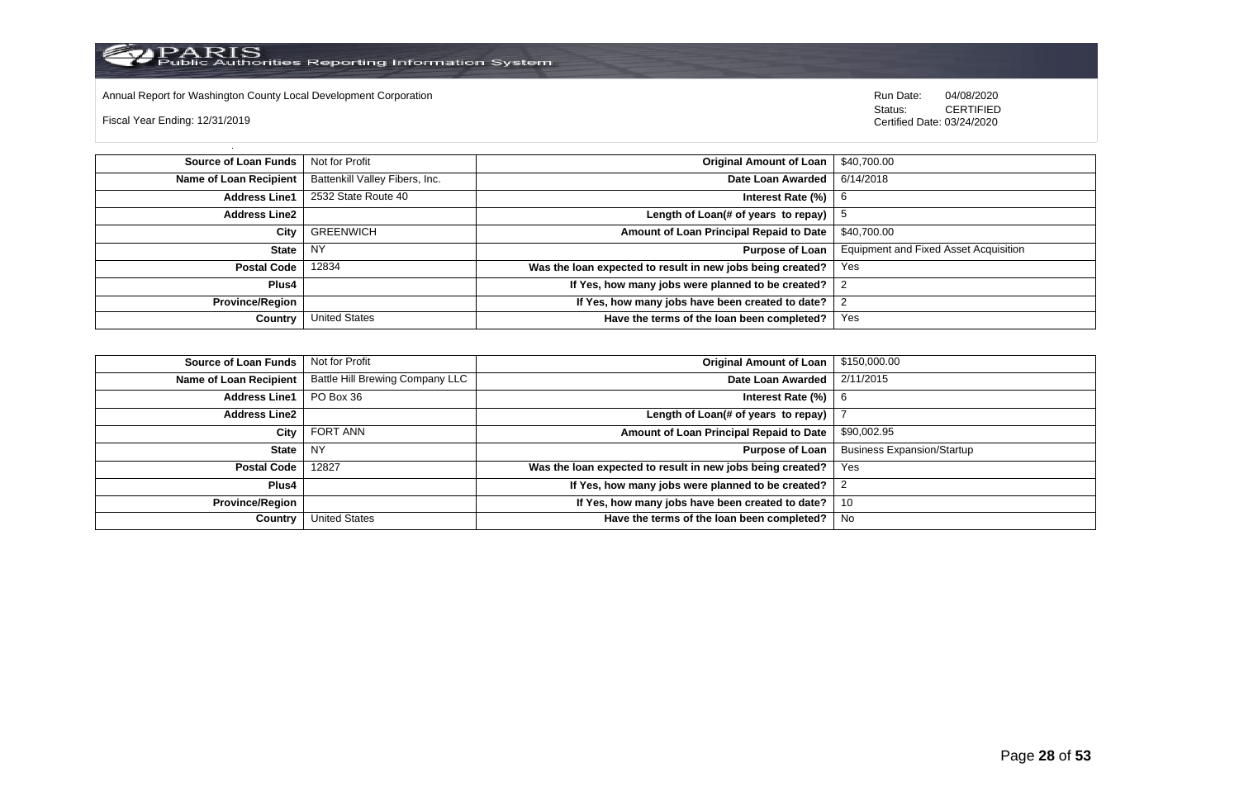

Annual Report for Washington County Local Development Corporation Run Date: 04/08/2020 Run Date: 04/08/2020

Fiscal Year Ending: 12/31/2019

 Status: CERTIFIED Certified Date: 03/24/2020

**Source of Loan Funds** Not for Profit **Company of Loan 1 S40,700.00 Original Amount of Loan** \$40,700.00 **Name of Loan Recipient** Battenkill Valley Fibers, Inc. **Date Loan Awarded** 6/14/2018 **Address Line1** 2532 State Route 40 **Interest Rate (%)** 6 **Interest Rate (%)** 6 **Address Line2 Length of Loan(# of years to repay)**  $\vert$  5 **City** GREENWICH **Amount of Loan Principal Repaid to Date** \$40,700.00 **State** NY **Purpose of Loan** Equipment and Fixed Asset Acquisition **Postal Code** 12834 **Was the loan expected to result in new jobs being created?** Yes **Plus4 If Yes, how many jobs were planned to be created?** 2 **Province/Region If Yes, how many jobs have been created to date?** 2 **Country** United States **Have the terms of the loan been completed?** Yes

| Source of Loan Funds   | Not for Profit                  | <b>Original Amount of Loan</b>                             | \$150,000.00                      |
|------------------------|---------------------------------|------------------------------------------------------------|-----------------------------------|
| Name of Loan Recipient | Battle Hill Brewing Company LLC | Date Loan Awarded                                          | 2/11/2015                         |
| <b>Address Line1</b>   | PO Box 36                       | Interest Rate (%)                                          | -6                                |
| <b>Address Line2</b>   |                                 | Length of Loan(# of years to repay)                        |                                   |
| City                   | <b>FORT ANN</b>                 | Amount of Loan Principal Repaid to Date                    | \$90,002.95                       |
| State                  | NY                              | <b>Purpose of Loan</b>                                     | <b>Business Expansion/Startup</b> |
| Postal Code            | 12827                           | Was the loan expected to result in new jobs being created? | Yes                               |
| Plus4                  |                                 | If Yes, how many jobs were planned to be created?          |                                   |
| <b>Province/Region</b> |                                 | If Yes, how many jobs have been created to date?           | 10                                |
| Country                | United States                   | Have the terms of the loan been completed?                 | No                                |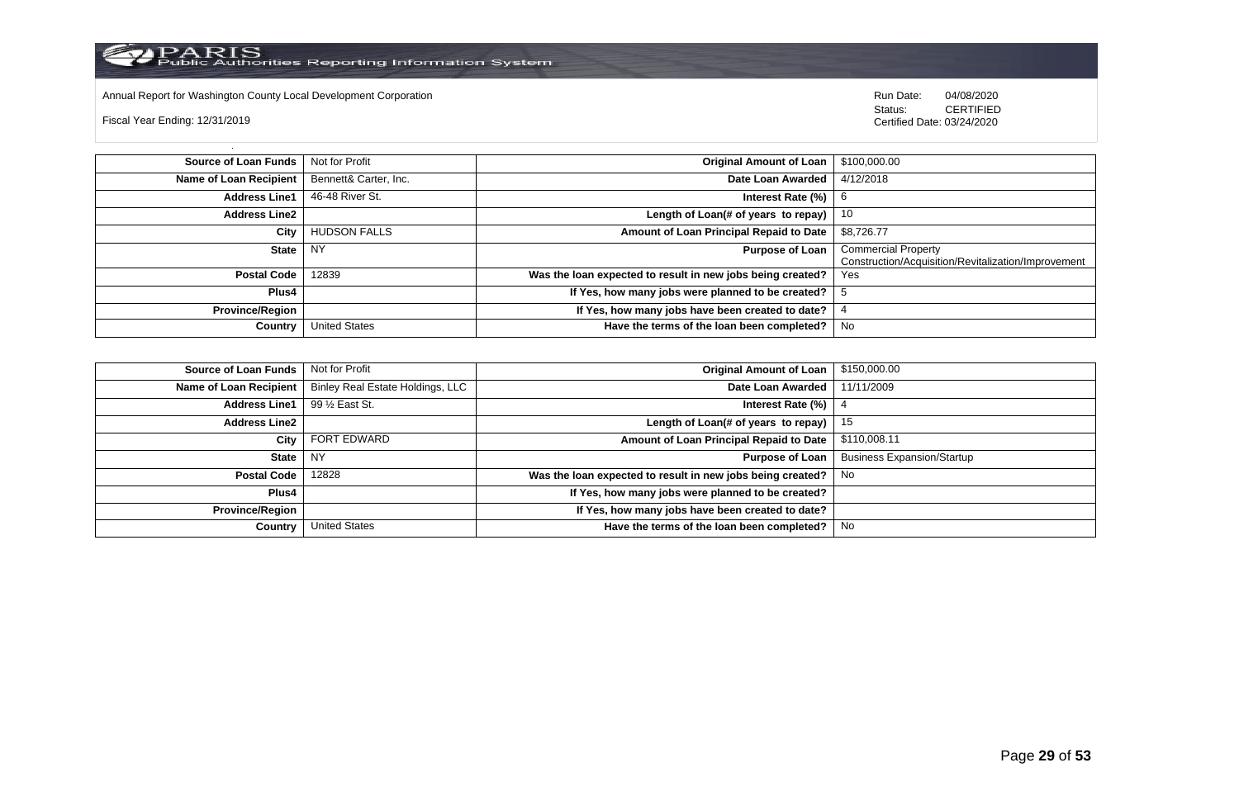Annual Report for Washington County Local Development Corporation **Company County Connect Connect Connect Connect**<br>
Status: CERTIFIED

Fiscal Year Ending: 12/31/2019

CERTIFIED Certified Date: 03/24/2020

| <b>Source of Loan Funds</b> | Not for Profit        | <b>Original Amount of Loan</b>                             | \$100,000.00                                                                      |
|-----------------------------|-----------------------|------------------------------------------------------------|-----------------------------------------------------------------------------------|
| Name of Loan Recipient      | Bennett& Carter, Inc. | Date Loan Awarded                                          | 4/12/2018                                                                         |
| <b>Address Line1</b>        | 46-48 River St.       | Interest Rate $(\%)$                                       | b                                                                                 |
| <b>Address Line2</b>        |                       | Length of Loan(# of years to repay) $ $                    | - 10                                                                              |
| City                        | <b>HUDSON FALLS</b>   | Amount of Loan Principal Repaid to Date                    | \$8,726.77                                                                        |
| <b>State</b>                | <b>NY</b>             | <b>Purpose of Loan</b>                                     | <b>Commercial Property</b><br>Construction/Acquisition/Revitalization/Improvement |
| <b>Postal Code</b>          | 12839                 | Was the loan expected to result in new jobs being created? | Yes                                                                               |
| Plus4                       |                       | If Yes, how many jobs were planned to be created?          |                                                                                   |
| <b>Province/Region</b>      |                       | If Yes, how many jobs have been created to date?           |                                                                                   |
| Country                     | <b>United States</b>  | Have the terms of the loan been completed?                 | No                                                                                |

| <b>Source of Loan Funds</b> | Not for Profit                   | <b>Original Amount of Loan</b>                             | \$150,000.00                      |
|-----------------------------|----------------------------------|------------------------------------------------------------|-----------------------------------|
| Name of Loan Recipient      | Binley Real Estate Holdings, LLC | Date Loan Awarded                                          | 11/11/2009                        |
| <b>Address Line1</b>        | 99 1/2 East St.                  | Interest Rate $(\%)$                                       |                                   |
| <b>Address Line2</b>        |                                  | Length of Loan(# of years to repay)                        | 15                                |
| City                        | <b>FORT EDWARD</b>               | Amount of Loan Principal Repaid to Date                    | \$110,008.11                      |
| State                       | l NY                             | <b>Purpose of Loan</b>                                     | <b>Business Expansion/Startup</b> |
| <b>Postal Code</b>          | 12828                            | Was the loan expected to result in new jobs being created? | No.                               |
| Plus4                       |                                  | If Yes, how many jobs were planned to be created?          |                                   |
| <b>Province/Region</b>      |                                  | If Yes, how many jobs have been created to date?           |                                   |
| Country                     | <b>United States</b>             | Have the terms of the loan been completed?                 | No                                |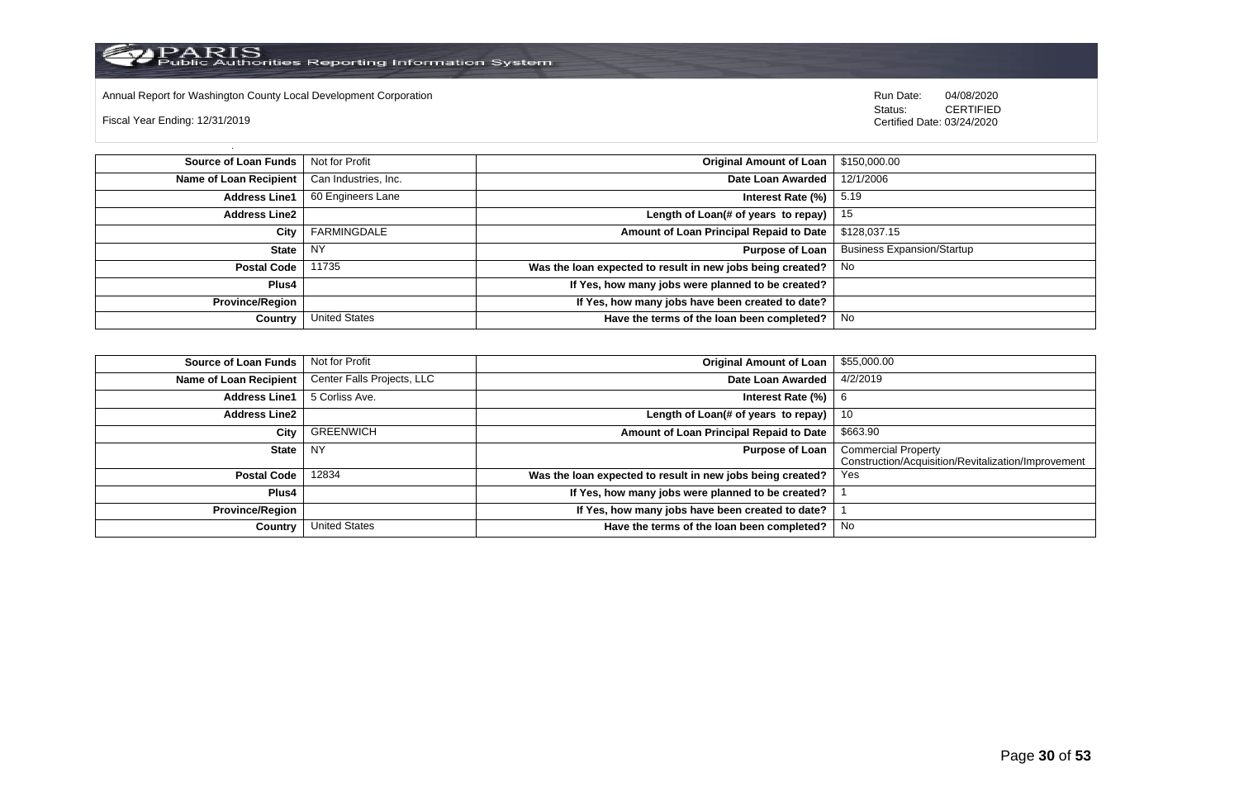

Annual Report for Washington County Local Development Corporation Run Date: 04/08/2020 Run Date: 04/08/2020

Fiscal Year Ending: 12/31/2019

 Status: CERTIFIED Certified Date: 03/24/2020

**Source of Loan Funds** Not for Profit **Containers and Containers Amount Original Amount of Loan** \$150,000.00 **Name of Loan Recipient** Can Industries, Inc. **Date Loan Awarded** 12/1/2006 **Address Line1** 60 Engineers Lane **Interest Rate (%)** 5.19 **Address Line2 Length of Loan(# of years to repay)** 15 **City** FARMINGDALE **Amount of Loan Principal Repaid to Date** \$128,037.15 **State** NY **Purpose of Loan** Business Expansion/Startup **Postal Code** 11735 **Was the loan expected to result in new jobs being created?** No **Plus4 If Yes, how many jobs were planned to be created? Province/Region If Yes, how many jobs have been created to date? Country** United States **Have the terms of the loan been completed?** No

| Source of Loan Funds   | Not for Profit             | <b>Original Amount of Loan</b>                             | \$55,000.00                                                                       |
|------------------------|----------------------------|------------------------------------------------------------|-----------------------------------------------------------------------------------|
| Name of Loan Recipient | Center Falls Projects, LLC | Date Loan Awarded                                          | 4/2/2019                                                                          |
| <b>Address Line1</b>   | 5 Corliss Ave.             | Interest Rate (%)                                          | b                                                                                 |
| <b>Address Line2</b>   |                            | Length of Loan(# of years to repay)                        | 10                                                                                |
| City                   | <b>GREENWICH</b>           | Amount of Loan Principal Repaid to Date                    | \$663.90                                                                          |
| <b>State</b>           | NY.                        | <b>Purpose of Loan</b>                                     | <b>Commercial Property</b><br>Construction/Acquisition/Revitalization/Improvement |
| <b>Postal Code</b>     | 12834                      | Was the loan expected to result in new jobs being created? | Yes                                                                               |
| Plus4                  |                            | If Yes, how many jobs were planned to be created?          |                                                                                   |
| Province/Region        |                            | If Yes, how many jobs have been created to date?           |                                                                                   |
| Country                | <b>United States</b>       | Have the terms of the loan been completed?                 | No.                                                                               |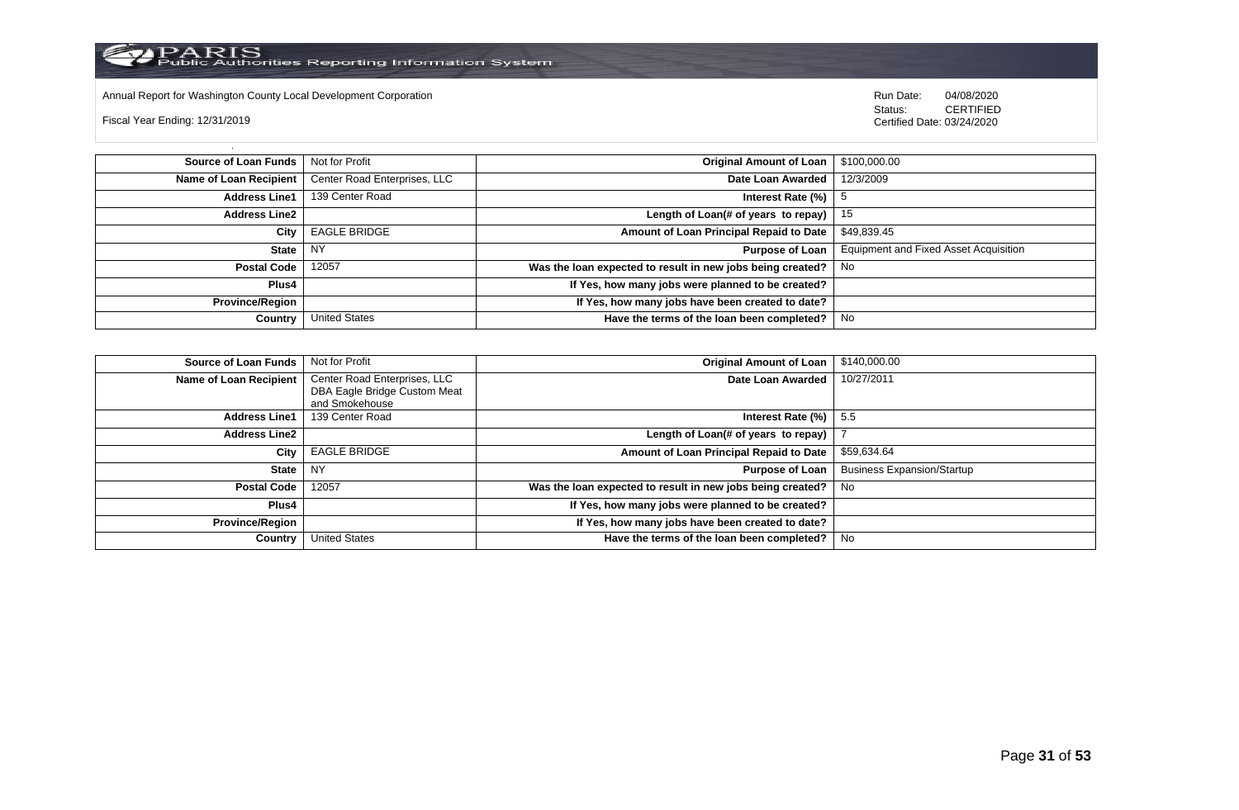

Annual Report for Washington County Local Development Corporation Run Date: 04/08/2020 Run Date: 04/08/2020

Fiscal Year Ending: 12/31/2019

 Status: CERTIFIED Certified Date: 03/24/2020

**Source of Loan Funds** Not for Profit **Containers and Containers Amount Original Amount of Loan** \$100,000.00 **Name of Loan Recipient** Center Road Enterprises, LLC **Date Loan Awarded** 12/3/2009 **Address Line1** 139 Center Road **Interest Rate (%)** 5 **Address Line2 Length of Loan(# of years to repay)** 15 **City** EAGLE BRIDGE **Amount of Loan Principal Repaid to Date** \$49,839.45 **State** NY **Purpose of Loan** Equipment and Fixed Asset Acquisition **Postal Code** 12057 **Was the loan expected to result in new jobs being created?** No **Plus4 If Yes, how many jobs were planned to be created? Province/Region If Yes, how many jobs have been created to date? Country** United States **Have the terms of the loan been completed?** No

| Source of Loan Funds   | Not for Profit               | <b>Original Amount of Loan</b>                             | \$140,000.00                      |
|------------------------|------------------------------|------------------------------------------------------------|-----------------------------------|
| Name of Loan Recipient | Center Road Enterprises, LLC | Date Loan Awarded                                          | 10/27/2011                        |
|                        | DBA Eagle Bridge Custom Meat |                                                            |                                   |
|                        | and Smokehouse               |                                                            |                                   |
| <b>Address Line1</b>   | 139 Center Road              | Interest Rate (%)                                          | - 5.5                             |
| <b>Address Line2</b>   |                              | Length of Loan(# of years to repay)                        |                                   |
| City                   | <b>EAGLE BRIDGE</b>          | Amount of Loan Principal Repaid to Date                    | \$59,634.64                       |
| State I                | <b>NY</b>                    | <b>Purpose of Loan</b>                                     | <b>Business Expansion/Startup</b> |
| <b>Postal Code</b>     | 12057                        | Was the loan expected to result in new jobs being created? | No.                               |
| <b>Plus4</b>           |                              | If Yes, how many jobs were planned to be created?          |                                   |
| <b>Province/Region</b> |                              | If Yes, how many jobs have been created to date?           |                                   |
| Country                | <b>United States</b>         | Have the terms of the loan been completed?                 | No                                |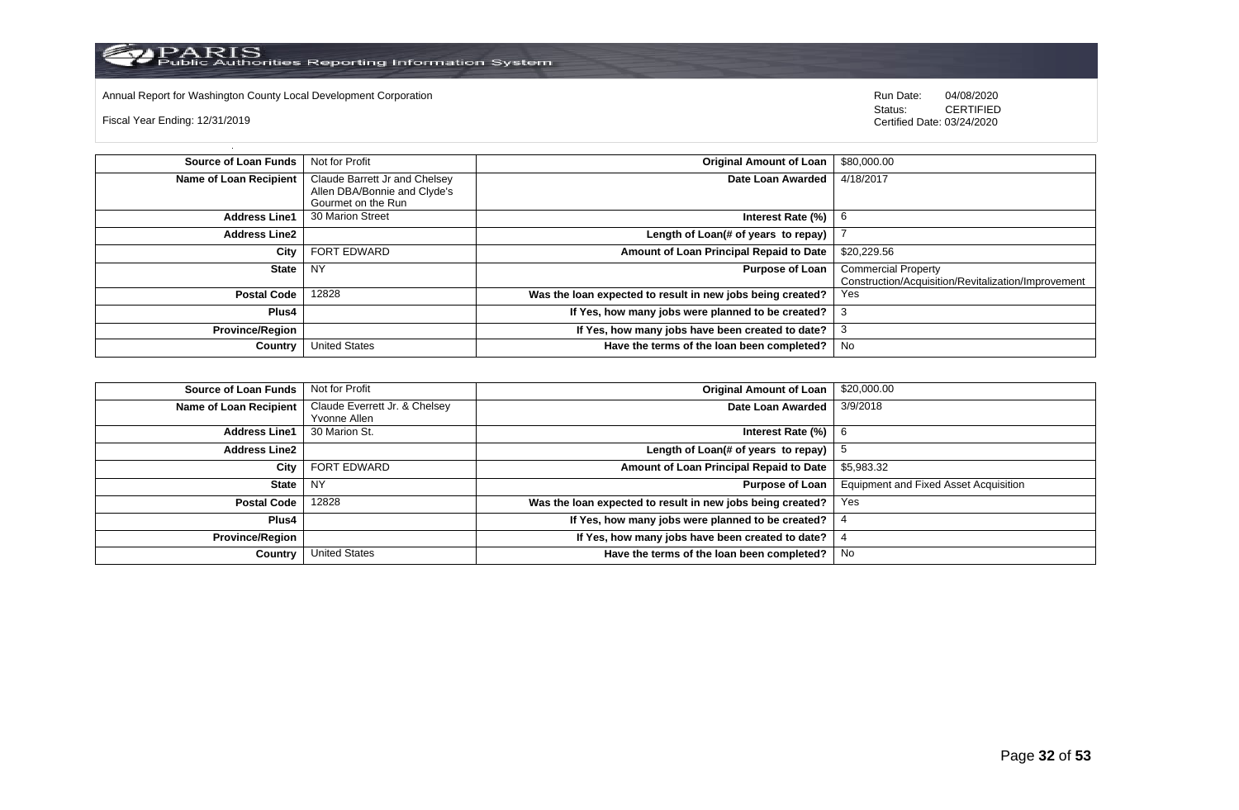

Annual Report for Washington County Local Development Corporation **Run Date:** Annual Report for Washington County Local Development Corporation Run Date: 04/08/2020<br>Status: CERTIFIED

Fiscal Year Ending: 12/31/2019

CERTIFIED Certified Date: 03/24/2020

| <b>Source of Loan Funds</b>   | Not for Profit                | <b>Original Amount of Loan</b>                             | \$80,000.00                                         |
|-------------------------------|-------------------------------|------------------------------------------------------------|-----------------------------------------------------|
| <b>Name of Loan Recipient</b> | Claude Barrett Jr and Chelsey | Date Loan Awarded                                          | 4/18/2017                                           |
|                               | Allen DBA/Bonnie and Clyde's  |                                                            |                                                     |
|                               | Gourmet on the Run            |                                                            |                                                     |
| <b>Address Line1</b>          | 30 Marion Street              | Interest Rate (%)                                          |                                                     |
| <b>Address Line2</b>          |                               | Length of Loan(# of years to repay)                        |                                                     |
| City                          | <b>FORT EDWARD</b>            | Amount of Loan Principal Repaid to Date                    | \$20,229.56                                         |
| <b>State</b>                  | <b>NY</b>                     | <b>Purpose of Loan</b>                                     | <b>Commercial Property</b>                          |
|                               |                               |                                                            | Construction/Acquisition/Revitalization/Improvement |
| <b>Postal Code</b>            | 12828                         | Was the loan expected to result in new jobs being created? | <b>Yes</b>                                          |
| Plus4                         |                               | If Yes, how many jobs were planned to be created?          | 3                                                   |
| <b>Province/Region</b>        |                               | If Yes, how many jobs have been created to date?           | 3                                                   |
| Country                       | <b>United States</b>          | Have the terms of the loan been completed?                 | No                                                  |

| Source of Loan Funds   | Not for Profit                | Original Amount of Loan                                    | \$20,000.00                                  |
|------------------------|-------------------------------|------------------------------------------------------------|----------------------------------------------|
| Name of Loan Recipient | Claude Everrett Jr. & Chelsey | Date Loan Awarded                                          | 3/9/2018                                     |
|                        | Yvonne Allen                  |                                                            |                                              |
| <b>Address Line1</b>   | 30 Marion St.                 | Interest Rate $(\%)$   6                                   |                                              |
| <b>Address Line2</b>   |                               | Length of Loan(# of years to repay) $ $                    |                                              |
| City                   | FORT EDWARD                   | Amount of Loan Principal Repaid to Date                    | \$5,983.32                                   |
| State NY               |                               | Purpose of Loan                                            | <b>Equipment and Fixed Asset Acquisition</b> |
| <b>Postal Code</b>     | 12828                         | Was the loan expected to result in new jobs being created? | Yes                                          |
| Plus4                  |                               | If Yes, how many jobs were planned to be created?          |                                              |
| <b>Province/Region</b> |                               | If Yes, how many jobs have been created to date?           |                                              |
| Country                | <b>United States</b>          | Have the terms of the loan been completed?                 | No                                           |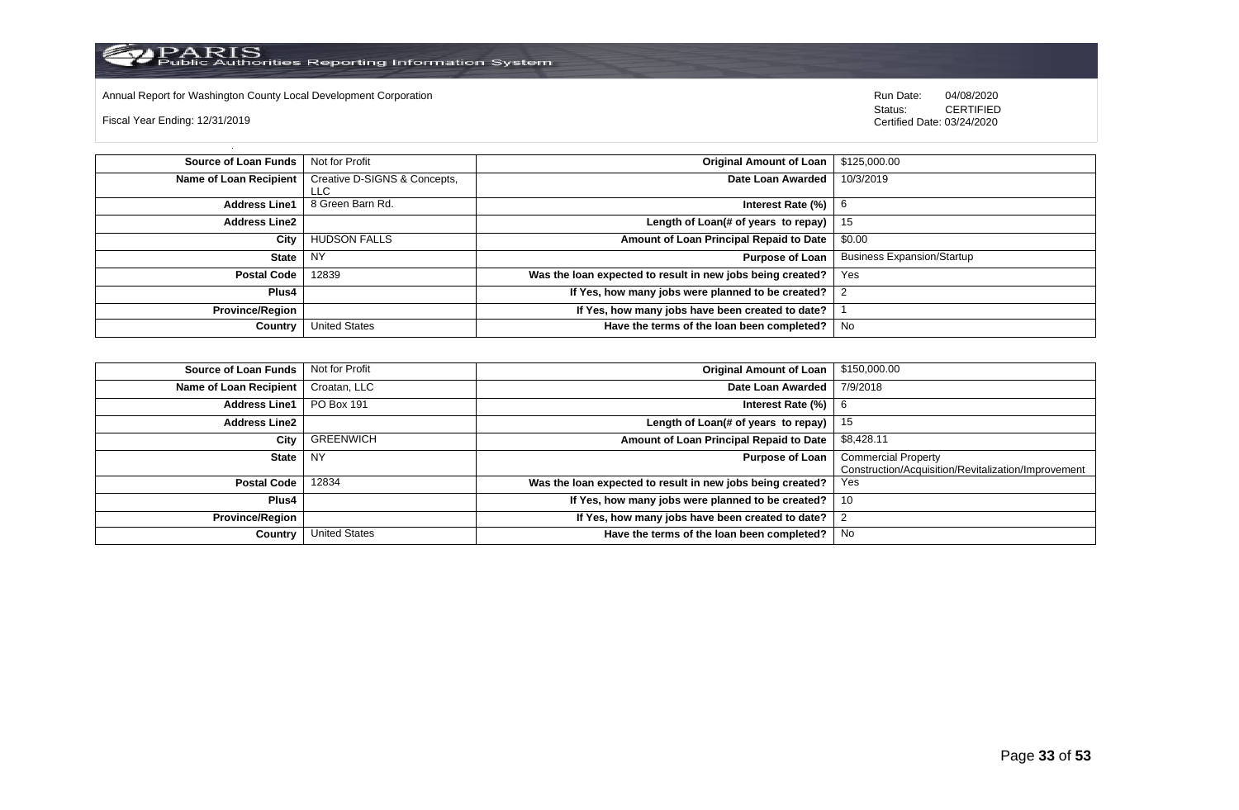

Annual Report for Washington County Local Development Corporation **Company County Connect Connect Connect Annual Report** for Washington County Local Development Corporation **Run Date:** 04/08/2020 CERTIFIED

Fiscal Year Ending: 12/31/2019

CERTIFIED Certified Date: 03/24/2020

| Source of Loan Funds   | Not for Profit                       | <b>Original Amount of Loan</b>                             | \$125,000.00                      |
|------------------------|--------------------------------------|------------------------------------------------------------|-----------------------------------|
| Name of Loan Recipient | Creative D-SIGNS & Concepts,<br>LLC. | Date Loan Awarded                                          | 10/3/2019                         |
| <b>Address Line1</b>   | 8 Green Barn Rd.                     | Interest Rate (%)                                          |                                   |
| <b>Address Line2</b>   |                                      | Length of Loan(# of years to repay) $ $                    | - 15                              |
| City                   | <b>HUDSON FALLS</b>                  | Amount of Loan Principal Repaid to Date                    | \$0.00                            |
| State                  | <b>NY</b>                            | <b>Purpose of Loan</b>                                     | <b>Business Expansion/Startup</b> |
| <b>Postal Code</b>     | 12839                                | Was the loan expected to result in new jobs being created? | Yes                               |
| Plus4                  |                                      | If Yes, how many jobs were planned to be created?          |                                   |
| <b>Province/Region</b> |                                      | If Yes, how many jobs have been created to date?           |                                   |
| Country                | <b>United States</b>                 | Have the terms of the loan been completed?                 | No                                |

| <b>Source of Loan Funds</b> | Not for Profit       | <b>Original Amount of Loan</b>                             | \$150,000.00                                                                      |
|-----------------------------|----------------------|------------------------------------------------------------|-----------------------------------------------------------------------------------|
| Name of Loan Recipient      | Croatan, LLC         | Date Loan Awarded                                          | 7/9/2018                                                                          |
| <b>Address Line1</b>        | PO Box 191           | Interest Rate (%)                                          |                                                                                   |
| <b>Address Line2</b>        |                      | Length of Loan(# of years to repay)                        | 15                                                                                |
| City                        | <b>GREENWICH</b>     | Amount of Loan Principal Repaid to Date                    | \$8,428.11                                                                        |
| <b>State</b>                | <b>NY</b>            | <b>Purpose of Loan</b>                                     | <b>Commercial Property</b><br>Construction/Acquisition/Revitalization/Improvement |
| <b>Postal Code</b>          | 12834                | Was the loan expected to result in new jobs being created? | Yes                                                                               |
| Plus4                       |                      | If Yes, how many jobs were planned to be created?          | 10                                                                                |
| <b>Province/Region</b>      |                      | If Yes, how many jobs have been created to date?           |                                                                                   |
| Country                     | <b>United States</b> | Have the terms of the loan been completed?                 | No                                                                                |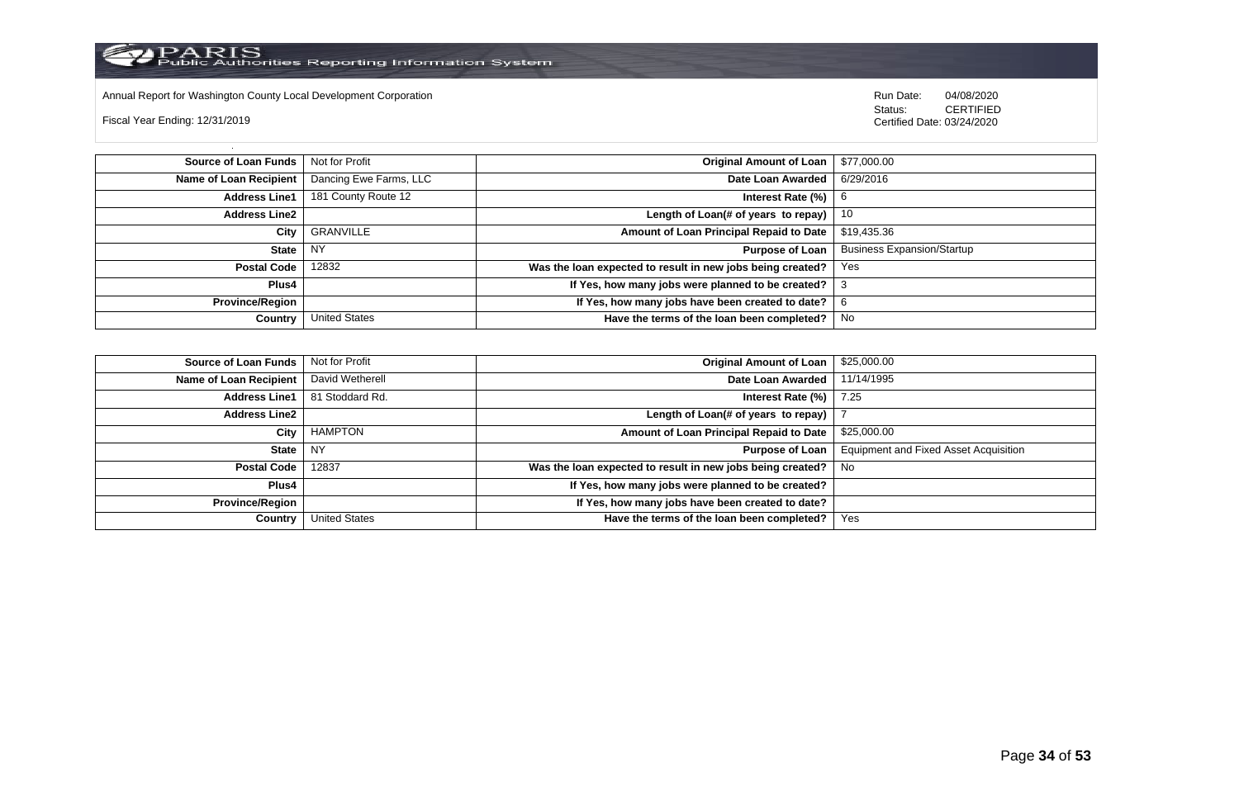

Annual Report for Washington County Local Development Corporation Run Date: 04/08/2020 Run Date: 04/08/2020

Fiscal Year Ending: 12/31/2019

 Status: CERTIFIED Certified Date: 03/24/2020

**Source of Loan Funds** Not for Profit **Community 1 and 2012 Original Amount of Loan** \$77,000.00 **Name of Loan Recipient** Dancing Ewe Farms, LLC **Date Loan Awarded** 6/29/2016 **Address Line1** 181 County Route 12 **Interest Rate (%)** 6 **Interest Rate (%)** 6 **Address Line2 Length of Loan(# of years to repay)** 10 **City** GRANVILLE **Amount of Loan Principal Repaid to Date** \$19,435.36 **State** NY **Purpose of Loan** Business Expansion/Startup **Postal Code** 12832 **Was the loan expected to result in new jobs being created?** Yes **Plus4 If Yes, how many jobs were planned to be created?** 3 **Province/Region If Yes, how many jobs have been created to date?** 6 **Country** United States **Have the terms of the loan been completed?** No

| Source of Loan Funds   | Not for Profit  | <b>Original Amount of Loan</b>                             | \$25,000.00                                  |
|------------------------|-----------------|------------------------------------------------------------|----------------------------------------------|
| Name of Loan Recipient | David Wetherell | Date Loan Awarded                                          | 11/14/1995                                   |
| <b>Address Line1</b>   | 81 Stoddard Rd. | Interest Rate (%)                                          | 7.25                                         |
| <b>Address Line2</b>   |                 | Length of Loan(# of years to repay)                        |                                              |
| City                   | HAMPTON         | Amount of Loan Principal Repaid to Date                    | \$25,000.00                                  |
| State                  | NY              | <b>Purpose of Loan</b>                                     | <b>Equipment and Fixed Asset Acquisition</b> |
| Postal Code            | 12837           | Was the loan expected to result in new jobs being created? | . No                                         |
| Plus4                  |                 | If Yes, how many jobs were planned to be created?          |                                              |
| <b>Province/Region</b> |                 | If Yes, how many jobs have been created to date?           |                                              |
| Country                | United States   | Have the terms of the loan been completed?                 | Yes                                          |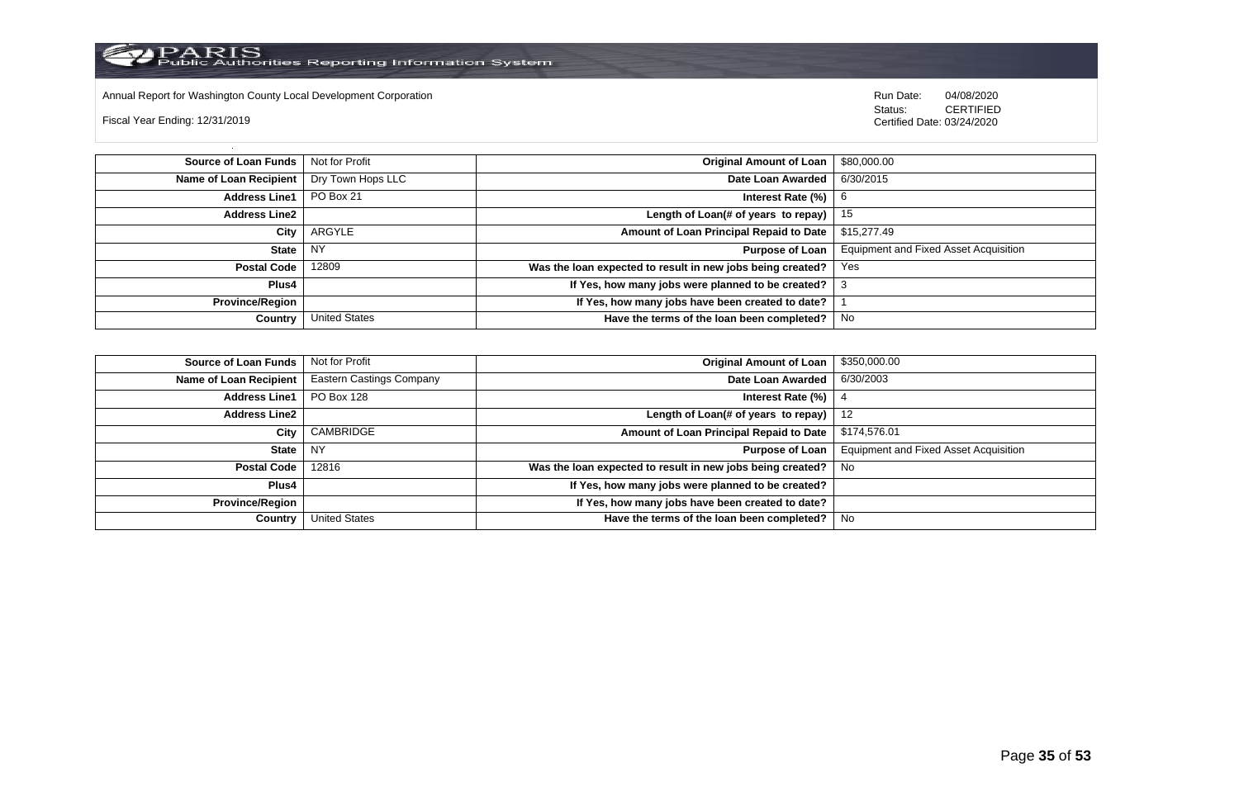

Annual Report for Washington County Local Development Corporation Run Date: 04/08/2020 Run Date: 04/08/2020

Fiscal Year Ending: 12/31/2019

 Status: CERTIFIED Certified Date: 03/24/2020

**Source of Loan Funds** Not for Profit **Community Community Community Community Community Community Community Community Community Community Community Community Community Community Community Community Community Community Com Name of Loan Recipient** Dry Town Hops LLC **Date Loan Awarded** 6/30/2015 **Address Line1** PO Box 21 **Interest Rate (%)** 6 **Address Line2 Length of Loan(# of years to repay)** 15 **City** ARGYLE **Amount of Loan Principal Repaid to Date** \$15,277.49 **State** NY **Purpose of Loan** Equipment and Fixed Asset Acquisition **Postal Code** 12809 **Was the loan expected to result in new jobs being created?** Yes **Plus4 If Yes, how many jobs were planned to be created?** 3 **Province/Region If Yes, how many jobs have been created to date?** 1 **Country** United States **Have the terms of the loan been completed?** No

| Source of Loan Funds   | Not for Profit                  | Original Amount of Loan                                    | \$350,000.00                                 |
|------------------------|---------------------------------|------------------------------------------------------------|----------------------------------------------|
| Name of Loan Recipient | <b>Eastern Castings Company</b> | Date Loan Awarded                                          | 6/30/2003                                    |
| <b>Address Line1</b>   | PO Box 128                      | Interest Rate (%)                                          |                                              |
| <b>Address Line2</b>   |                                 | Length of Loan(# of years to repay) $ $                    | - 12                                         |
| City                   | CAMBRIDGE                       | Amount of Loan Principal Repaid to Date                    | \$174,576.01                                 |
| State                  | <b>NY</b>                       | Purpose of Loan                                            | <b>Equipment and Fixed Asset Acquisition</b> |
| Postal Code            | 12816                           | Was the loan expected to result in new jobs being created? | . No                                         |
| Plus4                  |                                 | If Yes, how many jobs were planned to be created?          |                                              |
| <b>Province/Region</b> |                                 | If Yes, how many jobs have been created to date?           |                                              |
| Country                | <b>United States</b>            | Have the terms of the loan been completed?                 | - No                                         |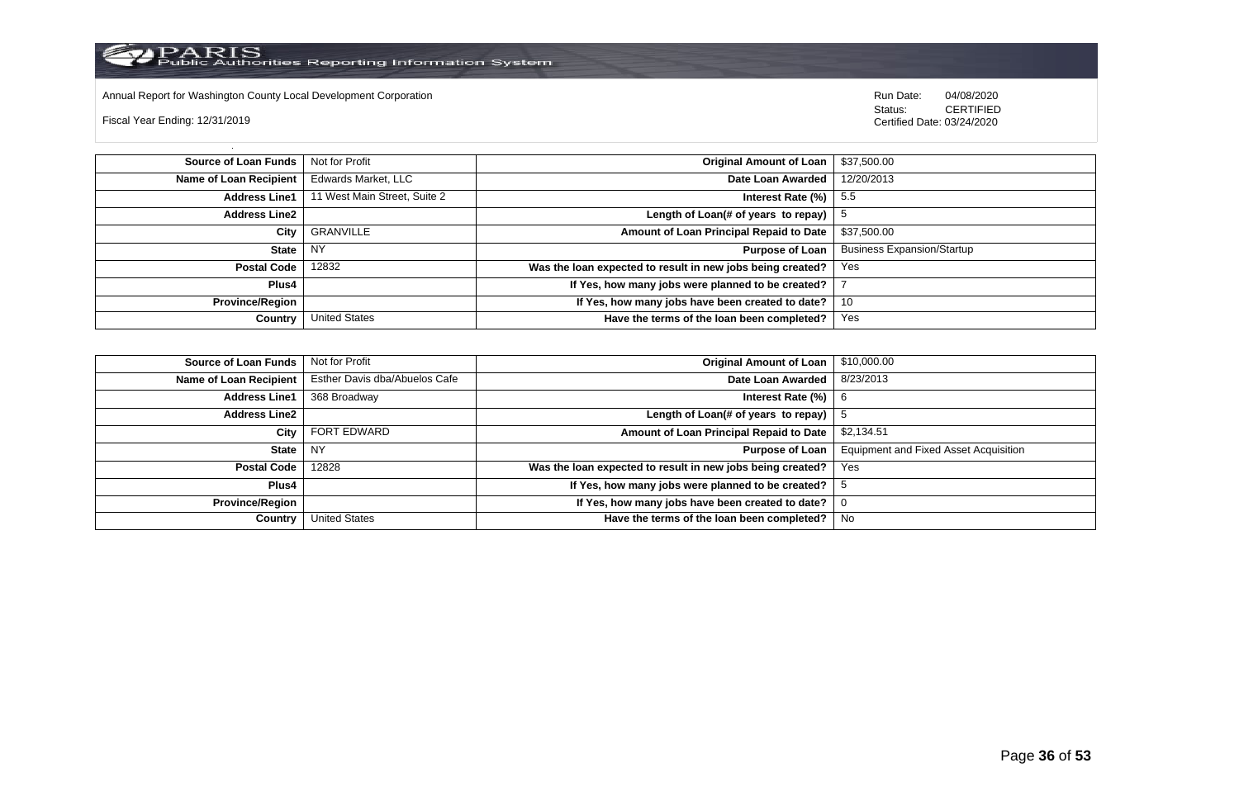

Annual Report for Washington County Local Development Corporation Run Date: 04/08/2020 Run Date: 04/08/2020

Fiscal Year Ending: 12/31/2019

 Status: CERTIFIED Certified Date: 03/24/2020

**Source of Loan Funds** Not for Profit **Company of Loan 1 and 2009 Original Amount of Loan** 1 \$37,500.00 **Name of Loan Recipient** Edwards Market, LLC **Date Loan Awarded** 12/20/2013 **Address Line1** 11 West Main Street, Suite 2 **Interest Rate (%)** 5.5 **Address Line2 Length of Loan(# of years to repay)**  $\vert$  5 **City** GRANVILLE **Amount of Loan Principal Repaid to Date** \$37,500.00 **State** NY **Purpose of Loan** Business Expansion/Startup **Postal Code** 12832 **Was the loan expected to result in new jobs being created?** Yes **Plus4 If Yes, how many jobs were planned to be created?** 7 **Province/Region If Yes, how many jobs have been created to date?** 10 **Country** United States **Have the terms of the loan been completed?** Yes

| Source of Loan Funds   | Not for Profit                | <b>Original Amount of Loan</b>                             | \$10,000.00                                  |
|------------------------|-------------------------------|------------------------------------------------------------|----------------------------------------------|
| Name of Loan Recipient | Esther Davis dba/Abuelos Cafe | Date Loan Awarded                                          | 8/23/2013                                    |
| <b>Address Line1</b>   | 368 Broadway                  | Interest Rate (%)                                          | -6                                           |
| <b>Address Line2</b>   |                               | Length of Loan(# of years to repay)                        |                                              |
| City                   | FORT EDWARD                   | Amount of Loan Principal Repaid to Date                    | \$2,134.51                                   |
| <b>State</b>           | <b>NY</b>                     | <b>Purpose of Loan</b>                                     | <b>Equipment and Fixed Asset Acquisition</b> |
| <b>Postal Code</b>     | 12828                         | Was the loan expected to result in new jobs being created? | Yes                                          |
| Plus4                  |                               | If Yes, how many jobs were planned to be created?          |                                              |
| <b>Province/Region</b> |                               | If Yes, how many jobs have been created to date?           | υ                                            |
| Country                | United States                 | Have the terms of the loan been completed?                 | No                                           |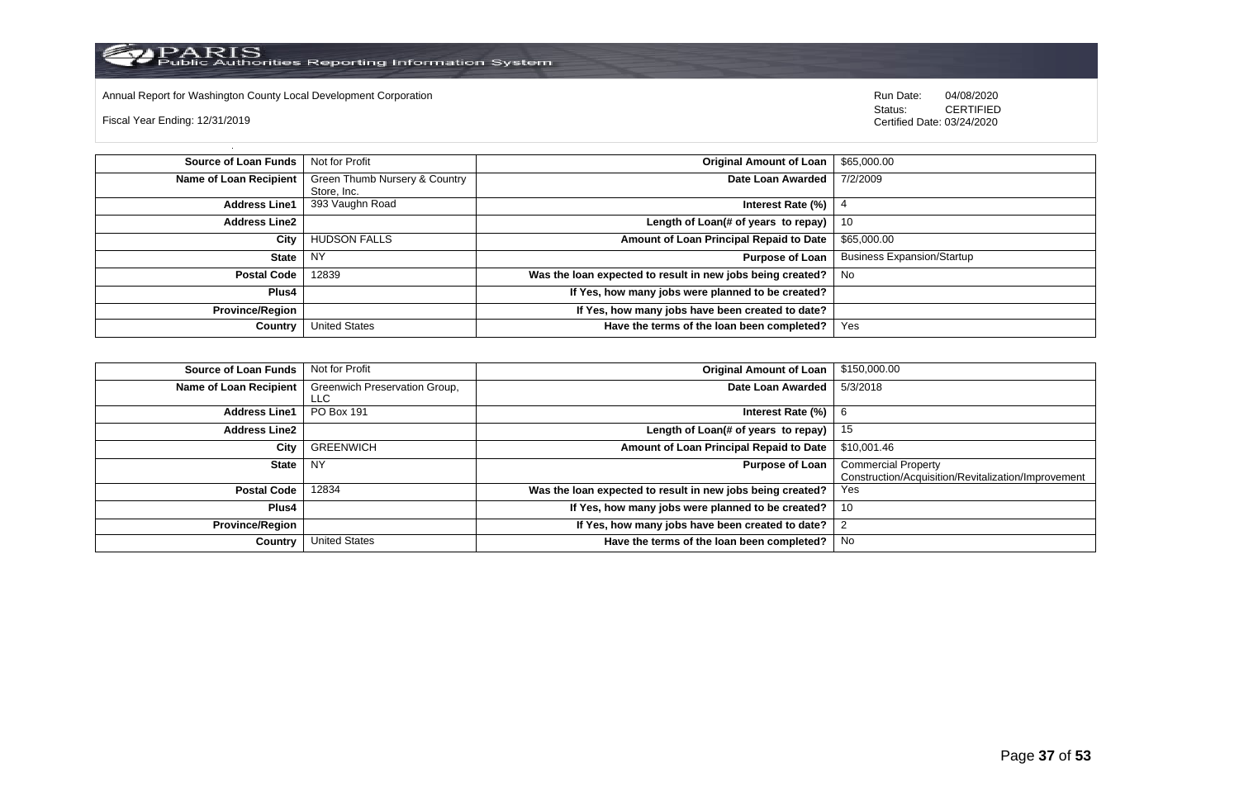

Annual Report for Washington County Local Development Corporation **Computer Computer Computer Computer Computer**<br>
Status: CERTIFIED

Fiscal Year Ending: 12/31/2019

CERTIFIED Certified Date: 03/24/2020

| <b>Source of Loan Funds</b>   | Not for Profit                | <b>Original Amount of Loan</b>                             | \$65,000.00                       |
|-------------------------------|-------------------------------|------------------------------------------------------------|-----------------------------------|
| <b>Name of Loan Recipient</b> | Green Thumb Nursery & Country | Date Loan Awarded                                          | 7/2/2009                          |
|                               | Store, Inc.                   |                                                            |                                   |
| <b>Address Line1</b>          | 393 Vaughn Road               | Interest Rate (%)                                          |                                   |
| <b>Address Line2</b>          |                               | Length of Loan(# of years to repay)                        | 10                                |
| City                          | <b>HUDSON FALLS</b>           | Amount of Loan Principal Repaid to Date                    | \$65,000.00                       |
| <b>State</b>                  | <b>NY</b>                     | <b>Purpose of Loan</b>                                     | <b>Business Expansion/Startup</b> |
| <b>Postal Code</b>            | 12839                         | Was the loan expected to result in new jobs being created? | No.                               |
| Plus4                         |                               | If Yes, how many jobs were planned to be created?          |                                   |
| <b>Province/Region</b>        |                               | If Yes, how many jobs have been created to date?           |                                   |
| Country                       | <b>United States</b>          | Have the terms of the loan been completed?                 | Yes                               |

| <b>Source of Loan Funds</b> | Not for Profit                        | <b>Original Amount of Loan</b>                             | \$150,000.00                                                                      |
|-----------------------------|---------------------------------------|------------------------------------------------------------|-----------------------------------------------------------------------------------|
| Name of Loan Recipient      | Greenwich Preservation Group,<br>LLC. | Date Loan Awarded                                          | 5/3/2018                                                                          |
| <b>Address Line1</b>        | PO Box 191                            | Interest Rate $(\%)$   6                                   |                                                                                   |
| <b>Address Line2</b>        |                                       | Length of Loan(# of years to repay)                        | 15                                                                                |
| City                        | <b>GREENWICH</b>                      | Amount of Loan Principal Repaid to Date                    | \$10,001.46                                                                       |
| <b>State</b>                | NY.                                   | <b>Purpose of Loan</b>                                     | <b>Commercial Property</b><br>Construction/Acquisition/Revitalization/Improvement |
| <b>Postal Code</b>          | 12834                                 | Was the loan expected to result in new jobs being created? | Yes                                                                               |
| Plus4                       |                                       | If Yes, how many jobs were planned to be created?          | 10                                                                                |
| <b>Province/Region</b>      |                                       | If Yes, how many jobs have been created to date?           | $\overline{2}$                                                                    |
| Country                     | <b>United States</b>                  | Have the terms of the loan been completed?                 | No                                                                                |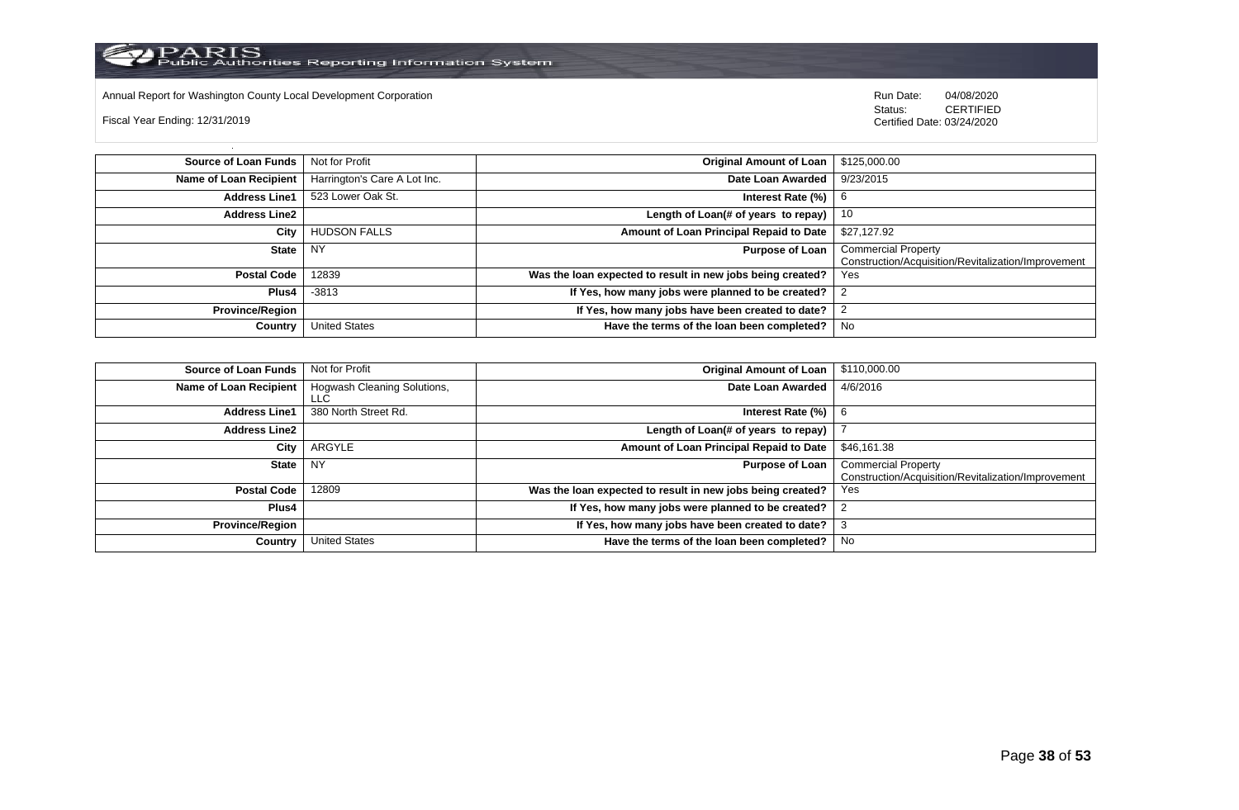

Annual Report for Washington County Local Development Corporation **Computer Computer Computer Computer Computer**<br>
Status: CERTIFIED

Fiscal Year Ending: 12/31/2019

CERTIFIED Certified Date: 03/24/2020

| <b>Source of Loan Funds</b> | Not for Profit               | <b>Original Amount of Loan</b>                             | \$125,000.00                                                                      |
|-----------------------------|------------------------------|------------------------------------------------------------|-----------------------------------------------------------------------------------|
| Name of Loan Recipient      | Harrington's Care A Lot Inc. | Date Loan Awarded                                          | 9/23/2015                                                                         |
| <b>Address Line1</b>        | 523 Lower Oak St.            | Interest Rate $(\%)$                                       | -6                                                                                |
| <b>Address Line2</b>        |                              | Length of Loan(# of years to repay)                        | -10                                                                               |
| City                        | <b>HUDSON FALLS</b>          | Amount of Loan Principal Repaid to Date                    | \$27,127.92                                                                       |
| <b>State</b>                | NY                           | <b>Purpose of Loan</b>                                     | <b>Commercial Property</b><br>Construction/Acquisition/Revitalization/Improvement |
| <b>Postal Code</b>          | 12839                        | Was the loan expected to result in new jobs being created? | Yes                                                                               |
| Plus4                       | $-3813$                      | If Yes, how many jobs were planned to be created?          |                                                                                   |
| <b>Province/Region</b>      |                              | If Yes, how many jobs have been created to date?           |                                                                                   |
| Country                     | <b>United States</b>         | Have the terms of the loan been completed?                 | No                                                                                |

| <b>Source of Loan Funds</b> | Not for Profit                      | <b>Original Amount of Loan</b>                             | \$110,000.00                                                                      |
|-----------------------------|-------------------------------------|------------------------------------------------------------|-----------------------------------------------------------------------------------|
| Name of Loan Recipient      | Hogwash Cleaning Solutions,<br>LLC. | Date Loan Awarded                                          | 4/6/2016                                                                          |
| <b>Address Line1</b>        | 380 North Street Rd.                | Interest Rate $(\%)$   6                                   |                                                                                   |
| <b>Address Line2</b>        |                                     | Length of Loan(# of years to repay)                        |                                                                                   |
| City                        | ARGYLE                              | Amount of Loan Principal Repaid to Date                    | \$46,161.38                                                                       |
| State                       | NY.                                 | <b>Purpose of Loan</b>                                     | <b>Commercial Property</b><br>Construction/Acquisition/Revitalization/Improvement |
| <b>Postal Code</b>          | 12809                               | Was the loan expected to result in new jobs being created? | Yes                                                                               |
| Plus4                       |                                     | If Yes, how many jobs were planned to be created?          | -2                                                                                |
| <b>Province/Region</b>      |                                     | If Yes, how many jobs have been created to date?           | -3                                                                                |
| Country                     | <b>United States</b>                | Have the terms of the loan been completed?                 | No                                                                                |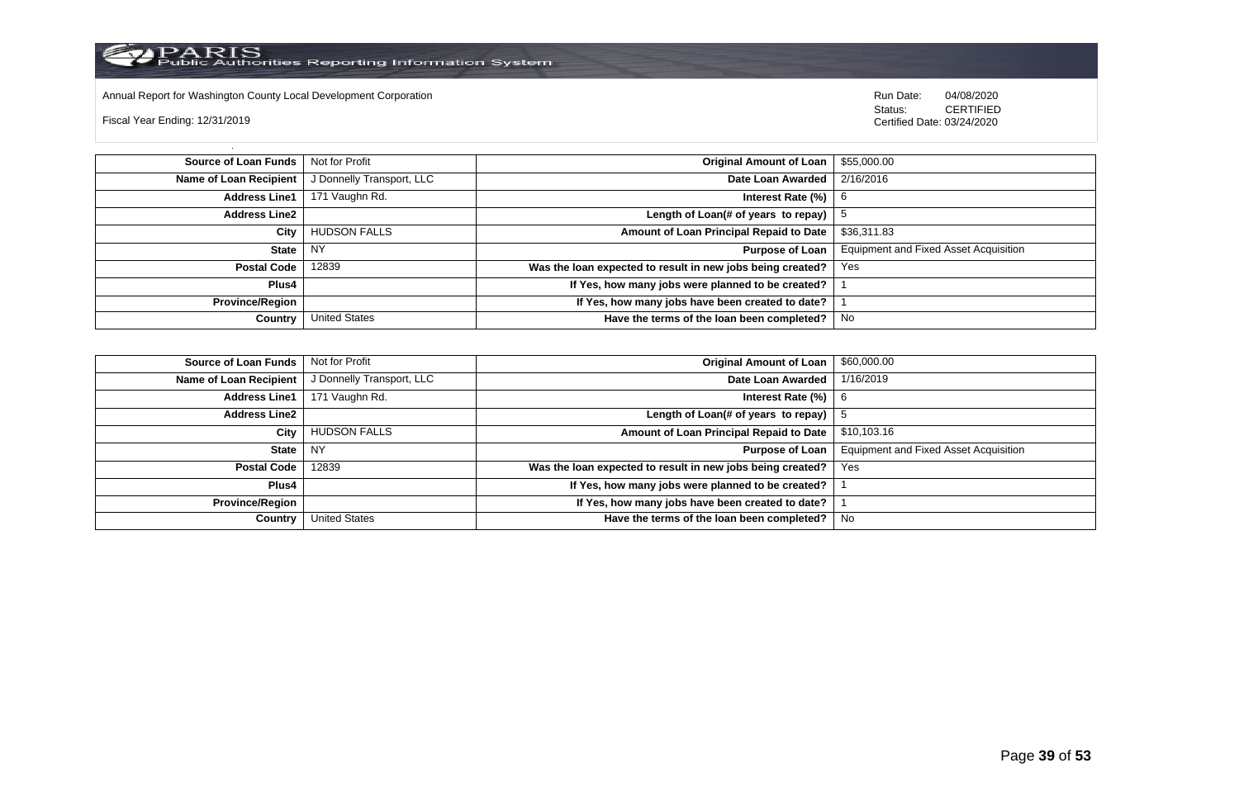

Annual Report for Washington County Local Development Corporation Run Date: 04/08/2020 Run Date: 04/08/2020

Fiscal Year Ending: 12/31/2019

 Status: CERTIFIED Certified Date: 03/24/2020

**Source of Loan Funds** Not for Profit **Company of Loan 1 and 2012 Original Amount of Loan** 1 \$55,000.00 **Name of Loan Recipient** J Donnelly Transport, LLC **Date Loan Awarded** 2/16/2016 **Address Line1** 171 Vaughn Rd. **Interest Rate (%)** 6 **Address Line2 Length of Loan(# of years to repay)**  $\vert$  5 **City** HUDSON FALLS **Amount of Loan Principal Repaid to Date** \$36,311.83 **State** NY **Purpose of Loan** Equipment and Fixed Asset Acquisition **Postal Code** 12839 **Was the loan expected to result in new jobs being created?** Yes **Plus4 If Yes, how many jobs were planned to be created?** 1 **Province/Region If Yes, how many jobs have been created to date?** 1 **Country** United States **Have the terms of the loan been completed?** No

| Source of Loan Funds   | Not for Profit            | <b>Original Amount of Loan</b>                             | \$60,000.00                                  |
|------------------------|---------------------------|------------------------------------------------------------|----------------------------------------------|
| Name of Loan Recipient | J Donnelly Transport, LLC | Date Loan Awarded                                          | 1/16/2019                                    |
| <b>Address Line1</b>   | 171 Vaughn Rd.            | Interest Rate (%)                                          | -6                                           |
| <b>Address Line2</b>   |                           | Length of Loan(# of years to repay)                        |                                              |
| City                   | <b>HUDSON FALLS</b>       | Amount of Loan Principal Repaid to Date                    | \$10,103.16                                  |
| State                  | <b>NY</b>                 | <b>Purpose of Loan</b>                                     | <b>Equipment and Fixed Asset Acquisition</b> |
| <b>Postal Code</b>     | 12839                     | Was the loan expected to result in new jobs being created? | Yes                                          |
| Plus4                  |                           | If Yes, how many jobs were planned to be created?          |                                              |
| <b>Province/Region</b> |                           | If Yes, how many jobs have been created to date?           |                                              |
| Country                | United States             | Have the terms of the loan been completed?                 | No.                                          |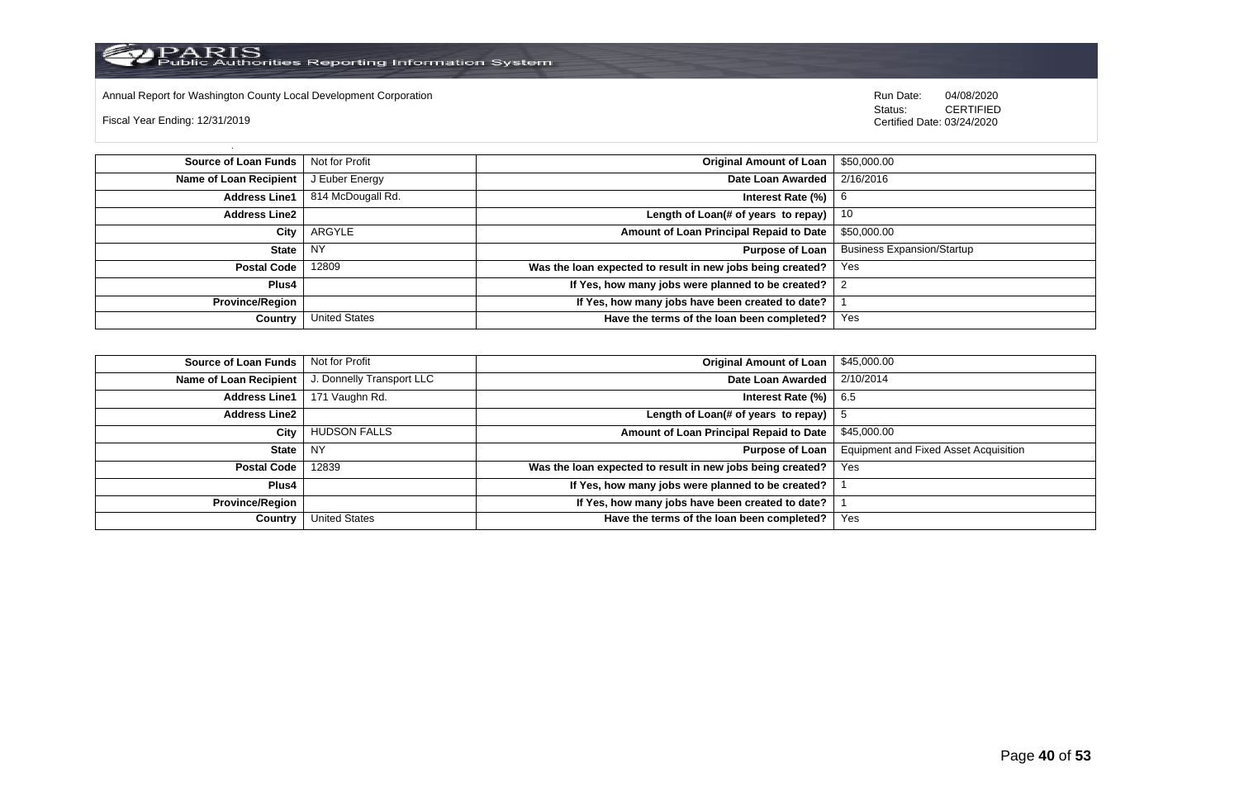

Annual Report for Washington County Local Development Corporation Run Date: 04/08/2020 Run Date: 04/08/2020

Fiscal Year Ending: 12/31/2019

 Status: CERTIFIED Certified Date: 03/24/2020

**Source of Loan Funds** Not for Profit **Community 1 and 2010 12:00 Community 1 and 2010 12:00 Driginal Amount of Loan** \$50,000.00 **Name of Loan Recipient** J Euber Energy **Date Loan Awarded** 2/16/2016 **Address Line1** 814 McDougall Rd. **Interest Rate (%)** 6 **Address Line2 Length of Loan(# of years to repay)** 10 **City** ARGYLE **Amount of Loan Principal Repaid to Date** \$50,000.00 **State** NY **Purpose of Loan** Business Expansion/Startup **Postal Code** 12809 **Was the loan expected to result in new jobs being created?** Yes **Plus4 If Yes, how many jobs were planned to be created?** 2 **Province/Region If Yes, how many jobs have been created to date?** 1 **Country** United States **Have the terms of the loan been completed?** Yes

| Source of Loan Funds   | Not for Profit            | <b>Original Amount of Loan</b>                             | \$45,000.00                           |
|------------------------|---------------------------|------------------------------------------------------------|---------------------------------------|
| Name of Loan Recipient | J. Donnelly Transport LLC | Date Loan Awarded                                          | 2/10/2014                             |
| <b>Address Line1</b>   | 171 Vaughn Rd.            | Interest Rate $(\%)$                                       | 6.5                                   |
| <b>Address Line2</b>   |                           | Length of Loan(# of years to repay)                        |                                       |
| City                   | <b>HUDSON FALLS</b>       | Amount of Loan Principal Repaid to Date                    | \$45,000.00                           |
| State                  | <b>NY</b>                 | Purpose of Loan                                            | Equipment and Fixed Asset Acquisition |
| <b>Postal Code</b>     | 12839                     | Was the loan expected to result in new jobs being created? | Yes                                   |
| Plus4                  |                           | If Yes, how many jobs were planned to be created?          |                                       |
| <b>Province/Region</b> |                           | If Yes, how many jobs have been created to date?           |                                       |
| Country                | <b>United States</b>      | Have the terms of the loan been completed?                 | Yes                                   |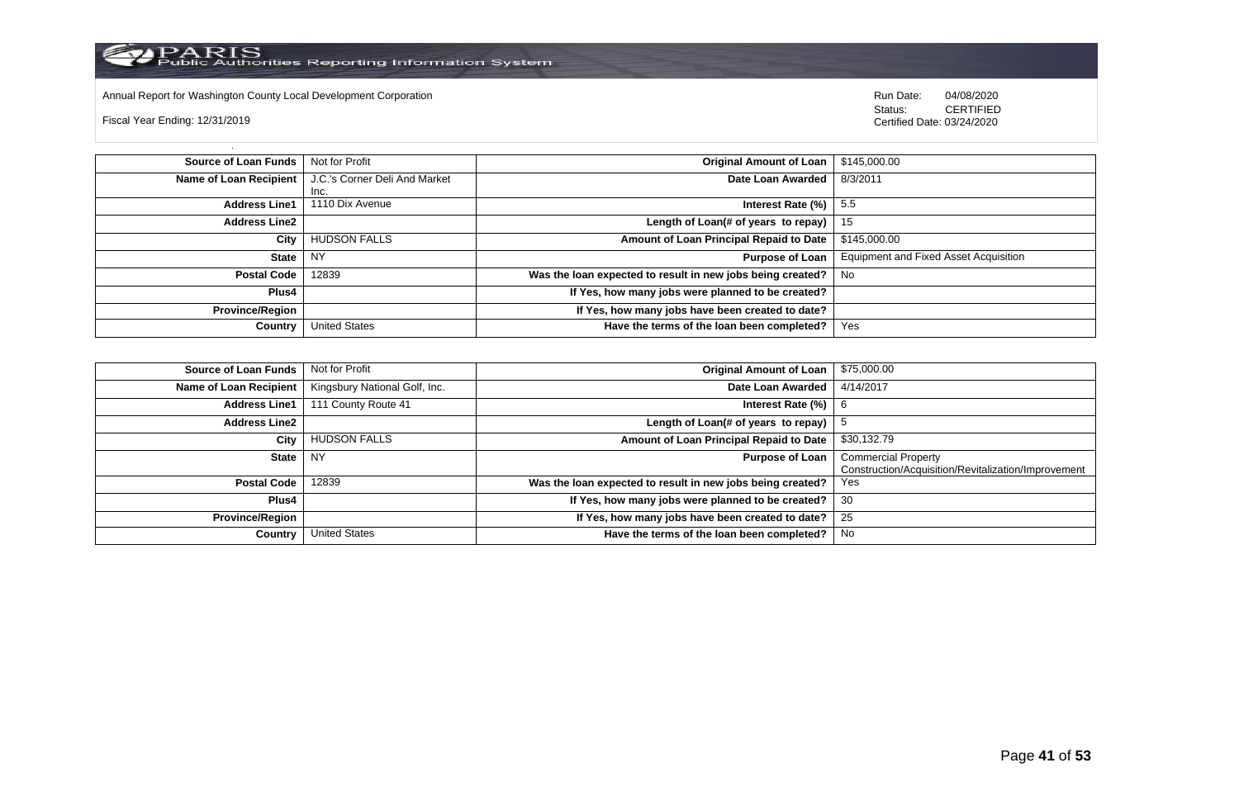

Annual Report for Washington County Local Development Corporation **Run Date:** 04/08/2020 Run Date: 04/08/2020

Fiscal Year Ending: 12/31/2019

Status: **CERTIFIED** Certified Date: 03/24/2020

| Source of Loan Funds   | Not for Profit                | <b>Original Amount of Loan</b>                             | \$145,000.00                                 |
|------------------------|-------------------------------|------------------------------------------------------------|----------------------------------------------|
| Name of Loan Recipient | J.C.'s Corner Deli And Market | Date Loan Awarded                                          | 8/3/2011                                     |
|                        | Inc.                          |                                                            |                                              |
| <b>Address Line1</b>   | 1110 Dix Avenue               | Interest Rate $(\%)$   5.5                                 |                                              |
| <b>Address Line2</b>   |                               | Length of Loan(# of years to repay)                        | -15                                          |
| City                   | <b>HUDSON FALLS</b>           | Amount of Loan Principal Repaid to Date                    | \$145,000,00                                 |
| <b>State</b>           | NY                            | Purpose of Loan                                            | <b>Equipment and Fixed Asset Acquisition</b> |
| <b>Postal Code</b>     | 12839                         | Was the loan expected to result in new jobs being created? | No.                                          |
| Plus4                  |                               | If Yes, how many jobs were planned to be created?          |                                              |
| <b>Province/Region</b> |                               | If Yes, how many jobs have been created to date?           |                                              |
| Country                | <b>United States</b>          | Have the terms of the loan been completed?                 | Yes                                          |

| <b>Source of Loan Funds</b>   | Not for Profit                | <b>Original Amount of Loan</b>                             | \$75,000.00                                                                       |
|-------------------------------|-------------------------------|------------------------------------------------------------|-----------------------------------------------------------------------------------|
| <b>Name of Loan Recipient</b> | Kingsbury National Golf, Inc. | Date Loan Awarded                                          | 4/14/2017                                                                         |
| <b>Address Line1</b>          | 111 County Route 41           | Interest Rate $(\%)$                                       | -6                                                                                |
| <b>Address Line2</b>          |                               | Length of Loan(# of years to repay)                        |                                                                                   |
| City                          | <b>HUDSON FALLS</b>           | Amount of Loan Principal Repaid to Date                    | \$30,132.79                                                                       |
| State   NY                    |                               | <b>Purpose of Loan</b>                                     | <b>Commercial Property</b><br>Construction/Acquisition/Revitalization/Improvement |
| <b>Postal Code</b>            | 12839                         | Was the loan expected to result in new jobs being created? | Yes                                                                               |
| Plus4                         |                               | If Yes, how many jobs were planned to be created?          | -30                                                                               |
| <b>Province/Region</b>        |                               | If Yes, how many jobs have been created to date?           | 25                                                                                |
| Country                       | <b>United States</b>          | Have the terms of the loan been completed?                 | No                                                                                |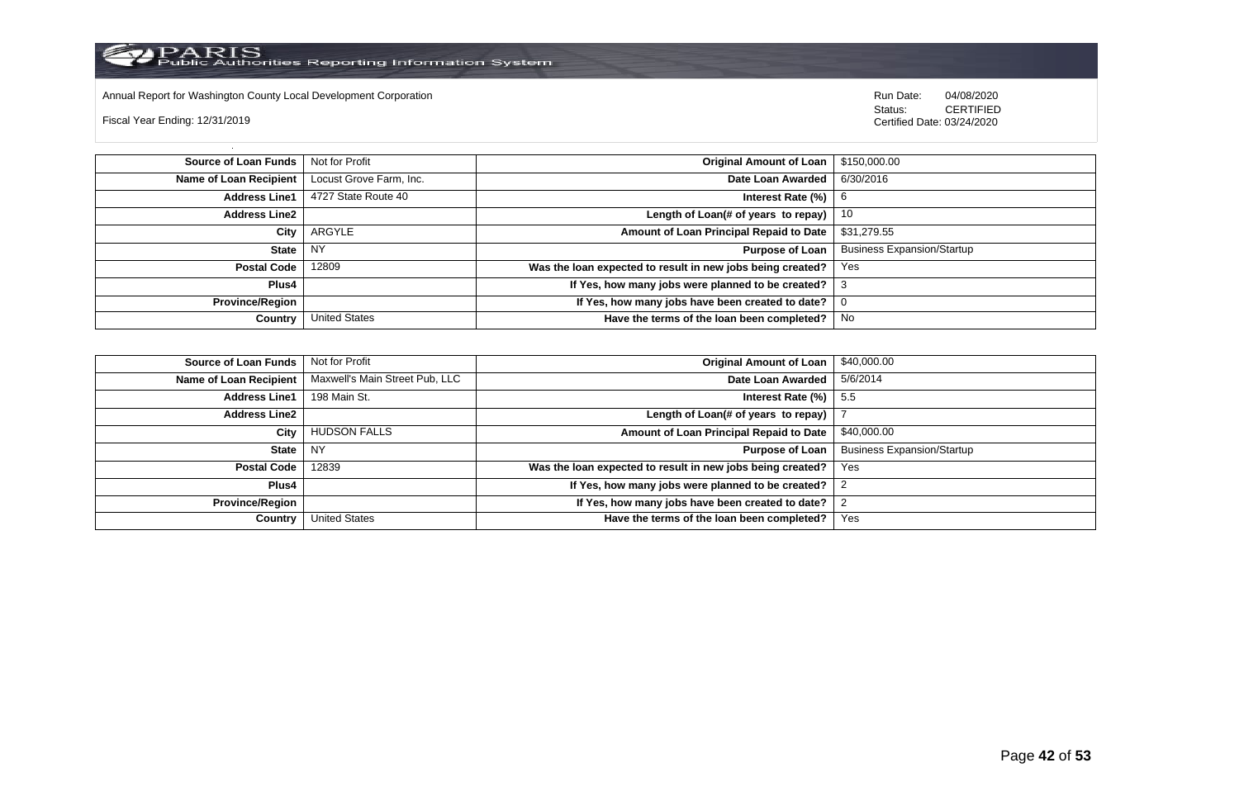

Annual Report for Washington County Local Development Corporation Run Date: 04/08/2020 Run Date: 04/08/2020

Fiscal Year Ending: 12/31/2019

 Status: CERTIFIED Certified Date: 03/24/2020

**Source of Loan Funds** Not for Profit **Containers and Containers Amount Original Amount of Loan** \$150,000.00 **Name of Loan Recipient** Locust Grove Farm, Inc. **Date Loan Awarded** 6/30/2016 **Address Line1** 4727 State Route 40 **Interest Rate (%)** 6 **Interest Rate (%)** 6 **Address Line2 Length of Loan(# of years to repay)** 10 **City** ARGYLE **Amount of Loan Principal Repaid to Date** \$31,279.55 **State** NY **Purpose of Loan** Business Expansion/Startup **Postal Code** 12809 **Was the loan expected to result in new jobs being created?** Yes **Plus4 If Yes, how many jobs were planned to be created?** 3 **Province/Region If Yes, how many jobs have been created to date?** 0 **Country** United States **Have the terms of the loan been completed?** No

| Source of Loan Funds   | Not for Profit                 | Original Amount of Loan                                    | \$40,000.00                       |
|------------------------|--------------------------------|------------------------------------------------------------|-----------------------------------|
| Name of Loan Recipient | Maxwell's Main Street Pub, LLC | Date Loan Awarded                                          | 5/6/2014                          |
| <b>Address Line1</b>   | 198 Main St.                   | Interest Rate $(\%)$   5.5                                 |                                   |
| <b>Address Line2</b>   |                                | Length of Loan(# of years to repay)                        |                                   |
| City                   | <b>HUDSON FALLS</b>            | Amount of Loan Principal Repaid to Date                    | \$40,000.00                       |
| State                  | <b>NY</b>                      | Purpose of Loan                                            | <b>Business Expansion/Startup</b> |
| <b>Postal Code</b>     | 12839                          | Was the loan expected to result in new jobs being created? | <b>Yes</b>                        |
| Plus4                  |                                | If Yes, how many jobs were planned to be created?          |                                   |
| <b>Province/Region</b> |                                | If Yes, how many jobs have been created to date?           |                                   |
| Country                | <b>United States</b>           | Have the terms of the loan been completed?                 | Yes                               |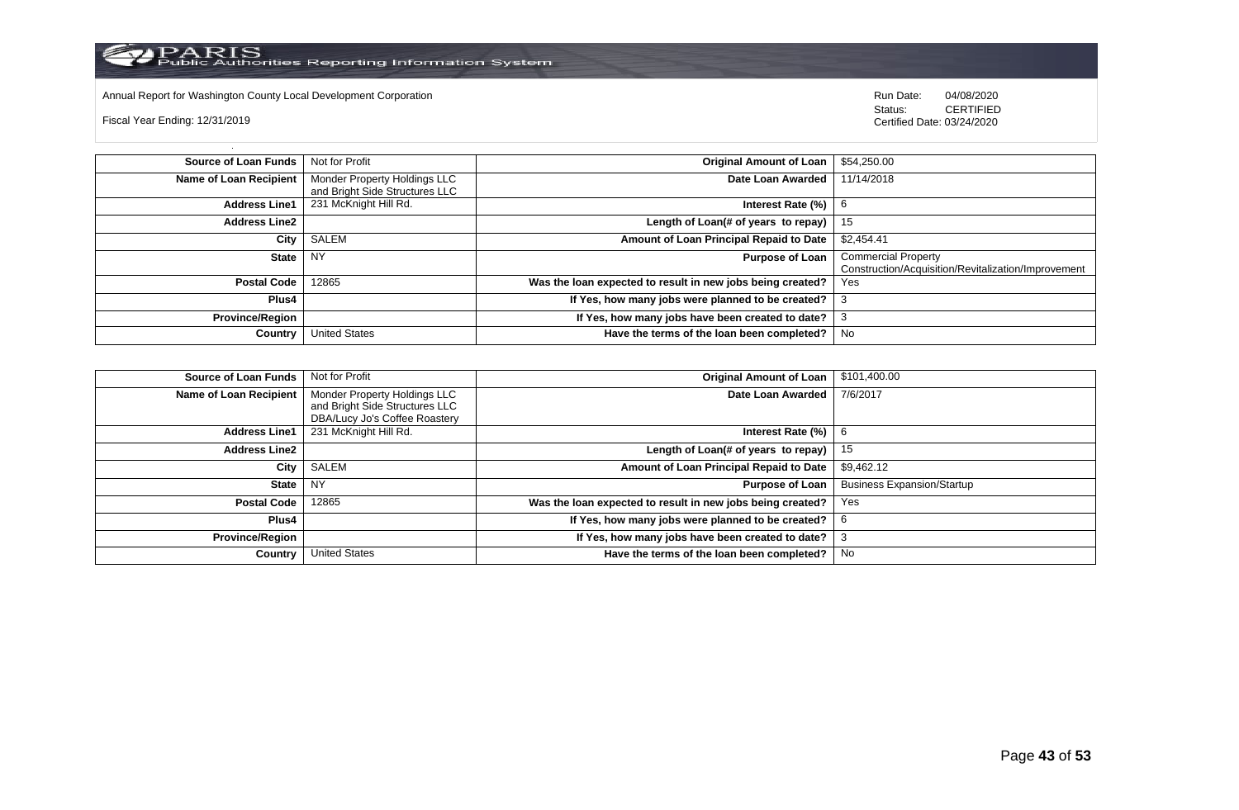

Annual Report for Washington County Local Development Corporation **Company County Connect Connect Connect Connect**<br>
Status: CERTIFIED

Fiscal Year Ending: 12/31/2019

CERTIFIED Certified Date: 03/24/2020

| Source of Loan Funds   | Not for Profit                 | <b>Original Amount of Loan</b>                             | \$54,250.00                                         |
|------------------------|--------------------------------|------------------------------------------------------------|-----------------------------------------------------|
| Name of Loan Recipient | Monder Property Holdings LLC   | Date Loan Awarded                                          | 11/14/2018                                          |
|                        | and Bright Side Structures LLC |                                                            |                                                     |
| <b>Address Line1</b>   | 231 McKnight Hill Rd.          | Interest Rate (%)                                          | 6                                                   |
| <b>Address Line2</b>   |                                | Length of Loan(# of years to repay) $ $                    | -15                                                 |
| City                   | SALEM                          | Amount of Loan Principal Repaid to Date                    | \$2,454.41                                          |
| State I                | <b>NY</b>                      | <b>Purpose of Loan</b>                                     | <b>Commercial Property</b>                          |
|                        |                                |                                                            | Construction/Acquisition/Revitalization/Improvement |
| <b>Postal Code</b>     | 12865                          | Was the loan expected to result in new jobs being created? | <b>Yes</b>                                          |
| Plus4                  |                                | If Yes, how many jobs were planned to be created?          |                                                     |
| <b>Province/Region</b> |                                | If Yes, how many jobs have been created to date?           |                                                     |
| Country                | <b>United States</b>           | Have the terms of the loan been completed?                 | No                                                  |

| <b>Source of Loan Funds</b>   | Not for Profit                                                 | <b>Original Amount of Loan</b>                             | \$101,400.00                      |
|-------------------------------|----------------------------------------------------------------|------------------------------------------------------------|-----------------------------------|
| <b>Name of Loan Recipient</b> | Monder Property Holdings LLC<br>and Bright Side Structures LLC | Date Loan Awarded                                          | 7/6/2017                          |
|                               | DBA/Lucy Jo's Coffee Roastery                                  |                                                            |                                   |
| <b>Address Line1</b>          | 231 McKnight Hill Rd.                                          | Interest Rate (%)                                          | 6                                 |
| <b>Address Line2</b>          |                                                                | Length of Loan(# of years to repay)                        | 15                                |
| City                          | SALEM                                                          | Amount of Loan Principal Repaid to Date                    | \$9,462.12                        |
| <b>State</b>                  | <b>NY</b>                                                      | <b>Purpose of Loan</b>                                     | <b>Business Expansion/Startup</b> |
| <b>Postal Code</b>            | 12865                                                          | Was the loan expected to result in new jobs being created? | Yes                               |
| Plus4                         |                                                                | If Yes, how many jobs were planned to be created?          | -6                                |
| <b>Province/Region</b>        |                                                                | If Yes, how many jobs have been created to date?           |                                   |
| Country                       | <b>United States</b>                                           | Have the terms of the loan been completed?                 | No                                |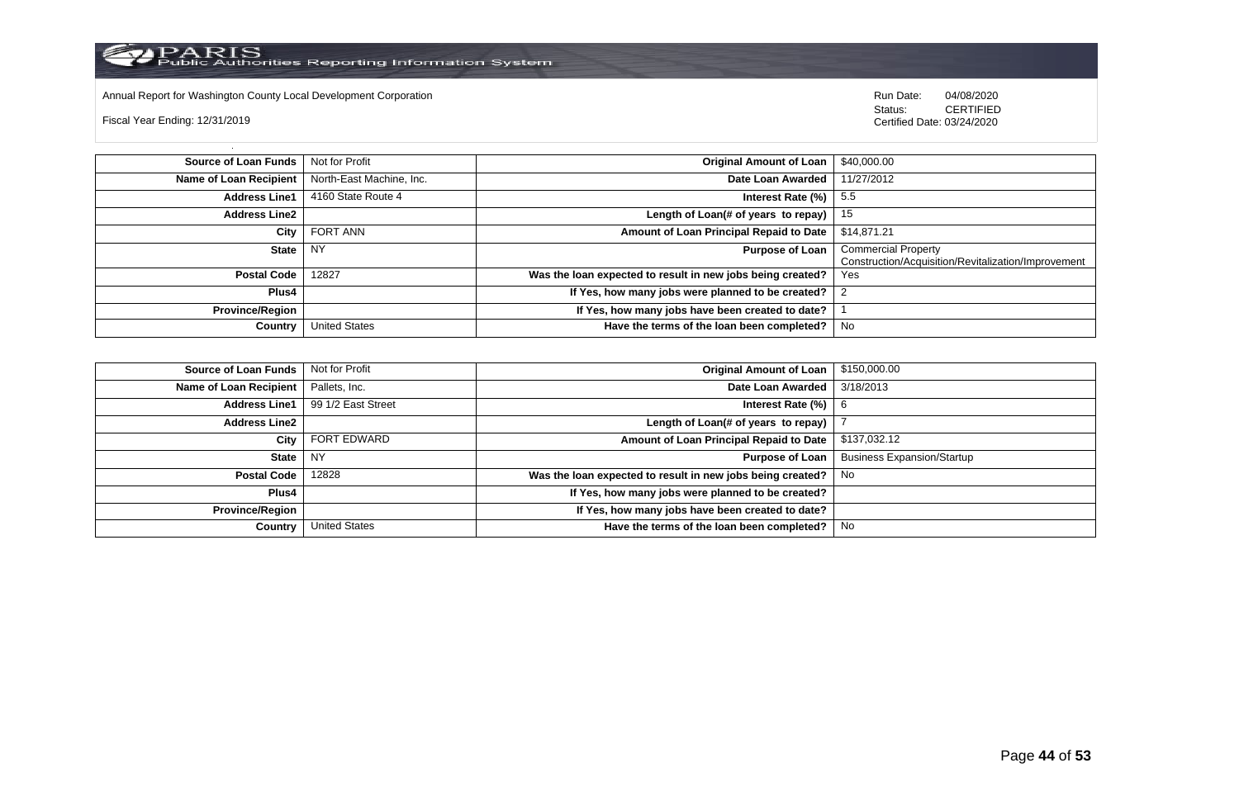Annual Report for Washington County Local Development Corporation Run Date: 04/08/2020 Run Date: 04/08/2020

Fiscal Year Ending: 12/31/2019

 Status: CERTIFIED Certified Date: 03/24/2020

**Source of Loan Funds** Not for Profit **Community Original Amount of Loan** \$40,000.00 **Name of Loan Recipient** North-East Machine, Inc. **Date Loan Awarded** 11/27/2012 **Address Line1** 4160 State Route 4 **Interest Rate (%)** 5.5 **Address Line2 Length of Loan(# of years to repay)** 15 **City** FORT ANN **Amount of Loan Principal Repaid to Date** \$14,871.21 **State** NY **Purpose of Loan** Commercial Property Construction/Acquisition/Revitalization/Improvement **Postal Code** 12827 **Was the loan expected to result in new jobs being created? Plus4 If Yes, how many jobs were planned to be created?** 2 **Province/Region If Yes, how many jobs have been created to date?** | 1 **Country** United States **Have the terms of the loan been completed?** No

| <b>Source of Loan Funds</b> | Not for Profit       | <b>Original Amount of Loan</b>                             | \$150,000.00                      |
|-----------------------------|----------------------|------------------------------------------------------------|-----------------------------------|
| Name of Loan Recipient      | Pallets, Inc.        | Date Loan Awarded                                          | 3/18/2013                         |
| <b>Address Line1</b>        | 99 1/2 East Street   | Interest Rate (%)                                          | -6                                |
| <b>Address Line2</b>        |                      | Length of Loan(# of years to repay)                        |                                   |
| City                        | FORT EDWARD          | Amount of Loan Principal Repaid to Date                    | \$137,032.12                      |
| State                       | <b>NY</b>            | <b>Purpose of Loan</b>                                     | <b>Business Expansion/Startup</b> |
| <b>Postal Code</b>          | 12828                | Was the loan expected to result in new jobs being created? | No.                               |
| Plus4                       |                      | If Yes, how many jobs were planned to be created?          |                                   |
| <b>Province/Region</b>      |                      | If Yes, how many jobs have been created to date?           |                                   |
| Country                     | <b>United States</b> | Have the terms of the loan been completed?                 | No                                |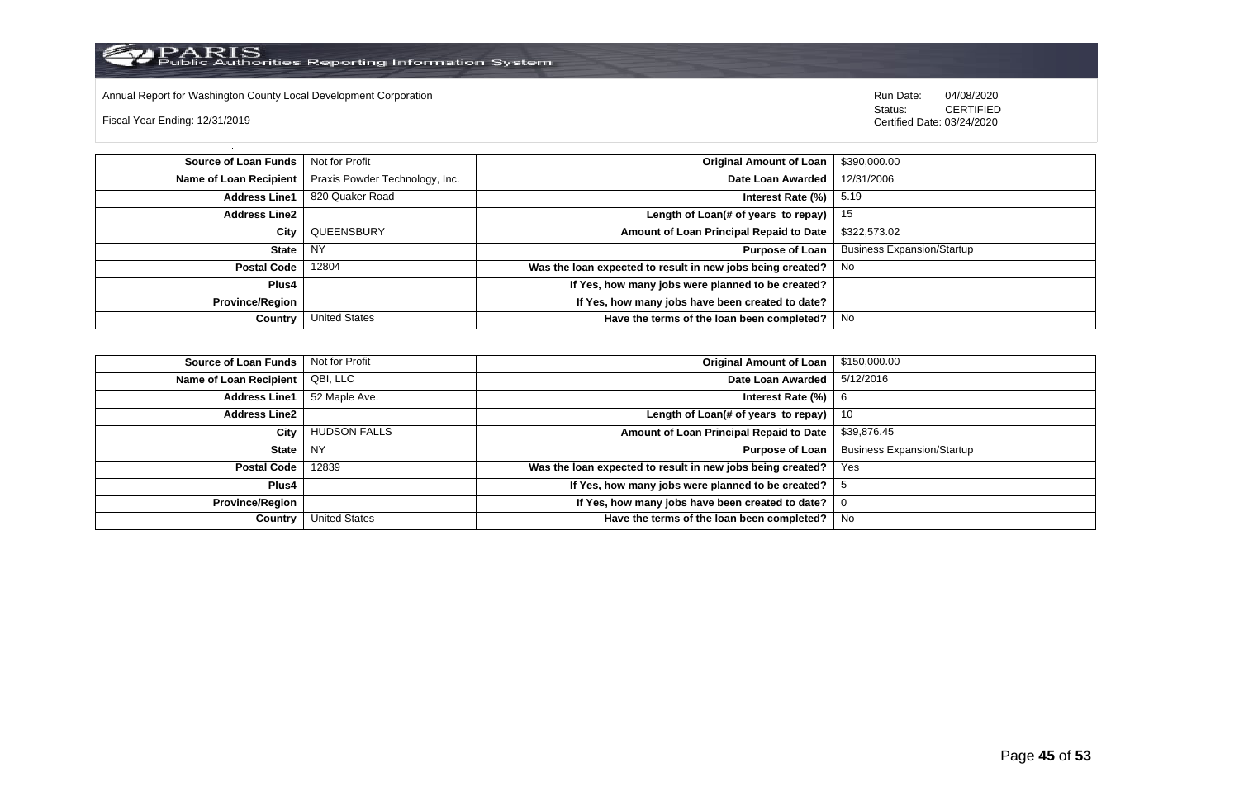

Annual Report for Washington County Local Development Corporation Run Date: 04/08/2020 Run Date: 04/08/2020

Fiscal Year Ending: 12/31/2019

 Status: CERTIFIED Certified Date: 03/24/2020

**Source of Loan Funds** Not for Profit **Containers and Containers Amount Original Amount of Loan** \$390,000.00 **Name of Loan Recipient** Praxis Powder Technology, Inc. **Date Loan Awarded** 12/31/2006 **Address Line1** 820 Quaker Road **Interest Rate (%)** 5.19 **Address Line2 Length of Loan(# of years to repay)** 15 **City** QUEENSBURY **Amount of Loan Principal Repaid to Date** \$322,573.02 **State** NY **Purpose of Loan** Business Expansion/Startup **Postal Code** 12804 **Was the loan expected to result in new jobs being created?** No **Plus4 If Yes, how many jobs were planned to be created? Province/Region If Yes, how many jobs have been created to date? Country** United States **Have the terms of the loan been completed?** No

| Source of Loan Funds   | Not for Profit       | <b>Original Amount of Loan</b>                             | \$150,000.00                      |
|------------------------|----------------------|------------------------------------------------------------|-----------------------------------|
| Name of Loan Recipient | QBI, LLC             | Date Loan Awarded                                          | 5/12/2016                         |
| <b>Address Line1</b>   | 52 Maple Ave.        | Interest Rate (%)                                          | -6                                |
| <b>Address Line2</b>   |                      | Length of Loan(# of years to repay)                        | 10                                |
| City                   | <b>HUDSON FALLS</b>  | Amount of Loan Principal Repaid to Date                    | \$39,876.45                       |
| State                  | <b>NY</b>            | <b>Purpose of Loan</b>                                     | <b>Business Expansion/Startup</b> |
| <b>Postal Code</b>     | 12839                | Was the loan expected to result in new jobs being created? | Yes                               |
| Plus4                  |                      | If Yes, how many jobs were planned to be created?          |                                   |
| <b>Province/Region</b> |                      | If Yes, how many jobs have been created to date?           |                                   |
| Country                | <b>United States</b> | Have the terms of the loan been completed?                 | No.                               |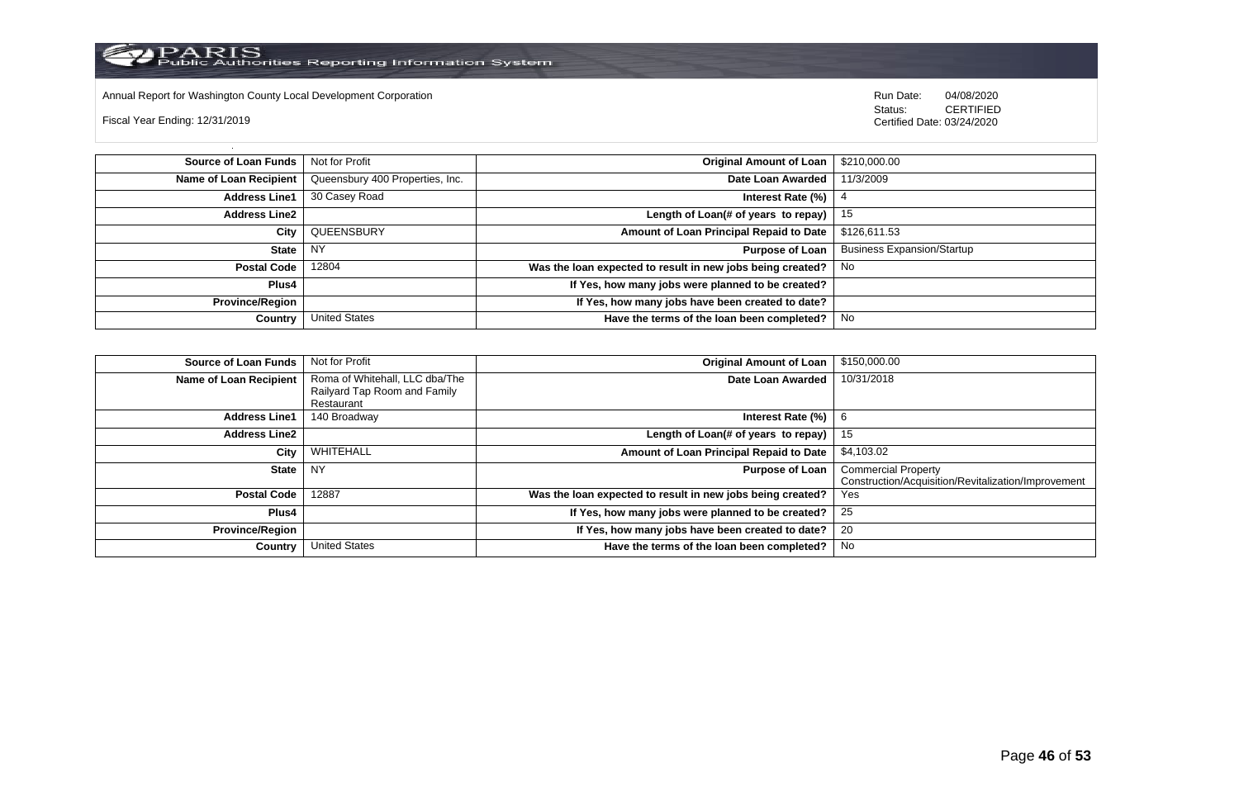

Annual Report for Washington County Local Development Corporation Run Date: 04/08/2020 Run Date: 04/08/2020

Fiscal Year Ending: 12/31/2019

 Status: CERTIFIED Certified Date: 03/24/2020

**Source of Loan Funds** Not for Profit **Containers and Containers Amount Original Amount of Loan** \$210,000.00 **Name of Loan Recipient** Queensbury 400 Properties, Inc. **Date Loan Awarded** 11/3/2009 **Address Line1** 30 Casey Road **Interest Rate (%)** 4 **Address Line2 Length of Loan(# of years to repay)** 15 **City** QUEENSBURY **Amount of Loan Principal Repaid to Date** \$126,611.53 **State** NY **Purpose of Loan** Business Expansion/Startup **Postal Code** 12804 **Was the loan expected to result in new jobs being created?** No **Plus4 If Yes, how many jobs were planned to be created? Province/Region If Yes, how many jobs have been created to date? Country** United States **Have the terms of the loan been completed?** No

| <b>Source of Loan Funds</b>   | Not for Profit                 | <b>Original Amount of Loan</b>                             | \$150,000.00                                        |
|-------------------------------|--------------------------------|------------------------------------------------------------|-----------------------------------------------------|
| <b>Name of Loan Recipient</b> | Roma of Whitehall, LLC dba/The | Date Loan Awarded                                          | 10/31/2018                                          |
|                               | Railyard Tap Room and Family   |                                                            |                                                     |
|                               | Restaurant                     |                                                            |                                                     |
| <b>Address Line1</b>          | 140 Broadway                   | Interest Rate (%)                                          | 6                                                   |
| <b>Address Line2</b>          |                                | Length of Loan(# of years to repay)                        | 15                                                  |
| City                          | WHITEHALL                      | Amount of Loan Principal Repaid to Date                    | \$4,103.02                                          |
| <b>State</b>                  | <b>NY</b>                      | <b>Purpose of Loan</b>                                     | <b>Commercial Property</b>                          |
|                               |                                |                                                            | Construction/Acquisition/Revitalization/Improvement |
| <b>Postal Code</b>            | 12887                          | Was the loan expected to result in new jobs being created? | Yes                                                 |
| Plus4                         |                                | If Yes, how many jobs were planned to be created?          | 25                                                  |
| <b>Province/Region</b>        |                                | If Yes, how many jobs have been created to date?           | 20                                                  |
| Country                       | <b>United States</b>           | Have the terms of the loan been completed?                 | No                                                  |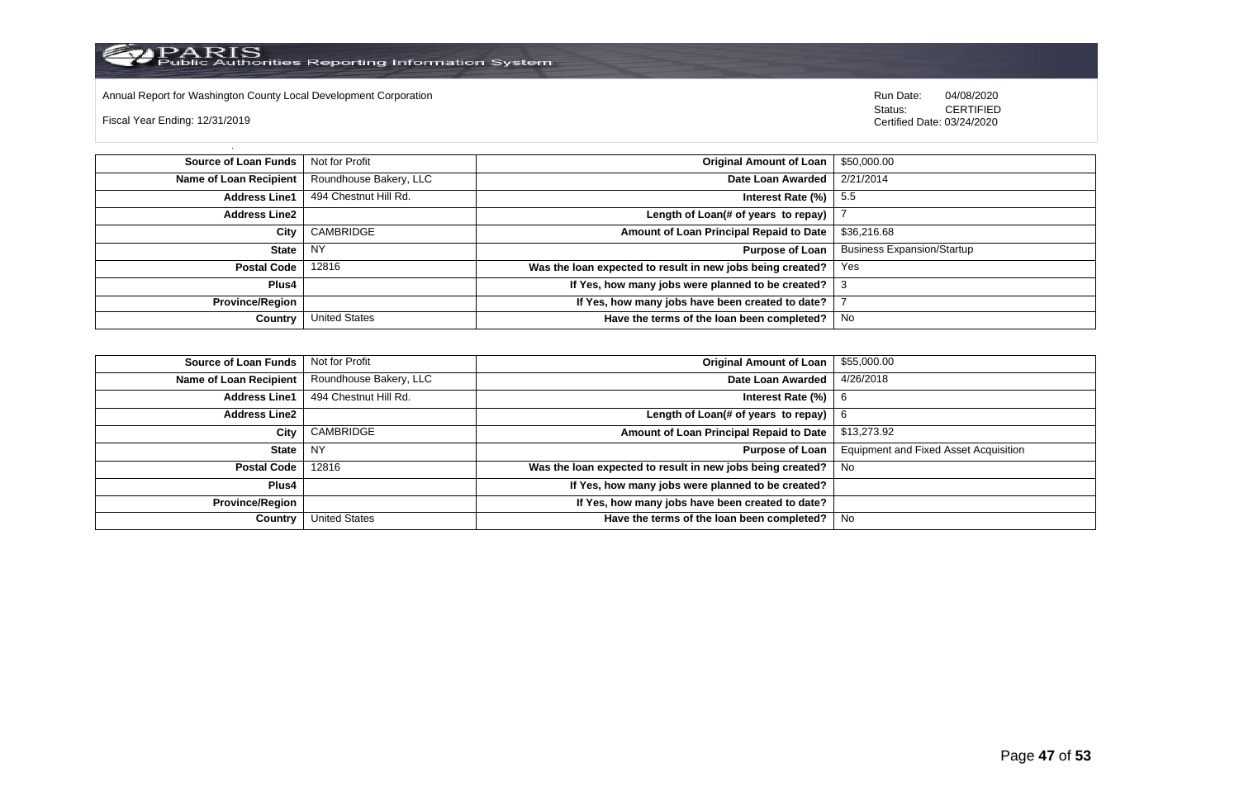

Annual Report for Washington County Local Development Corporation Run Date: 04/08/2020 Run Date: 04/08/2020

Fiscal Year Ending: 12/31/2019

 Status: CERTIFIED Certified Date: 03/24/2020

**Source of Loan Funds** Not for Profit **Community 1 and 2010 12:00 Community 1 and 2010 12:00 Driginal Amount of Loan** \$50,000.00 **Name of Loan Recipient** Roundhouse Bakery, LLC **Date Loan Awarded** 2/21/2014 **Address Line1** 494 Chestnut Hill Rd. **Interest Rate (%)** 5.5 **Address Line2 Length of Loan(# of years to repay)** | 7 **City** CAMBRIDGE **Amount of Loan Principal Repaid to Date** \$36,216.68 **State** NY **Purpose of Loan** Business Expansion/Startup **Postal Code** 12816 **Was the loan expected to result in new jobs being created?** Yes **Plus4 If Yes, how many jobs were planned to be created?** 3 **Province/Region If Yes, how many jobs have been created to date?** 7 **Country** United States **Have the terms of the loan been completed?** No

| Source of Loan Funds   | Not for Profit         | <b>Original Amount of Loan</b>                             | \$55,000.00                                  |
|------------------------|------------------------|------------------------------------------------------------|----------------------------------------------|
| Name of Loan Recipient | Roundhouse Bakery, LLC | Date Loan Awarded                                          | 4/26/2018                                    |
| <b>Address Line1</b>   | 494 Chestnut Hill Rd.  | Interest Rate (%)                                          | -6                                           |
| <b>Address Line2</b>   |                        | Length of Loan(# of years to repay)                        | 6                                            |
| City                   | CAMBRIDGE              | Amount of Loan Principal Repaid to Date                    | \$13,273.92                                  |
| <b>State</b>           | NY.                    | <b>Purpose of Loan</b>                                     | <b>Equipment and Fixed Asset Acquisition</b> |
| <b>Postal Code</b>     | 12816                  | Was the loan expected to result in new jobs being created? | . No                                         |
| Plus4                  |                        | If Yes, how many jobs were planned to be created?          |                                              |
| <b>Province/Region</b> |                        | If Yes, how many jobs have been created to date?           |                                              |
| Country                | United States          | Have the terms of the loan been completed?                 | No                                           |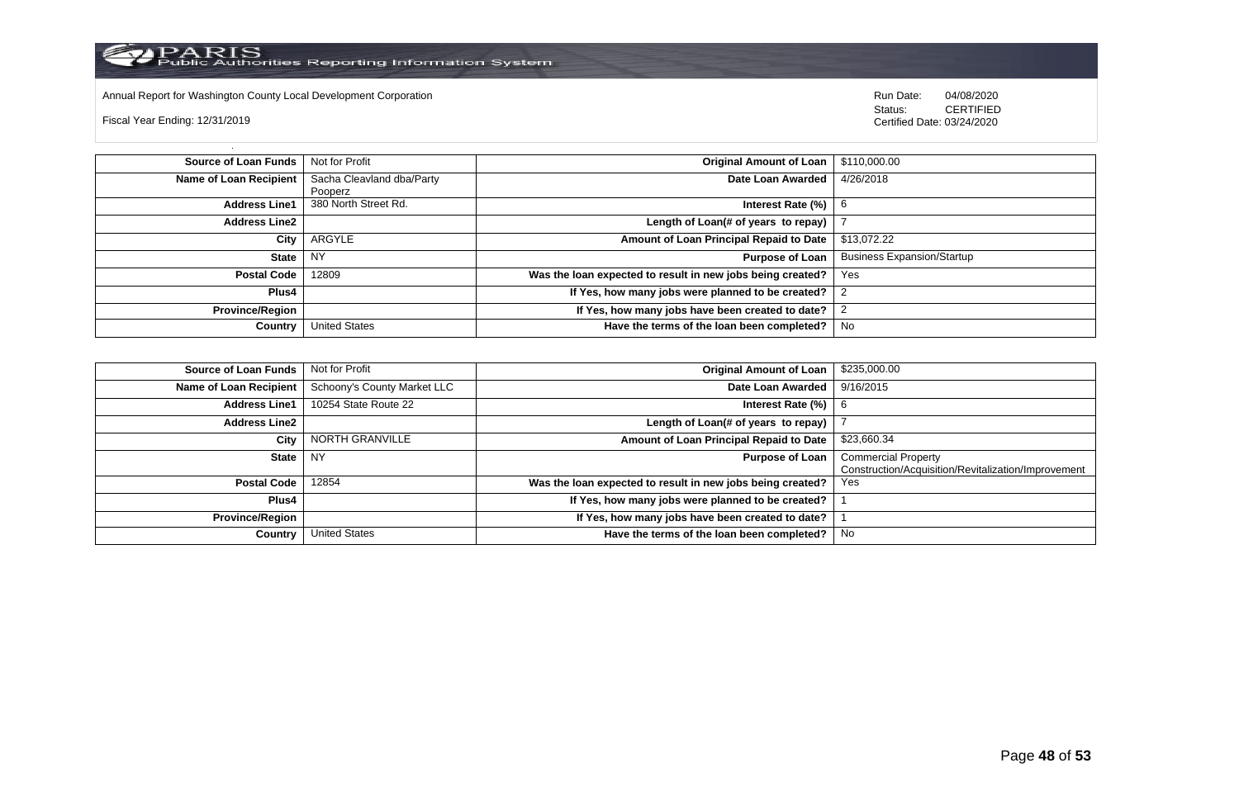

Annual Report for Washington County Local Development Corporation **Company County Connect Connect Connect Connect**<br>
Status: CERTIFIED

Fiscal Year Ending: 12/31/2019

CERTIFIED Certified Date: 03/24/2020

| <b>Source of Loan Funds</b> | Not for Profit            | <b>Original Amount of Loan</b>                             | \$110,000.00                      |
|-----------------------------|---------------------------|------------------------------------------------------------|-----------------------------------|
| Name of Loan Recipient      | Sacha Cleavland dba/Party | Date Loan Awarded                                          | 4/26/2018                         |
|                             | Pooperz                   |                                                            |                                   |
| <b>Address Line1</b>        | 380 North Street Rd.      | Interest Rate $(\%)$                                       | 6                                 |
| <b>Address Line2</b>        |                           | Length of Loan(# of years to repay)                        |                                   |
| City                        | ARGYLE                    | Amount of Loan Principal Repaid to Date                    | \$13,072.22                       |
| <b>State</b>                | <b>NY</b>                 | <b>Purpose of Loan</b>                                     | <b>Business Expansion/Startup</b> |
| <b>Postal Code</b>          | 12809                     | Was the loan expected to result in new jobs being created? | Yes                               |
| Plus4                       |                           | If Yes, how many jobs were planned to be created?          |                                   |
| <b>Province/Region</b>      |                           | If Yes, how many jobs have been created to date?           |                                   |
| Country                     | <b>United States</b>      | Have the terms of the loan been completed?                 | No                                |

| <b>Source of Loan Funds</b> | Not for Profit              | <b>Original Amount of Loan</b>                             | \$235,000.00                                                                      |
|-----------------------------|-----------------------------|------------------------------------------------------------|-----------------------------------------------------------------------------------|
| Name of Loan Recipient      | Schoony's County Market LLC | Date Loan Awarded                                          | 9/16/2015                                                                         |
| <b>Address Line1</b>        | 10254 State Route 22        | Interest Rate (%)                                          |                                                                                   |
| <b>Address Line2</b>        |                             | Length of Loan(# of years to repay)                        |                                                                                   |
| City                        | NORTH GRANVILLE             | Amount of Loan Principal Repaid to Date                    | \$23,660.34                                                                       |
| State                       | <b>NY</b>                   | <b>Purpose of Loan</b>                                     | <b>Commercial Property</b><br>Construction/Acquisition/Revitalization/Improvement |
| <b>Postal Code</b>          | 12854                       | Was the loan expected to result in new jobs being created? | Yes                                                                               |
| Plus4                       |                             | If Yes, how many jobs were planned to be created?          |                                                                                   |
| <b>Province/Region</b>      |                             | If Yes, how many jobs have been created to date?           |                                                                                   |
| Country                     | <b>United States</b>        | Have the terms of the loan been completed?                 | No                                                                                |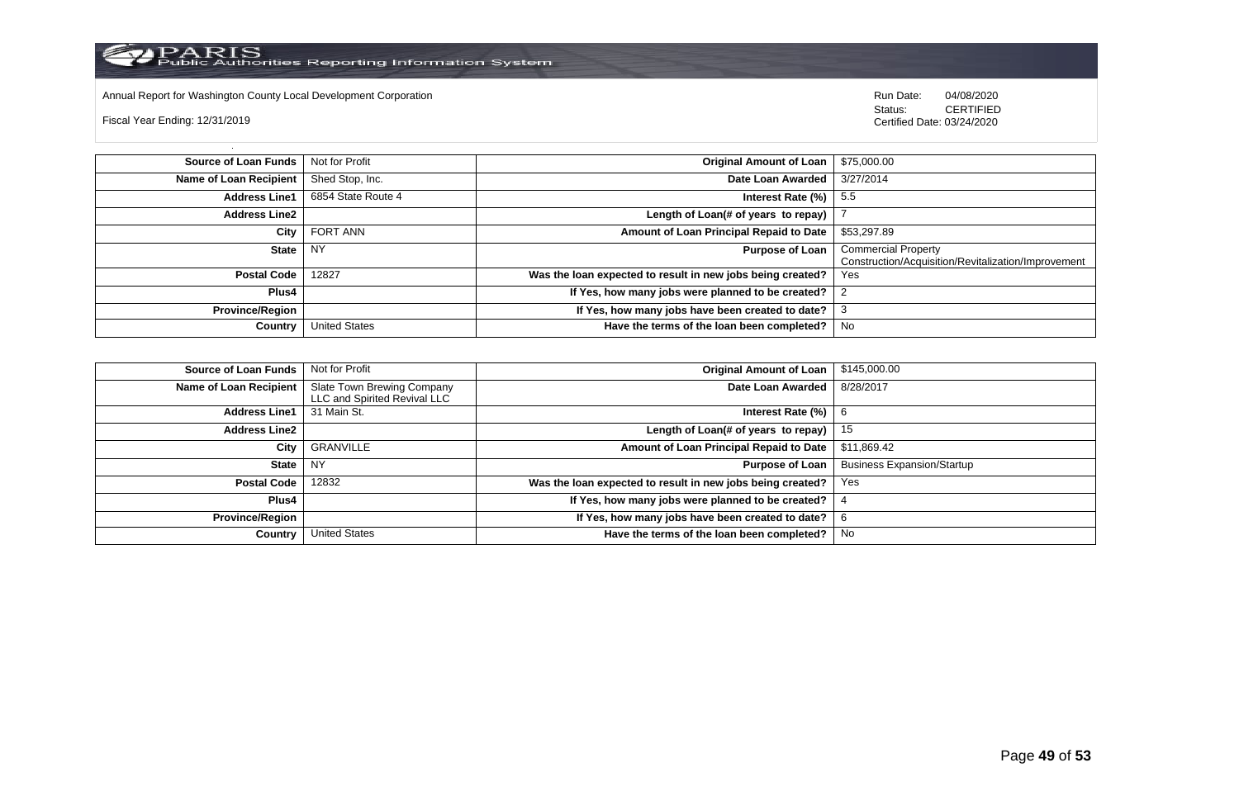Annual Report for Washington County Local Development Corporation **Company County Connect Connect Connect Connect**<br>
Status: CERTIFIED

Fiscal Year Ending: 12/31/2019

CERTIFIED Certified Date: 03/24/2020

| <b>Source of Loan Funds</b>   | Not for Profit       | <b>Original Amount of Loan</b>                             | \$75,000.00                                                                       |
|-------------------------------|----------------------|------------------------------------------------------------|-----------------------------------------------------------------------------------|
| <b>Name of Loan Recipient</b> | Shed Stop, Inc.      | Date Loan Awarded                                          | 3/27/2014                                                                         |
| <b>Address Line1</b>          | 6854 State Route 4   | Interest Rate $(\%)$                                       | -5.5                                                                              |
| <b>Address Line2</b>          |                      | Length of Loan(# of years to repay)                        |                                                                                   |
| City                          | <b>FORT ANN</b>      | Amount of Loan Principal Repaid to Date                    | \$53,297.89                                                                       |
| <b>State</b>                  | <b>NY</b>            | <b>Purpose of Loan</b>                                     | <b>Commercial Property</b><br>Construction/Acquisition/Revitalization/Improvement |
| <b>Postal Code</b>            | 12827                | Was the loan expected to result in new jobs being created? | Yes                                                                               |
| Plus4                         |                      | If Yes, how many jobs were planned to be created?          |                                                                                   |
| <b>Province/Region</b>        |                      | If Yes, how many jobs have been created to date?           |                                                                                   |
| Country                       | <b>United States</b> | Have the terms of the loan been completed?                 | No                                                                                |

| <b>Source of Loan Funds</b> | Not for Profit                                             | <b>Original Amount of Loan</b>                             | \$145,000.00                      |
|-----------------------------|------------------------------------------------------------|------------------------------------------------------------|-----------------------------------|
| Name of Loan Recipient      | Slate Town Brewing Company<br>LLC and Spirited Revival LLC | Date Loan Awarded                                          | 8/28/2017                         |
| <b>Address Line1</b>        | 31 Main St.                                                | Interest Rate $(\%)$   6                                   |                                   |
| <b>Address Line2</b>        |                                                            | Length of Loan(# of years to repay)                        | 15                                |
| City                        | GRANVILLE                                                  | Amount of Loan Principal Repaid to Date                    | \$11,869.42                       |
| State NY                    |                                                            | Purpose of Loan                                            | <b>Business Expansion/Startup</b> |
| <b>Postal Code</b>          | 12832                                                      | Was the loan expected to result in new jobs being created? | Yes                               |
| Plus4                       |                                                            | If Yes, how many jobs were planned to be created?          |                                   |
| <b>Province/Region</b>      |                                                            | If Yes, how many jobs have been created to date?           | 6                                 |
| Country                     | <b>United States</b>                                       | Have the terms of the loan been completed?                 | No                                |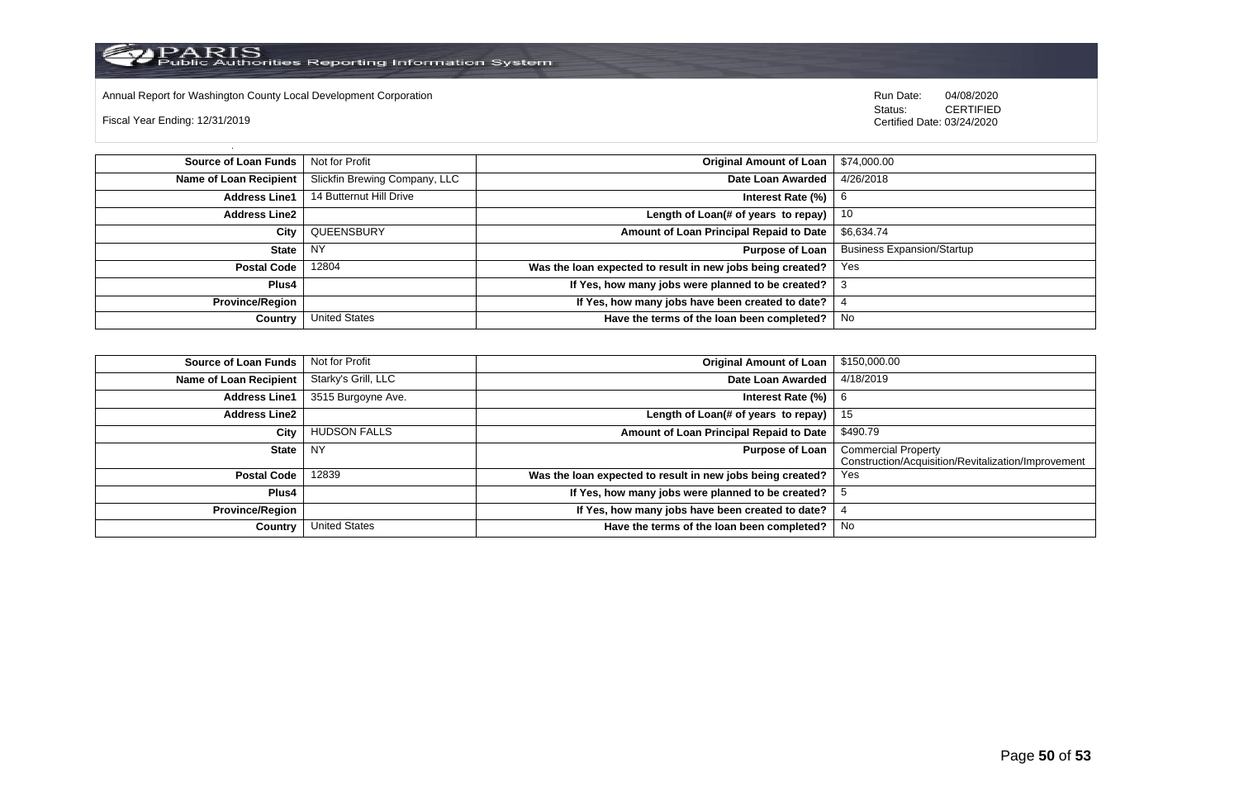

Annual Report for Washington County Local Development Corporation Run Date: 04/08/2020 Run Date: 04/08/2020

Fiscal Year Ending: 12/31/2019

 Status: CERTIFIED Certified Date: 03/24/2020

**Source of Loan Funds** Not for Profit **Company of Loan 1 Structure 1 Structure 2** Criginal Amount of Loan 1 \$74,000.00 **Name of Loan Recipient** Slickfin Brewing Company, LLC **Date Loan Awarded** 4/26/2018 **Address Line1** 14 Butternut Hill Drive **Intervention Control of Contract Rate (%)** 6 **Address Line2 Length of Loan(# of years to repay)** 10 **City** QUEENSBURY **Amount of Loan Principal Repaid to Date** \$6,634.74 **State** NY **Purpose of Loan** Business Expansion/Startup **Postal Code** 12804 **Was the loan expected to result in new jobs being created?** Yes **Plus4 If Yes, how many jobs were planned to be created?** 3 **Province/Region If Yes, how many jobs have been created to date?** 4 **Country** United States **Have the terms of the loan been completed?** No

| <b>Source of Loan Funds</b> | Not for Profit       | <b>Original Amount of Loan</b>                             | \$150,000.00                                                                      |
|-----------------------------|----------------------|------------------------------------------------------------|-----------------------------------------------------------------------------------|
| Name of Loan Recipient      | Starky's Grill, LLC  | Date Loan Awarded                                          | 4/18/2019                                                                         |
| <b>Address Line1</b>        | 3515 Burgoyne Ave.   | Interest Rate (%)                                          | -6                                                                                |
| <b>Address Line2</b>        |                      | Length of Loan(# of years to repay)                        | 15                                                                                |
| City                        | <b>HUDSON FALLS</b>  | Amount of Loan Principal Repaid to Date                    | \$490.79                                                                          |
| <b>State</b>                | NY                   | <b>Purpose of Loan</b>                                     | <b>Commercial Property</b><br>Construction/Acquisition/Revitalization/Improvement |
| <b>Postal Code</b>          | 12839                | Was the loan expected to result in new jobs being created? | Yes                                                                               |
| Plus4                       |                      | If Yes, how many jobs were planned to be created?          |                                                                                   |
| <b>Province/Region</b>      |                      | If Yes, how many jobs have been created to date?           |                                                                                   |
| Country                     | <b>United States</b> | Have the terms of the loan been completed?                 | No                                                                                |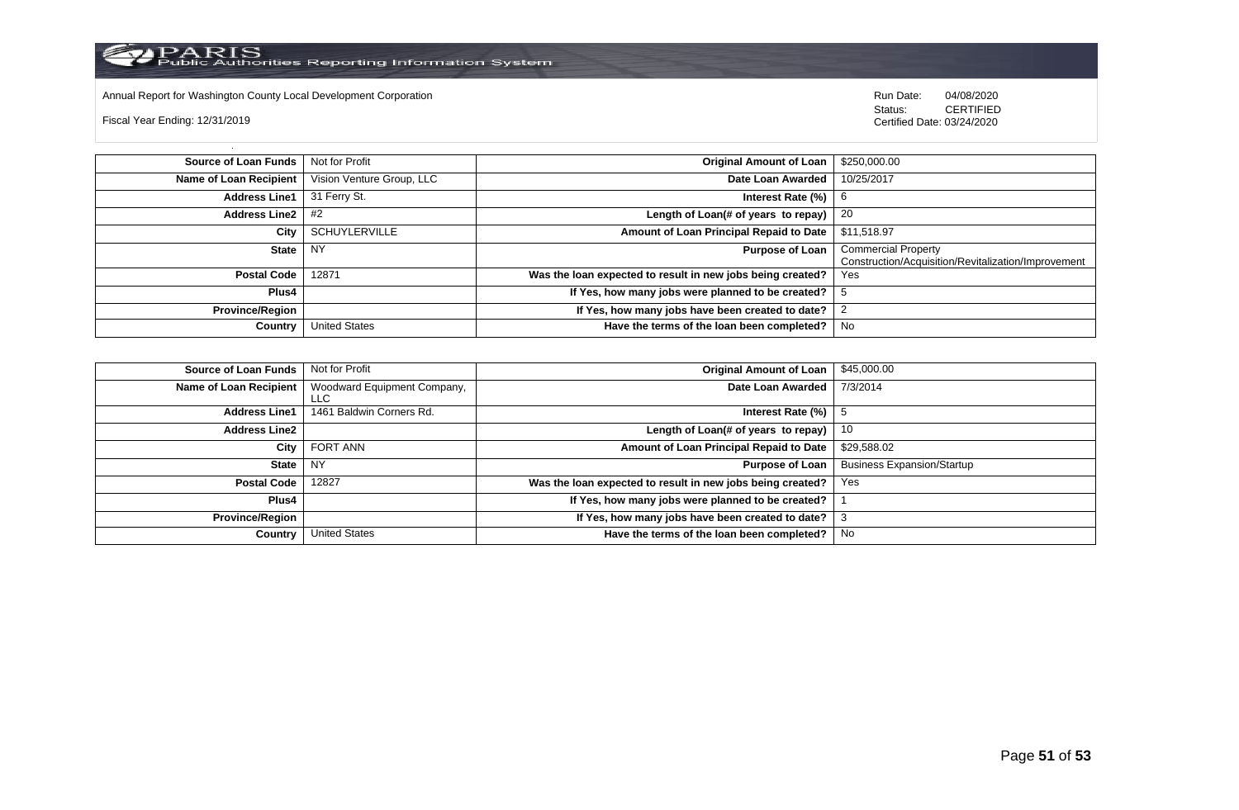

Annual Report for Washington County Local Development Corporation **Run Date:** 04/08/2020 Run Date: 04/08/2020

Fiscal Year Ending: 12/31/2019

Status: **CERTIFIED** Certified Date: 03/24/2020

| <b>Source of Loan Funds</b> | Not for Profit            | Original Amount of Loan                                    | \$250,000.00                                                                      |
|-----------------------------|---------------------------|------------------------------------------------------------|-----------------------------------------------------------------------------------|
| Name of Loan Recipient      | Vision Venture Group, LLC | Date Loan Awarded                                          | 10/25/2017                                                                        |
| <b>Address Line1</b>        | 31 Ferry St.              | Interest Rate $(\%)$   6                                   |                                                                                   |
| Address Line $2 \mid #2$    |                           | Length of Loan(# of years to repay) $\vert$ 20             |                                                                                   |
| City                        | <b>SCHUYLERVILLE</b>      | Amount of Loan Principal Repaid to Date                    | \$11,518.97                                                                       |
| <b>State</b>                | NY                        | Purpose of Loan                                            | <b>Commercial Property</b><br>Construction/Acquisition/Revitalization/Improvement |
| <b>Postal Code</b>          | 12871                     | Was the loan expected to result in new jobs being created? | Yes                                                                               |
| Plus4                       |                           | If Yes, how many jobs were planned to be created?          |                                                                                   |
| <b>Province/Region</b>      |                           | If Yes, how many jobs have been created to date?           |                                                                                   |
| Country                     | <b>United States</b>      | Have the terms of the loan been completed?                 | No                                                                                |

| <b>Source of Loan Funds</b> | Not for Profit                     | <b>Original Amount of Loan</b>                             | \$45,000.00                       |
|-----------------------------|------------------------------------|------------------------------------------------------------|-----------------------------------|
| Name of Loan Recipient      | Woodward Equipment Company,<br>LLC | Date Loan Awarded                                          | 7/3/2014                          |
| <b>Address Line1</b>        | 1461 Baldwin Corners Rd.           | Interest Rate (%)                                          |                                   |
| <b>Address Line2</b>        |                                    | Length of Loan(# of years to repay)                        | -10                               |
| City                        | FORT ANN                           | Amount of Loan Principal Repaid to Date                    | \$29,588.02                       |
| <b>State</b>                | <b>NY</b>                          | <b>Purpose of Loan</b>                                     | <b>Business Expansion/Startup</b> |
| <b>Postal Code</b>          | 12827                              | Was the loan expected to result in new jobs being created? | Yes                               |
| <b>Plus4</b>                |                                    | If Yes, how many jobs were planned to be created?          |                                   |
| <b>Province/Region</b>      |                                    | If Yes, how many jobs have been created to date?           |                                   |
| Country                     | <b>United States</b>               | Have the terms of the loan been completed?                 | No                                |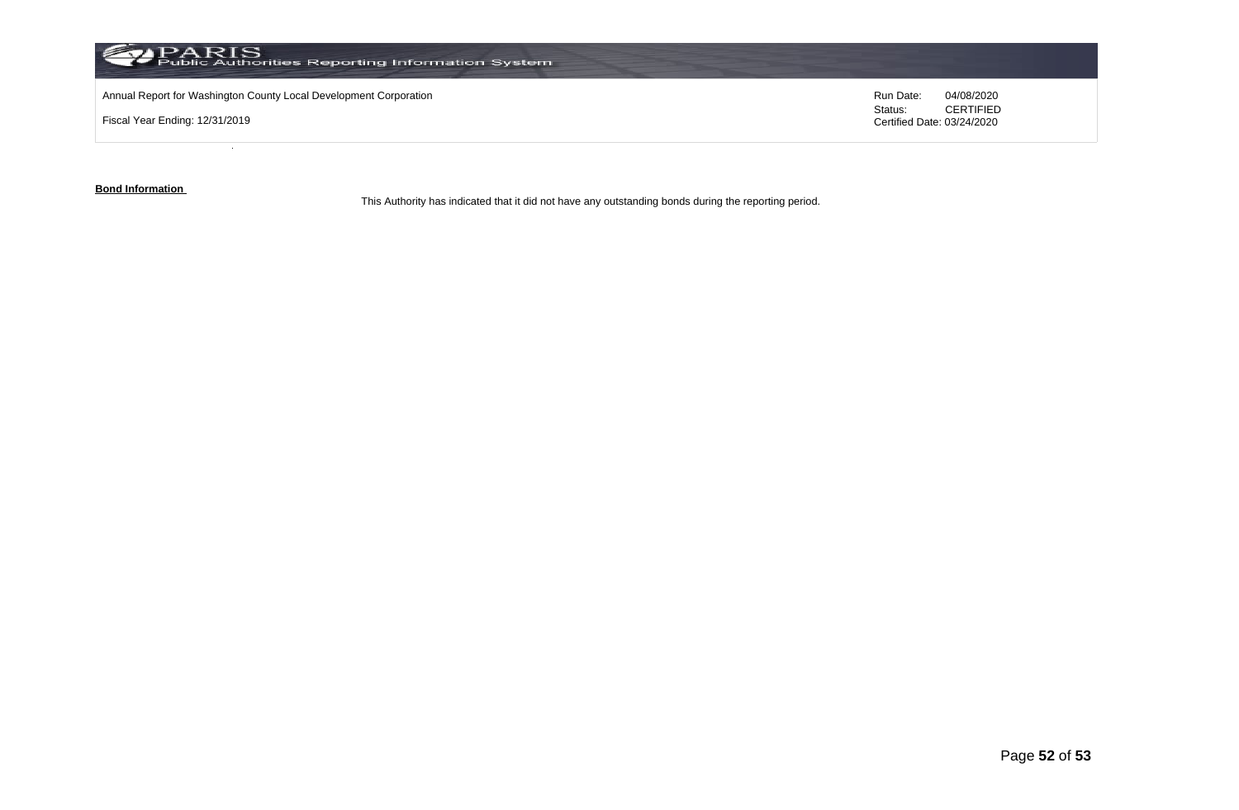

**Bond Information** 

This Authority has indicated that it did not have any outstanding bonds during the reporting period.